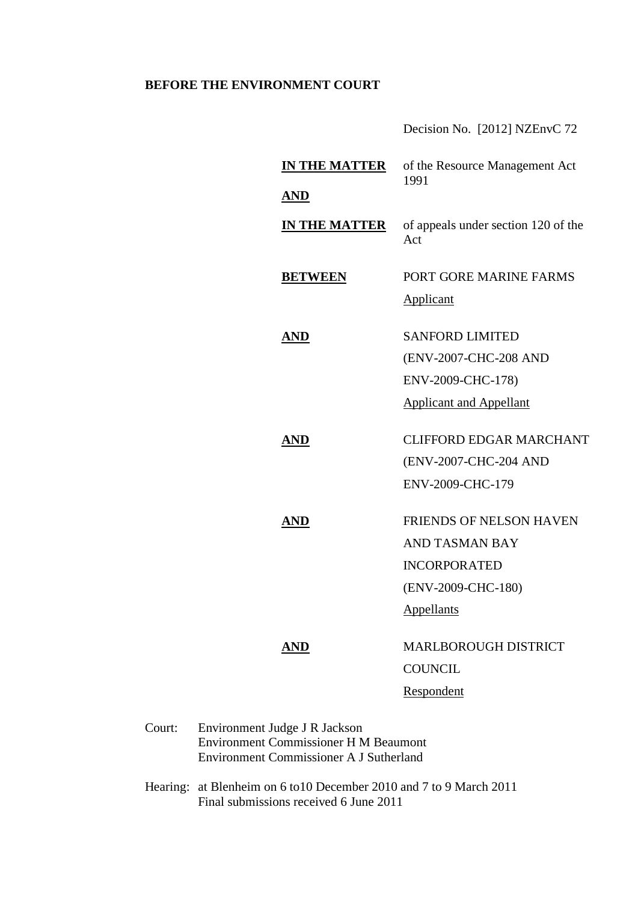# **BEFORE THE ENVIRONMENT COURT**

Decision No. [2012] NZEnvC 72

|        | <u>IN THE MATTER</u>                                                                                                            | of the Resource Management Act<br>1991     |
|--------|---------------------------------------------------------------------------------------------------------------------------------|--------------------------------------------|
|        | <b>AND</b>                                                                                                                      |                                            |
|        | <b>IN THE MATTER</b>                                                                                                            | of appeals under section 120 of the<br>Act |
|        | <b>BETWEEN</b>                                                                                                                  | PORT GORE MARINE FARMS                     |
|        |                                                                                                                                 | <b>Applicant</b>                           |
|        | <b>AND</b>                                                                                                                      | <b>SANFORD LIMITED</b>                     |
|        |                                                                                                                                 | (ENV-2007-CHC-208 AND                      |
|        |                                                                                                                                 | ENV-2009-CHC-178)                          |
|        |                                                                                                                                 | <b>Applicant and Appellant</b>             |
|        | <b>AND</b>                                                                                                                      | <b>CLIFFORD EDGAR MARCHANT</b>             |
|        |                                                                                                                                 | (ENV-2007-CHC-204 AND                      |
|        |                                                                                                                                 | ENV-2009-CHC-179                           |
|        | $\overline{\bf AND}$                                                                                                            | FRIENDS OF NELSON HAVEN                    |
|        |                                                                                                                                 | <b>AND TASMAN BAY</b>                      |
|        |                                                                                                                                 | <b>INCORPORATED</b>                        |
|        |                                                                                                                                 | (ENV-2009-CHC-180)                         |
|        |                                                                                                                                 | <b>Appellants</b>                          |
|        | AND                                                                                                                             | MARLBOROUGH DISTRICT                       |
|        |                                                                                                                                 | <b>COUNCIL</b>                             |
|        |                                                                                                                                 | <u>Respondent</u>                          |
| Court: | Environment Judge J R Jackson<br><b>Environment Commissioner H M Beaumont</b><br><b>Environment Commissioner A J Sutherland</b> |                                            |

Hearing: at Blenheim on 6 to10 December 2010 and 7 to 9 March 2011 Final submissions received 6 June 2011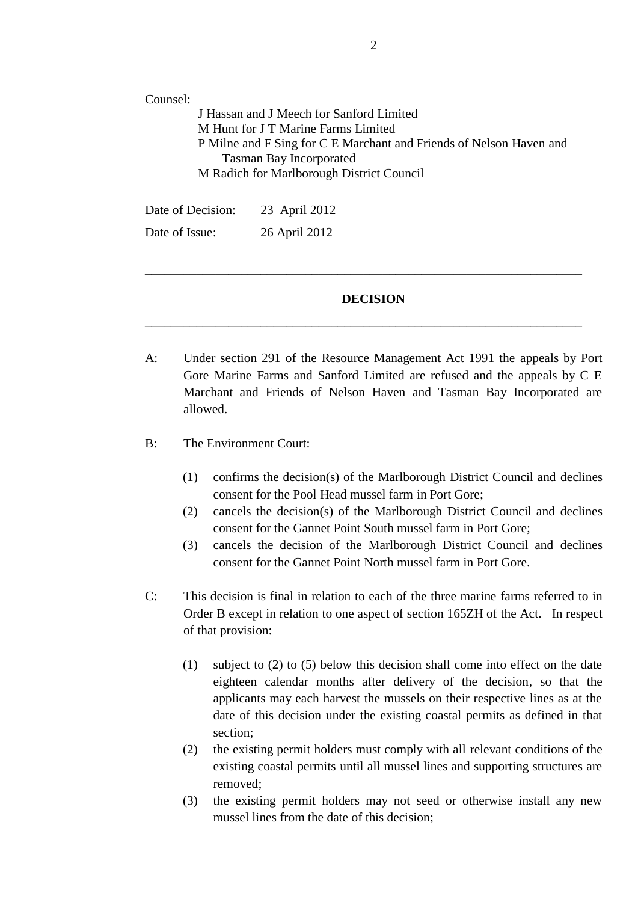Counsel:

J Hassan and J Meech for Sanford Limited M Hunt for J T Marine Farms Limited P Milne and F Sing for C E Marchant and Friends of Nelson Haven and Tasman Bay Incorporated M Radich for Marlborough District Council

| Date of Decision: | 23 April 2012 |
|-------------------|---------------|
| Date of Issue:    | 26 April 2012 |

#### **DECISION**

\_\_\_\_\_\_\_\_\_\_\_\_\_\_\_\_\_\_\_\_\_\_\_\_\_\_\_\_\_\_\_\_\_\_\_\_\_\_\_\_\_\_\_\_\_\_\_\_\_\_\_\_\_\_\_\_\_\_\_\_\_\_\_\_\_\_\_\_

\_\_\_\_\_\_\_\_\_\_\_\_\_\_\_\_\_\_\_\_\_\_\_\_\_\_\_\_\_\_\_\_\_\_\_\_\_\_\_\_\_\_\_\_\_\_\_\_\_\_\_\_\_\_\_\_\_\_\_\_\_\_\_\_\_\_\_\_

- A: Under section 291 of the Resource Management Act 1991 the appeals by Port Gore Marine Farms and Sanford Limited are refused and the appeals by C E Marchant and Friends of Nelson Haven and Tasman Bay Incorporated are allowed.
- B: The Environment Court:
	- (1) confirms the decision(s) of the Marlborough District Council and declines consent for the Pool Head mussel farm in Port Gore;
	- (2) cancels the decision(s) of the Marlborough District Council and declines consent for the Gannet Point South mussel farm in Port Gore;
	- (3) cancels the decision of the Marlborough District Council and declines consent for the Gannet Point North mussel farm in Port Gore.
- C: This decision is final in relation to each of the three marine farms referred to in Order B except in relation to one aspect of section 165ZH of the Act. In respect of that provision:
	- (1) subject to (2) to (5) below this decision shall come into effect on the date eighteen calendar months after delivery of the decision, so that the applicants may each harvest the mussels on their respective lines as at the date of this decision under the existing coastal permits as defined in that section;
	- (2) the existing permit holders must comply with all relevant conditions of the existing coastal permits until all mussel lines and supporting structures are removed;
	- (3) the existing permit holders may not seed or otherwise install any new mussel lines from the date of this decision;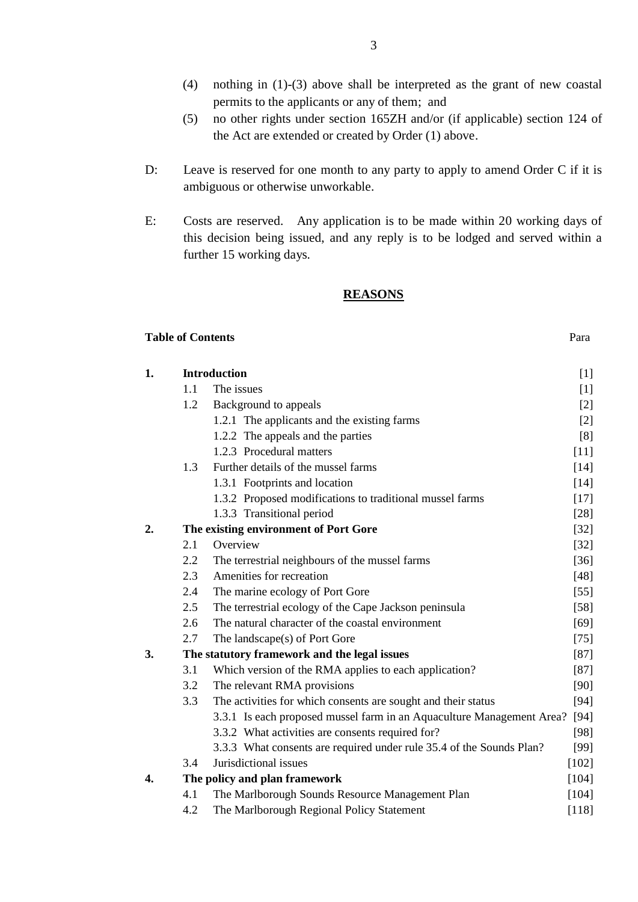- (5) no other rights under section 165ZH and/or (if applicable) section 124 of the Act are extended or created by Order (1) above.
- D: Leave is reserved for one month to any party to apply to amend Order C if it is ambiguous or otherwise unworkable.
- E: Costs are reserved. Any application is to be made within 20 working days of this decision being issued, and any reply is to be lodged and served within a further 15 working days.

# **REASONS**

| <b>Introduction</b><br>1.                                                  | $[1]$   |
|----------------------------------------------------------------------------|---------|
| The issues<br>1.1                                                          | $[1]$   |
| 1.2<br>Background to appeals                                               | $[2]$   |
| 1.2.1 The applicants and the existing farms                                | $[2]$   |
| 1.2.2 The appeals and the parties                                          | [8]     |
| 1.2.3 Procedural matters                                                   | $[11]$  |
| Further details of the mussel farms<br>1.3                                 | $[14]$  |
| 1.3.1 Footprints and location                                              | $[14]$  |
| 1.3.2 Proposed modifications to traditional mussel farms                   | $[17]$  |
| 1.3.3 Transitional period                                                  | $[28]$  |
| 2.<br>The existing environment of Port Gore                                | $[32]$  |
| 2.1<br>Overview                                                            | $[32]$  |
| 2.2<br>The terrestrial neighbours of the mussel farms                      | $[36]$  |
| 2.3<br>Amenities for recreation                                            | $[48]$  |
| The marine ecology of Port Gore<br>2.4                                     | $[55]$  |
| The terrestrial ecology of the Cape Jackson peninsula<br>2.5               | $[58]$  |
| The natural character of the coastal environment<br>2.6                    | $[69]$  |
| 2.7<br>The landscape(s) of Port Gore                                       | $[75]$  |
| The statutory framework and the legal issues<br>3.                         | $[87]$  |
| 3.1<br>Which version of the RMA applies to each application?               | [87]    |
| 3.2<br>The relevant RMA provisions                                         | [90]    |
| The activities for which consents are sought and their status<br>3.3       | $[94]$  |
| 3.3.1 Is each proposed mussel farm in an Aquaculture Management Area? [94] |         |
| 3.3.2 What activities are consents required for?                           | [98]    |
| 3.3.3 What consents are required under rule 35.4 of the Sounds Plan?       | [99]    |
| Jurisdictional issues<br>3.4                                               | $[102]$ |
| The policy and plan framework<br>4.                                        | $[104]$ |
| The Marlborough Sounds Resource Management Plan<br>4.1                     | $[104]$ |
| The Marlborough Regional Policy Statement<br>4.2                           | $[118]$ |

**Table of Contents** Para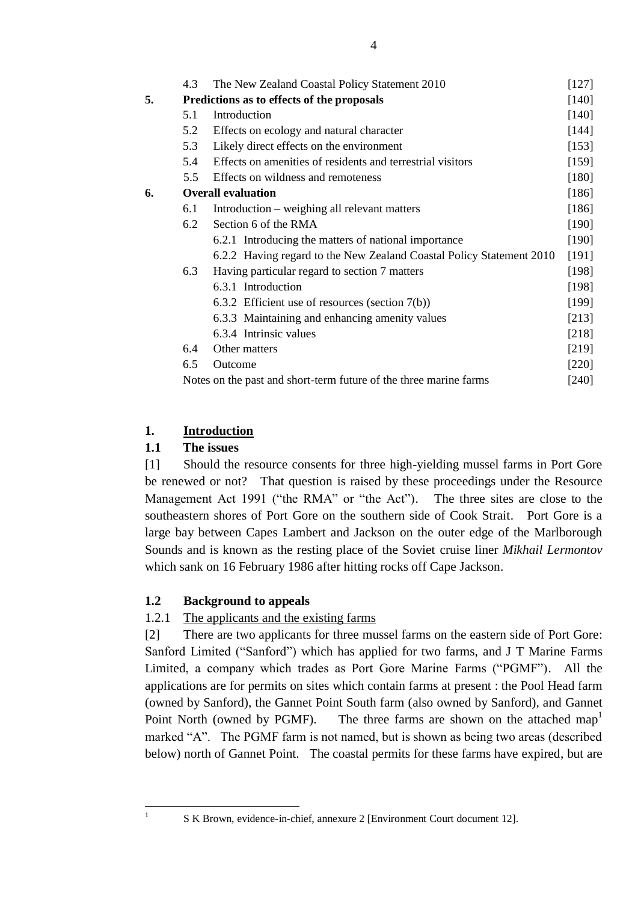|    | 4.3 | The New Zealand Coastal Policy Statement 2010                        | $[127]$ |
|----|-----|----------------------------------------------------------------------|---------|
| 5. |     | Predictions as to effects of the proposals                           | $[140]$ |
|    | 5.1 | Introduction                                                         | $[140]$ |
|    | 5.2 | Effects on ecology and natural character                             | [144]   |
|    | 5.3 | Likely direct effects on the environment                             | $[153]$ |
|    | 5.4 | Effects on amenities of residents and terrestrial visitors           | $[159]$ |
|    | 5.5 | Effects on wildness and remoteness                                   | $[180]$ |
| 6. |     | <b>Overall evaluation</b>                                            | [186]   |
|    | 6.1 | Introduction – weighing all relevant matters                         | $[186]$ |
|    | 6.2 | Section 6 of the RMA                                                 | [190]   |
|    |     | 6.2.1 Introducing the matters of national importance                 | $[190]$ |
|    |     | 6.2.2 Having regard to the New Zealand Coastal Policy Statement 2010 | $[191]$ |
|    | 6.3 | Having particular regard to section 7 matters                        | $[198]$ |
|    |     | 6.3.1 Introduction                                                   | [198]   |
|    |     | 6.3.2 Efficient use of resources (section $7(b)$ )                   | $[199]$ |
|    |     | 6.3.3 Maintaining and enhancing amenity values                       | $[213]$ |
|    |     | 6.3.4 Intrinsic values                                               | [218]   |
|    | 6.4 | Other matters                                                        | $[219]$ |
|    | 6.5 | Outcome                                                              | $[220]$ |
|    |     | Notes on the past and short-term future of the three marine farms    | $[240]$ |
|    |     |                                                                      |         |

# **1. Introduction**

## **1.1 The issues**

[1] Should the resource consents for three high-yielding mussel farms in Port Gore be renewed or not? That question is raised by these proceedings under the Resource Management Act 1991 ("the RMA" or "the Act"). The three sites are close to the southeastern shores of Port Gore on the southern side of Cook Strait. Port Gore is a large bay between Capes Lambert and Jackson on the outer edge of the Marlborough Sounds and is known as the resting place of the Soviet cruise liner *Mikhail Lermontov* which sank on 16 February 1986 after hitting rocks off Cape Jackson.

# **1.2 Background to appeals**

# 1.2.1 The applicants and the existing farms

[2] There are two applicants for three mussel farms on the eastern side of Port Gore: Sanford Limited ("Sanford") which has applied for two farms, and J T Marine Farms Limited, a company which trades as Port Gore Marine Farms ("PGMF"). All the applications are for permits on sites which contain farms at present : the Pool Head farm (owned by Sanford), the Gannet Point South farm (also owned by Sanford), and Gannet Point North (owned by PGMF). The three farms are shown on the attached map<sup>1</sup> marked "A". The PGMF farm is not named, but is shown as being two areas (described below) north of Gannet Point. The coastal permits for these farms have expired, but are

 $\frac{1}{1}$ 

S K Brown, evidence-in-chief, annexure 2 [Environment Court document 12].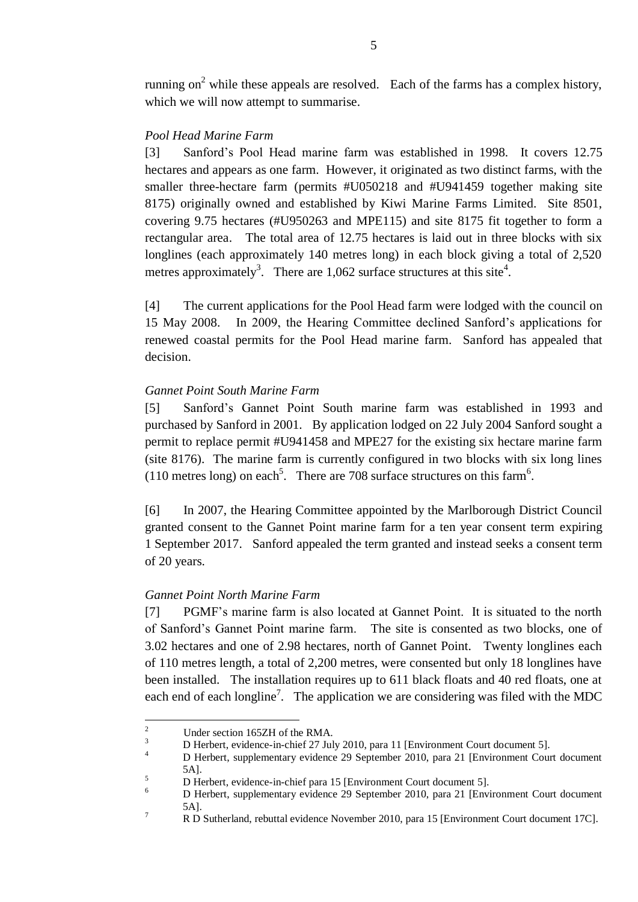running on<sup>2</sup> while these appeals are resolved. Each of the farms has a complex history, which we will now attempt to summarise.

#### *Pool Head Marine Farm*

[3] Sanford"s Pool Head marine farm was established in 1998. It covers 12.75 hectares and appears as one farm. However, it originated as two distinct farms, with the smaller three-hectare farm (permits #U050218 and #U941459 together making site 8175) originally owned and established by Kiwi Marine Farms Limited. Site 8501, covering 9.75 hectares (#U950263 and MPE115) and site 8175 fit together to form a rectangular area. The total area of 12.75 hectares is laid out in three blocks with six longlines (each approximately 140 metres long) in each block giving a total of 2,520 metres approximately<sup>3</sup>. There are 1,062 surface structures at this site<sup>4</sup>.

[4] The current applications for the Pool Head farm were lodged with the council on 15 May 2008. In 2009, the Hearing Committee declined Sanford"s applications for renewed coastal permits for the Pool Head marine farm. Sanford has appealed that decision.

#### *Gannet Point South Marine Farm*

[5] Sanford"s Gannet Point South marine farm was established in 1993 and purchased by Sanford in 2001. By application lodged on 22 July 2004 Sanford sought a permit to replace permit #U941458 and MPE27 for the existing six hectare marine farm (site 8176). The marine farm is currently configured in two blocks with six long lines (110 metres long) on each<sup>5</sup>. There are 708 surface structures on this farm<sup>6</sup>.

[6] In 2007, the Hearing Committee appointed by the Marlborough District Council granted consent to the Gannet Point marine farm for a ten year consent term expiring 1 September 2017. Sanford appealed the term granted and instead seeks a consent term of 20 years.

#### *Gannet Point North Marine Farm*

[7] PGMF"s marine farm is also located at Gannet Point. It is situated to the north of Sanford"s Gannet Point marine farm. The site is consented as two blocks, one of 3.02 hectares and one of 2.98 hectares, north of Gannet Point. Twenty longlines each of 110 metres length, a total of 2,200 metres, were consented but only 18 longlines have been installed. The installation requires up to 611 black floats and 40 red floats, one at each end of each longline<sup>7</sup>. The application we are considering was filed with the MDC

 $\overline{2}$  $\frac{2}{3}$  Under section 165ZH of the RMA.

 $\frac{3}{4}$  D Herbert, evidence-in-chief 27 July 2010, para 11 [Environment Court document 5].

<sup>4</sup> D Herbert, supplementary evidence 29 September 2010, para 21 [Environment Court document 5A].

 $\frac{5}{6}$  D Herbert, evidence-in-chief para 15 [Environment Court document 5].

<sup>6</sup> D Herbert, supplementary evidence 29 September 2010, para 21 [Environment Court document 5A].

<sup>&</sup>lt;sup>7</sup> R D Sutherland, rebuttal evidence November 2010, para 15 [Environment Court document 17C].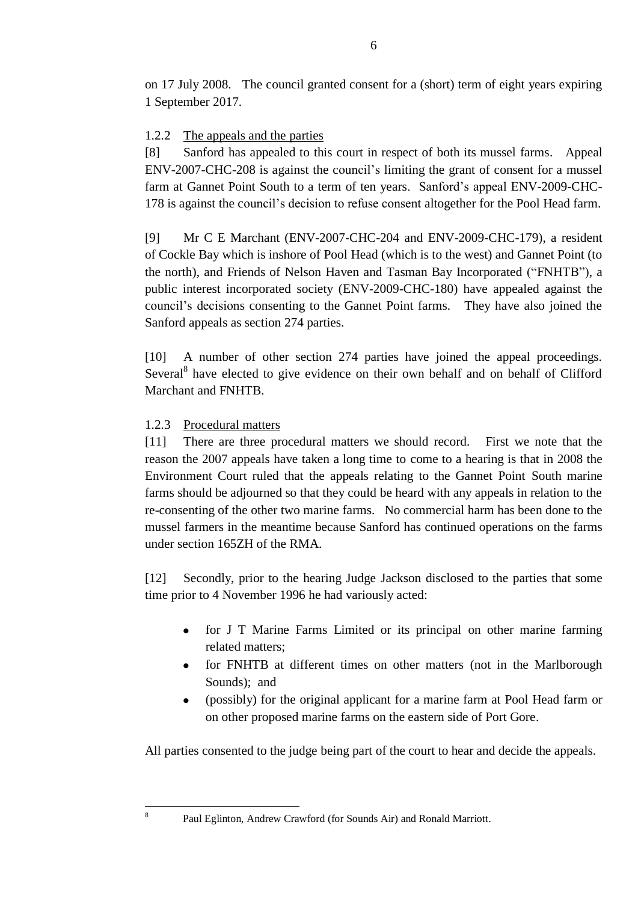on 17 July 2008. The council granted consent for a (short) term of eight years expiring 1 September 2017.

# 1.2.2 The appeals and the parties

[8] Sanford has appealed to this court in respect of both its mussel farms. Appeal ENV-2007-CHC-208 is against the council"s limiting the grant of consent for a mussel farm at Gannet Point South to a term of ten years. Sanford's appeal ENV-2009-CHC-178 is against the council"s decision to refuse consent altogether for the Pool Head farm.

[9] Mr C E Marchant (ENV-2007-CHC-204 and ENV-2009-CHC-179), a resident of Cockle Bay which is inshore of Pool Head (which is to the west) and Gannet Point (to the north), and Friends of Nelson Haven and Tasman Bay Incorporated ("FNHTB"), a public interest incorporated society (ENV-2009-CHC-180) have appealed against the council"s decisions consenting to the Gannet Point farms. They have also joined the Sanford appeals as section 274 parties.

[10] A number of other section 274 parties have joined the appeal proceedings. Several<sup>8</sup> have elected to give evidence on their own behalf and on behalf of Clifford Marchant and FNHTB.

# 1.2.3 Procedural matters

8

[11] There are three procedural matters we should record. First we note that the reason the 2007 appeals have taken a long time to come to a hearing is that in 2008 the Environment Court ruled that the appeals relating to the Gannet Point South marine farms should be adjourned so that they could be heard with any appeals in relation to the re-consenting of the other two marine farms. No commercial harm has been done to the mussel farmers in the meantime because Sanford has continued operations on the farms under section 165ZH of the RMA.

[12] Secondly, prior to the hearing Judge Jackson disclosed to the parties that some time prior to 4 November 1996 he had variously acted:

- for J T Marine Farms Limited or its principal on other marine farming  $\bullet$ related matters;
- $\bullet$ for FNHTB at different times on other matters (not in the Marlborough Sounds); and
- (possibly) for the original applicant for a marine farm at Pool Head farm or  $\bullet$ on other proposed marine farms on the eastern side of Port Gore.

All parties consented to the judge being part of the court to hear and decide the appeals.

Paul Eglinton, Andrew Crawford (for Sounds Air) and Ronald Marriott.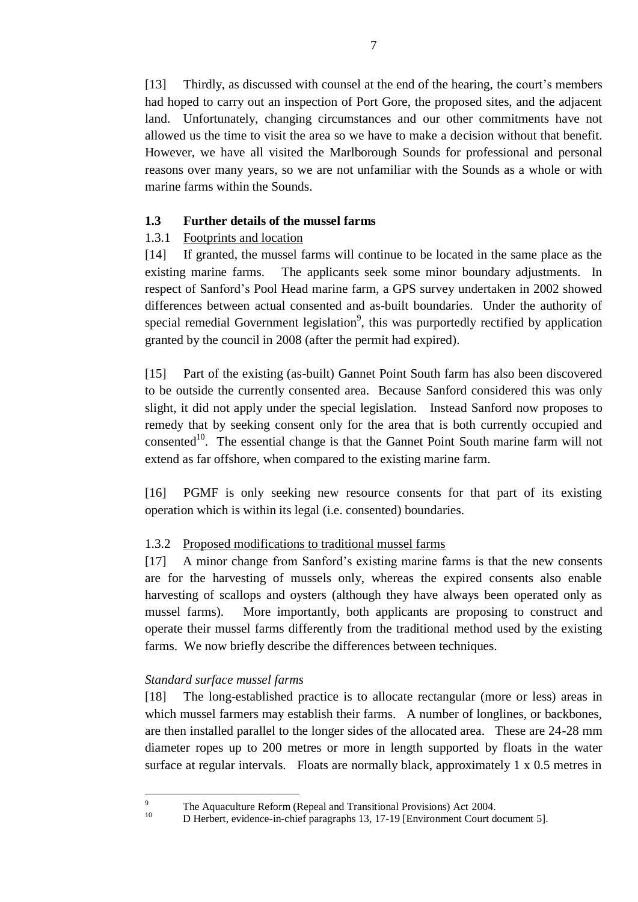[13] Thirdly, as discussed with counsel at the end of the hearing, the court's members had hoped to carry out an inspection of Port Gore, the proposed sites, and the adjacent land. Unfortunately, changing circumstances and our other commitments have not allowed us the time to visit the area so we have to make a decision without that benefit. However, we have all visited the Marlborough Sounds for professional and personal reasons over many years, so we are not unfamiliar with the Sounds as a whole or with marine farms within the Sounds.

# **1.3 Further details of the mussel farms**

# 1.3.1 Footprints and location

[14] If granted, the mussel farms will continue to be located in the same place as the existing marine farms. The applicants seek some minor boundary adjustments. In respect of Sanford"s Pool Head marine farm, a GPS survey undertaken in 2002 showed differences between actual consented and as-built boundaries. Under the authority of special remedial Government legislation<sup>9</sup>, this was purportedly rectified by application granted by the council in 2008 (after the permit had expired).

[15] Part of the existing (as-built) Gannet Point South farm has also been discovered to be outside the currently consented area. Because Sanford considered this was only slight, it did not apply under the special legislation. Instead Sanford now proposes to remedy that by seeking consent only for the area that is both currently occupied and consented $10$ . The essential change is that the Gannet Point South marine farm will not extend as far offshore, when compared to the existing marine farm.

[16] PGMF is only seeking new resource consents for that part of its existing operation which is within its legal (i.e. consented) boundaries.

# 1.3.2 Proposed modifications to traditional mussel farms

[17] A minor change from Sanford"s existing marine farms is that the new consents are for the harvesting of mussels only, whereas the expired consents also enable harvesting of scallops and oysters (although they have always been operated only as mussel farms). More importantly, both applicants are proposing to construct and operate their mussel farms differently from the traditional method used by the existing farms. We now briefly describe the differences between techniques.

# *Standard surface mussel farms*

-<br>9

[18] The long-established practice is to allocate rectangular (more or less) areas in which mussel farmers may establish their farms. A number of longlines, or backbones, are then installed parallel to the longer sides of the allocated area. These are 24-28 mm diameter ropes up to 200 metres or more in length supported by floats in the water surface at regular intervals. Floats are normally black, approximately 1 x 0.5 metres in

The Aquaculture Reform (Repeal and Transitional Provisions) Act 2004.

<sup>&</sup>lt;sup>10</sup> D Herbert, evidence-in-chief paragraphs 13, 17-19 [Environment Court document 5].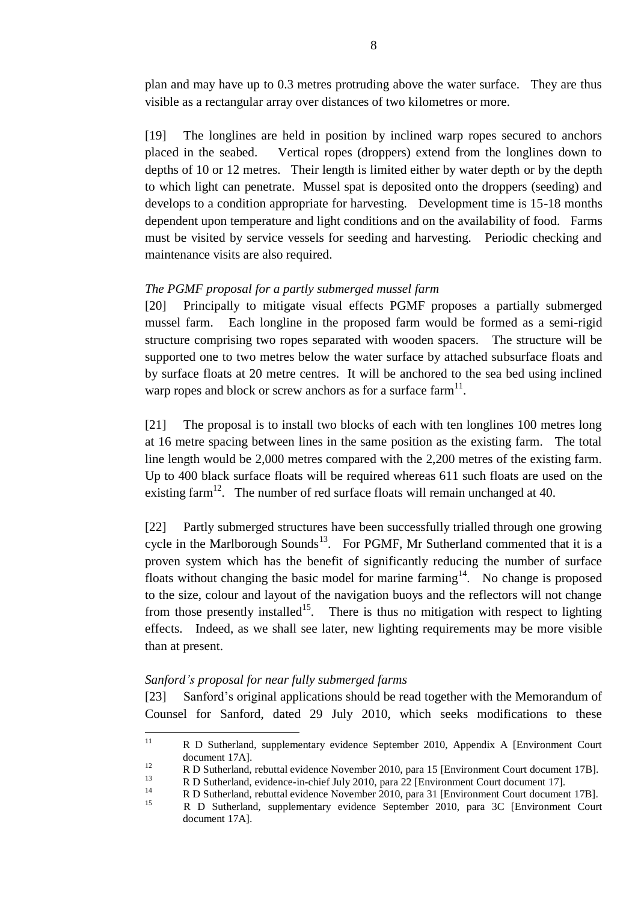plan and may have up to 0.3 metres protruding above the water surface. They are thus visible as a rectangular array over distances of two kilometres or more.

[19] The longlines are held in position by inclined warp ropes secured to anchors placed in the seabed. Vertical ropes (droppers) extend from the longlines down to depths of 10 or 12 metres. Their length is limited either by water depth or by the depth to which light can penetrate. Mussel spat is deposited onto the droppers (seeding) and develops to a condition appropriate for harvesting. Development time is 15-18 months dependent upon temperature and light conditions and on the availability of food. Farms must be visited by service vessels for seeding and harvesting. Periodic checking and maintenance visits are also required.

### *The PGMF proposal for a partly submerged mussel farm*

[20] Principally to mitigate visual effects PGMF proposes a partially submerged mussel farm. Each longline in the proposed farm would be formed as a semi-rigid structure comprising two ropes separated with wooden spacers. The structure will be supported one to two metres below the water surface by attached subsurface floats and by surface floats at 20 metre centres. It will be anchored to the sea bed using inclined warp ropes and block or screw anchors as for a surface farm $11$ .

[21] The proposal is to install two blocks of each with ten longlines 100 metres long at 16 metre spacing between lines in the same position as the existing farm. The total line length would be 2,000 metres compared with the 2,200 metres of the existing farm. Up to 400 black surface floats will be required whereas 611 such floats are used on the existing farm<sup>12</sup>. The number of red surface floats will remain unchanged at 40.

[22] Partly submerged structures have been successfully trialled through one growing cycle in the Marlborough Sounds<sup>13</sup>. For PGMF, Mr Sutherland commented that it is a proven system which has the benefit of significantly reducing the number of surface floats without changing the basic model for marine farming<sup>14</sup>. No change is proposed to the size, colour and layout of the navigation buoys and the reflectors will not change from those presently installed<sup>15</sup>. There is thus no mitigation with respect to lighting effects. Indeed, as we shall see later, new lighting requirements may be more visible than at present.

### *Sanford's proposal for near fully submerged farms*

[23] Sanford's original applications should be read together with the Memorandum of Counsel for Sanford, dated 29 July 2010, which seeks modifications to these

 $11$ <sup>11</sup> R D Sutherland, supplementary evidence September 2010, Appendix A [Environment Court document 17A].

<sup>12&</sup>lt;br>
12 R D Sutherland, rebuttal evidence November 2010, para 15 [Environment Court document 17B].<br>
13 R D Sutherland, ovidence in chief July 2010, para 22 [Environment Court document 17].

 $13$  R D Sutherland, evidence-in-chief July 2010, para 22 [Environment Court document 17].

 $14$  R D Sutherland, rebuttal evidence November 2010, para 31 [Environment Court document 17B].<br>  $P_{\text{D}}$  Sutherland, supplementary, evidence September 2010, para 3C [Environment Court

<sup>15</sup> R D Sutherland, supplementary evidence September 2010, para 3C [Environment Court document 17A].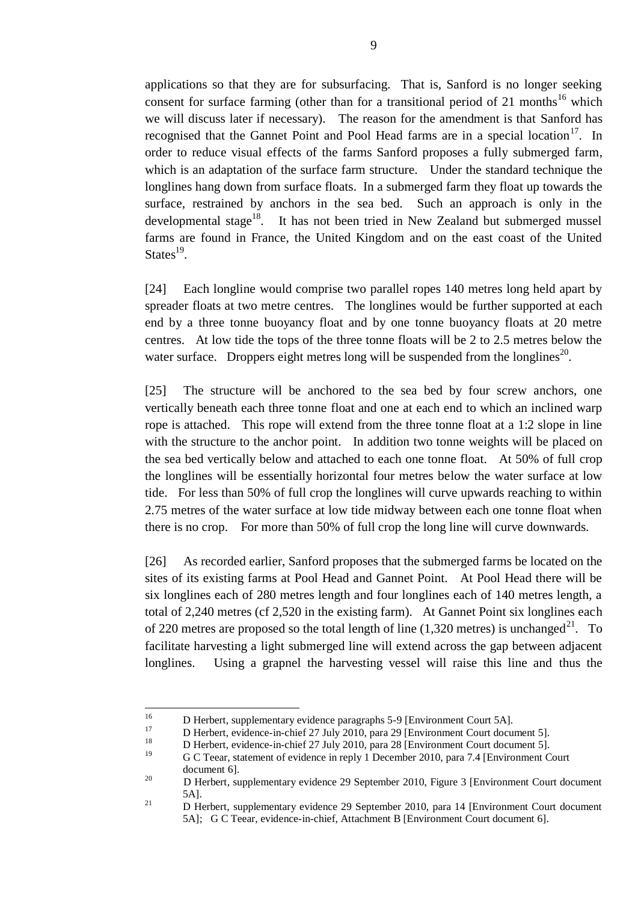applications so that they are for subsurfacing. That is, Sanford is no longer seeking consent for surface farming (other than for a transitional period of 21 months<sup>16</sup> which we will discuss later if necessary). The reason for the amendment is that Sanford has recognised that the Gannet Point and Pool Head farms are in a special location<sup>17</sup>. In order to reduce visual effects of the farms Sanford proposes a fully submerged farm, which is an adaptation of the surface farm structure. Under the standard technique the longlines hang down from surface floats. In a submerged farm they float up towards the surface, restrained by anchors in the sea bed. Such an approach is only in the developmental stage<sup>18</sup>. It has not been tried in New Zealand but submerged mussel farms are found in France, the United Kingdom and on the east coast of the United States $^{19}$ .

[24] Each longline would comprise two parallel ropes 140 metres long held apart by spreader floats at two metre centres. The longlines would be further supported at each end by a three tonne buoyancy float and by one tonne buoyancy floats at 20 metre centres. At low tide the tops of the three tonne floats will be 2 to 2.5 metres below the water surface. Droppers eight metres long will be suspended from the longlines<sup>20</sup>.

[25] The structure will be anchored to the sea bed by four screw anchors, one vertically beneath each three tonne float and one at each end to which an inclined warp rope is attached. This rope will extend from the three tonne float at a 1:2 slope in line with the structure to the anchor point. In addition two tonne weights will be placed on the sea bed vertically below and attached to each one tonne float. At 50% of full crop the longlines will be essentially horizontal four metres below the water surface at low tide. For less than 50% of full crop the longlines will curve upwards reaching to within 2.75 metres of the water surface at low tide midway between each one tonne float when there is no crop. For more than 50% of full crop the long line will curve downwards.

[26] As recorded earlier, Sanford proposes that the submerged farms be located on the sites of its existing farms at Pool Head and Gannet Point. At Pool Head there will be six longlines each of 280 metres length and four longlines each of 140 metres length, a total of 2,240 metres (cf 2,520 in the existing farm). At Gannet Point six longlines each of 220 metres are proposed so the total length of line  $(1,320 \text{ metres})$  is unchanged<sup>21</sup>. To facilitate harvesting a light submerged line will extend across the gap between adjacent longlines. Using a grapnel the harvesting vessel will raise this line and thus the

<sup>16</sup> <sup>16</sup> D Herbert, supplementary evidence paragraphs 5-9 [Environment Court 5A].

<sup>&</sup>lt;sup>17</sup> D Herbert, evidence-in-chief 27 July 2010, para 29 [Environment Court document 5].

<sup>&</sup>lt;sup>18</sup> D Herbert, evidence-in-chief 27 July 2010, para 28 [Environment Court document 5].

<sup>19</sup> G C Teear, statement of evidence in reply 1 December 2010, para 7.4 [Environment Court document 6].

<sup>&</sup>lt;sup>20</sup> D Herbert, supplementary evidence 29 September 2010, Figure 3 [Environment Court document 5A].

<sup>&</sup>lt;sup>21</sup> D Herbert, supplementary evidence 29 September 2010, para 14 [Environment Court document 5A]; G C Teear, evidence-in-chief, Attachment B [Environment Court document 6].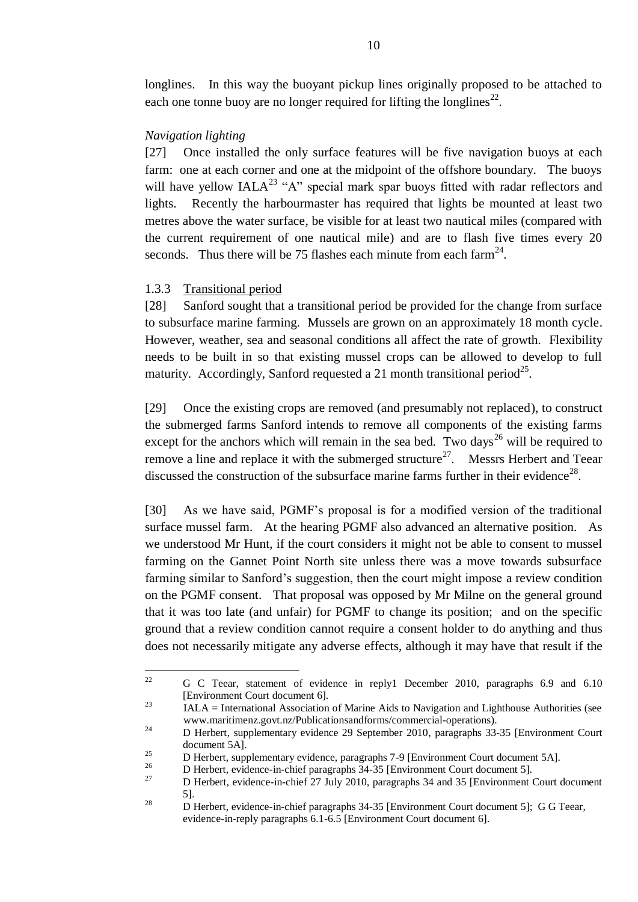longlines. In this way the buoyant pickup lines originally proposed to be attached to each one tonne buoy are no longer required for lifting the longlines<sup>22</sup>.

### *Navigation lighting*

[27] Once installed the only surface features will be five navigation buoys at each farm: one at each corner and one at the midpoint of the offshore boundary. The buoys will have yellow  $IALA^{23}$  "A" special mark spar buoys fitted with radar reflectors and lights. Recently the harbourmaster has required that lights be mounted at least two metres above the water surface, be visible for at least two nautical miles (compared with the current requirement of one nautical mile) and are to flash five times every 20 seconds. Thus there will be 75 flashes each minute from each farm<sup>24</sup>.

## 1.3.3 Transitional period

[28] Sanford sought that a transitional period be provided for the change from surface to subsurface marine farming. Mussels are grown on an approximately 18 month cycle. However, weather, sea and seasonal conditions all affect the rate of growth. Flexibility needs to be built in so that existing mussel crops can be allowed to develop to full maturity. Accordingly, Sanford requested a 21 month transitional period<sup>25</sup>.

[29] Once the existing crops are removed (and presumably not replaced), to construct the submerged farms Sanford intends to remove all components of the existing farms except for the anchors which will remain in the sea bed. Two days<sup>26</sup> will be required to remove a line and replace it with the submerged structure<sup>27</sup>. Messrs Herbert and Teear discussed the construction of the subsurface marine farms further in their evidence<sup>28</sup>.

[30] As we have said, PGMF"s proposal is for a modified version of the traditional surface mussel farm. At the hearing PGMF also advanced an alternative position. As we understood Mr Hunt, if the court considers it might not be able to consent to mussel farming on the Gannet Point North site unless there was a move towards subsurface farming similar to Sanford's suggestion, then the court might impose a review condition on the PGMF consent. That proposal was opposed by Mr Milne on the general ground that it was too late (and unfair) for PGMF to change its position; and on the specific ground that a review condition cannot require a consent holder to do anything and thus does not necessarily mitigate any adverse effects, although it may have that result if the

 $22$ <sup>22</sup> G C Teear, statement of evidence in reply1 December 2010, paragraphs 6.9 and 6.10 [Environment Court document 6].

 $23$  IALA = International Association of Marine Aids to Navigation and Lighthouse Authorities (see www.maritimenz.govt.nz/Publicationsandforms/commercial-operations).

<sup>&</sup>lt;sup>24</sup> D Herbert, supplementary evidence 29 September 2010, paragraphs  $33-35$  [Environment Court document 5A].

<sup>&</sup>lt;sup>25</sup> D Herbert, supplementary evidence, paragraphs 7-9 [Environment Court document 5A].

<sup>&</sup>lt;sup>26</sup> D Herbert, evidence-in-chief paragraphs  $34-35$  [Environment Court document 5].<br>27 D Herbert, evidence in chief 27 July 2010, personnels 24 and 25 [Environment]

<sup>27</sup> D Herbert, evidence-in-chief 27 July 2010, paragraphs 34 and 35 [Environment Court document 5].

<sup>&</sup>lt;sup>28</sup> D Herbert, evidence-in-chief paragraphs 34-35 [Environment Court document 5]; G G Teear, evidence-in-reply paragraphs 6.1-6.5 [Environment Court document 6].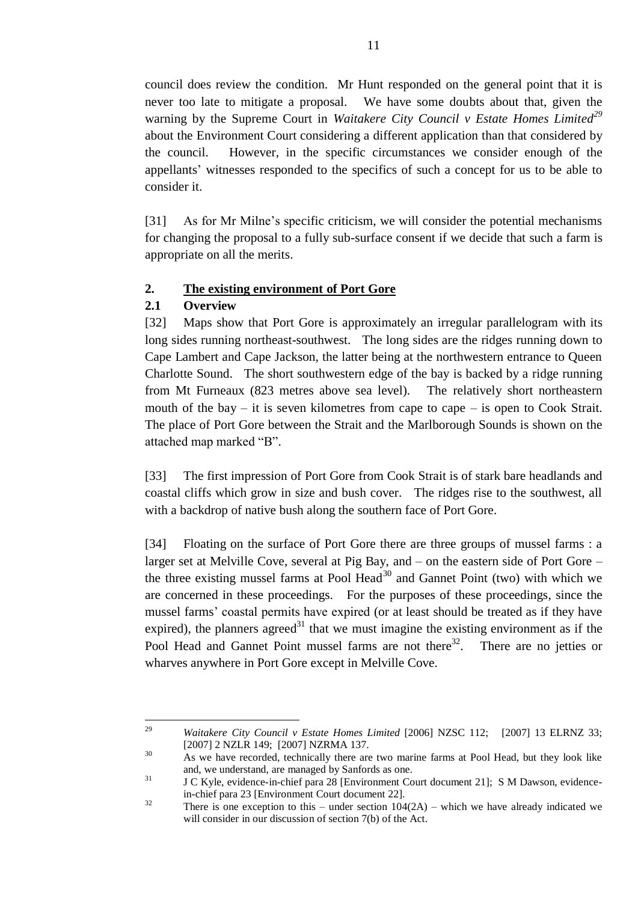council does review the condition. Mr Hunt responded on the general point that it is never too late to mitigate a proposal. We have some doubts about that, given the warning by the Supreme Court in *Waitakere City Council v Estate Homes Limited<sup>29</sup>* about the Environment Court considering a different application than that considered by the council. However, in the specific circumstances we consider enough of the appellants" witnesses responded to the specifics of such a concept for us to be able to consider it.

[31] As for Mr Milne's specific criticism, we will consider the potential mechanisms for changing the proposal to a fully sub-surface consent if we decide that such a farm is appropriate on all the merits.

# **2. The existing environment of Port Gore**

## **2.1 Overview**

[32] Maps show that Port Gore is approximately an irregular parallelogram with its long sides running northeast-southwest. The long sides are the ridges running down to Cape Lambert and Cape Jackson, the latter being at the northwestern entrance to Queen Charlotte Sound. The short southwestern edge of the bay is backed by a ridge running from Mt Furneaux (823 metres above sea level). The relatively short northeastern mouth of the bay – it is seven kilometres from cape to cape – is open to Cook Strait. The place of Port Gore between the Strait and the Marlborough Sounds is shown on the attached map marked "B".

[33] The first impression of Port Gore from Cook Strait is of stark bare headlands and coastal cliffs which grow in size and bush cover. The ridges rise to the southwest, all with a backdrop of native bush along the southern face of Port Gore.

[34] Floating on the surface of Port Gore there are three groups of mussel farms : a larger set at Melville Cove, several at Pig Bay, and – on the eastern side of Port Gore – the three existing mussel farms at Pool Head<sup>30</sup> and Gannet Point (two) with which we are concerned in these proceedings. For the purposes of these proceedings, since the mussel farms" coastal permits have expired (or at least should be treated as if they have expired), the planners agreed<sup>31</sup> that we must imagine the existing environment as if the Pool Head and Gannet Point mussel farms are not there $32$ . . There are no jetties or wharves anywhere in Port Gore except in Melville Cove.

 $\overline{a}$ <sup>29</sup> *Waitakere City Council v Estate Homes Limited* [2006] NZSC 112; [2007] 13 ELRNZ 33; [2007] 2 NZLR 149; [2007] NZRMA 137.

<sup>&</sup>lt;sup>30</sup> As we have recorded, technically there are two marine farms at Pool Head, but they look like and, we understand, are managed by Sanfords as one.

 $31 \text{ J C Kyle, evidence-in-chief para } 28 \text{ [Environment Court document } 21]; \text{ S M Dawson, evidence-}$ in-chief para 23 [Environment Court document 22].

 $32$  There is one exception to this – under section  $104(2A)$  – which we have already indicated we will consider in our discussion of section 7(b) of the Act.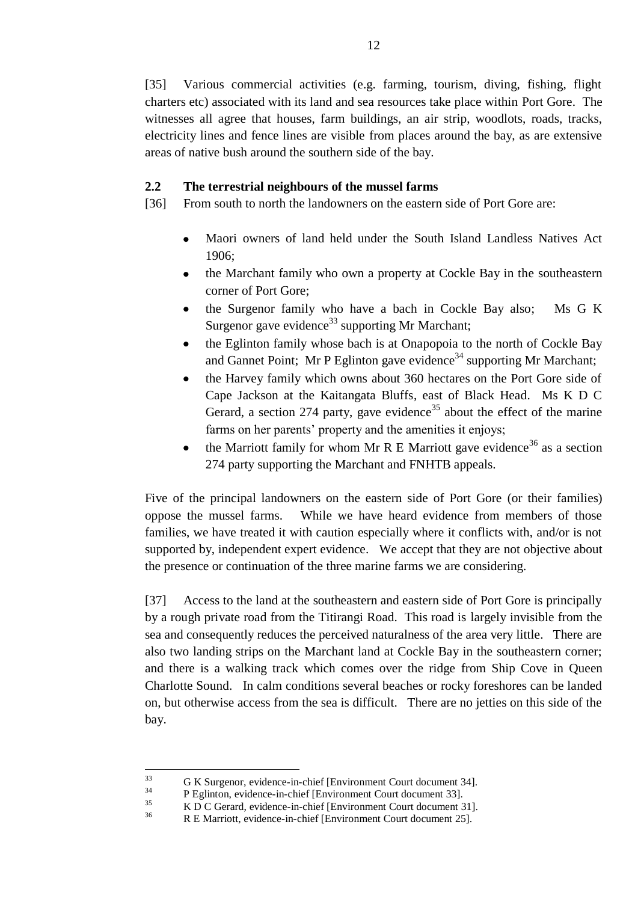[35] Various commercial activities (e.g. farming, tourism, diving, fishing, flight charters etc) associated with its land and sea resources take place within Port Gore. The witnesses all agree that houses, farm buildings, an air strip, woodlots, roads, tracks, electricity lines and fence lines are visible from places around the bay, as are extensive areas of native bush around the southern side of the bay.

## **2.2 The terrestrial neighbours of the mussel farms**

[36] From south to north the landowners on the eastern side of Port Gore are:

- Maori owners of land held under the South Island Landless Natives Act 1906;
- the Marchant family who own a property at Cockle Bay in the southeastern corner of Port Gore;
- the Surgenor family who have a bach in Cockle Bay also; Ms G K Surgenor gave evidence<sup>33</sup> supporting Mr Marchant;
- the Eglinton family whose bach is at Onapopoia to the north of Cockle Bay and Gannet Point; Mr P Eglinton gave evidence<sup>34</sup> supporting Mr Marchant;
- the Harvey family which owns about 360 hectares on the Port Gore side of Cape Jackson at the Kaitangata Bluffs, east of Black Head. Ms K D C Gerard, a section 274 party, gave evidence<sup>35</sup> about the effect of the marine farms on her parents' property and the amenities it enjoys;
- the Marriott family for whom Mr R E Marriott gave evidence<sup>36</sup> as a section 274 party supporting the Marchant and FNHTB appeals.

Five of the principal landowners on the eastern side of Port Gore (or their families) oppose the mussel farms. While we have heard evidence from members of those families, we have treated it with caution especially where it conflicts with, and/or is not supported by, independent expert evidence. We accept that they are not objective about the presence or continuation of the three marine farms we are considering.

[37] Access to the land at the southeastern and eastern side of Port Gore is principally by a rough private road from the Titirangi Road. This road is largely invisible from the sea and consequently reduces the perceived naturalness of the area very little. There are also two landing strips on the Marchant land at Cockle Bay in the southeastern corner; and there is a walking track which comes over the ridge from Ship Cove in Queen Charlotte Sound. In calm conditions several beaches or rocky foreshores can be landed on, but otherwise access from the sea is difficult. There are no jetties on this side of the bay.

 $\frac{35}{36}$  K D C Gerard, evidence-in-chief [Environment Court document 31].

<sup>33</sup>  $\frac{33}{34}$  G K Surgenor, evidence-in-chief [Environment Court document 34].

 $^{34}$  P Eglinton, evidence-in-chief [Environment Court document 33].

<sup>36</sup> R E Marriott, evidence-in-chief [Environment Court document 25].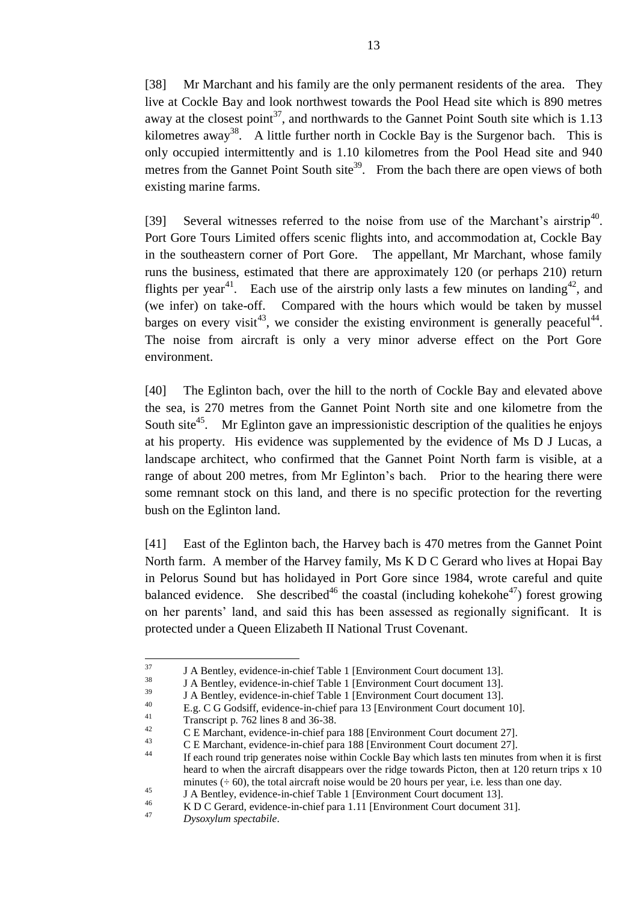[38] Mr Marchant and his family are the only permanent residents of the area. They live at Cockle Bay and look northwest towards the Pool Head site which is 890 metres away at the closest point<sup>37</sup>, and northwards to the Gannet Point South site which is  $1.13$ kilometres away<sup>38</sup>. A little further north in Cockle Bay is the Surgenor bach. This is only occupied intermittently and is 1.10 kilometres from the Pool Head site and 940 metres from the Gannet Point South site<sup>39</sup>. From the bach there are open views of both existing marine farms.

[39] Several witnesses referred to the noise from use of the Marchant's airstrip<sup>40</sup>. Port Gore Tours Limited offers scenic flights into, and accommodation at, Cockle Bay in the southeastern corner of Port Gore. The appellant, Mr Marchant, whose family runs the business, estimated that there are approximately 120 (or perhaps 210) return flights per year<sup>41</sup>. Each use of the airstrip only lasts a few minutes on landing<sup>42</sup>, and (we infer) on take-off. Compared with the hours which would be taken by mussel barges on every visit<sup>43</sup>, we consider the existing environment is generally peaceful<sup>44</sup>. The noise from aircraft is only a very minor adverse effect on the Port Gore environment.

[40] The Eglinton bach, over the hill to the north of Cockle Bay and elevated above the sea, is 270 metres from the Gannet Point North site and one kilometre from the South site<sup>45</sup>. Mr Eglinton gave an impressionistic description of the qualities he enjoys at his property. His evidence was supplemented by the evidence of Ms D J Lucas, a landscape architect, who confirmed that the Gannet Point North farm is visible, at a range of about 200 metres, from Mr Eglinton"s bach. Prior to the hearing there were some remnant stock on this land, and there is no specific protection for the reverting bush on the Eglinton land.

[41] East of the Eglinton bach, the Harvey bach is 470 metres from the Gannet Point North farm. A member of the Harvey family, Ms K D C Gerard who lives at Hopai Bay in Pelorus Sound but has holidayed in Port Gore since 1984, wrote careful and quite balanced evidence. She described<sup>46</sup> the coastal (including kohekohe<sup>47</sup>) forest growing on her parents" land, and said this has been assessed as regionally significant. It is protected under a Queen Elizabeth II National Trust Covenant.

37  $37 \text{ J A Bentley, evidence-in-chief Table 1 [Environment Court document 13].}$ 

 $\frac{38}{39}$  J A Bentley, evidence-in-chief Table 1 [Environment Court document 13].

 $39$  J A Bentley, evidence-in-chief Table 1 [Environment Court document 13].

<sup>&</sup>lt;sup>40</sup> E.g. C G Godsiff, evidence-in-chief para 13 [Environment Court document 10].

 $^{41}$  Transcript p. 762 lines 8 and 36-38.

<sup>&</sup>lt;sup>42</sup> C E Marchant, evidence-in-chief para 188 [Environment Court document 27].

 $^{43}$  C E Marchant, evidence-in-chief para 188 [Environment Court document 27].

If each round trip generates noise within Cockle Bay which lasts ten minutes from when it is first heard to when the aircraft disappears over the ridge towards Picton, then at 120 return trips x 10 minutes  $(-60)$ , the total aircraft noise would be 20 hours per year, i.e. less than one day.

<sup>45</sup> J A Bentley, evidence-in-chief Table 1 [Environment Court document 13].<br> $\kappa$  D C Gorard quidence in chief para 1.11 [Environment Court document 15].

 $^{46}$  K D C Gerard, evidence-in-chief para 1.11 [Environment Court document 31].<br>Dysocylum speetabile

<sup>47</sup> *Dysoxylum spectabile*.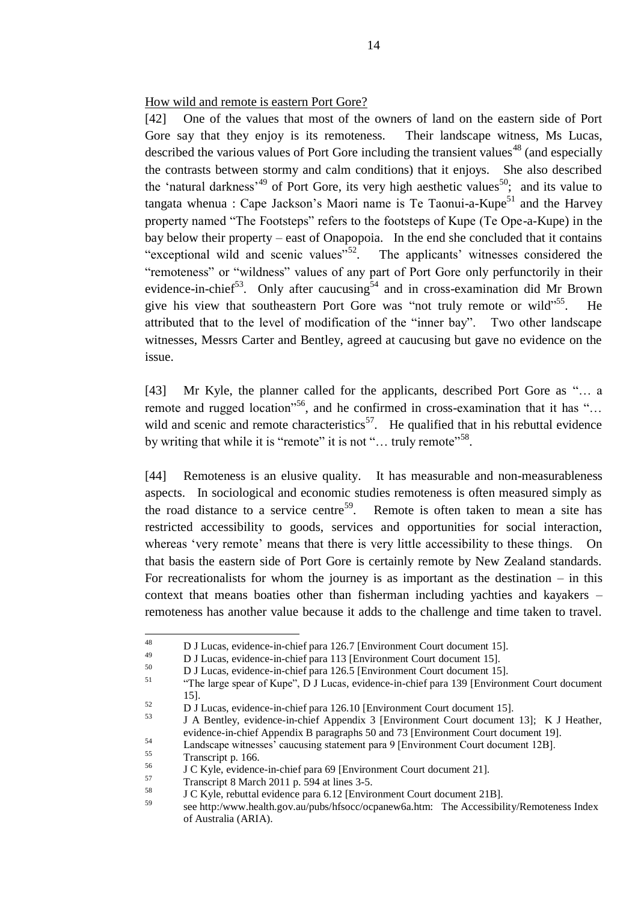How wild and remote is eastern Port Gore?

[42] One of the values that most of the owners of land on the eastern side of Port Gore say that they enjoy is its remoteness. Their landscape witness, Ms Lucas, described the various values of Port Gore including the transient values<sup>48</sup> (and especially the contrasts between stormy and calm conditions) that it enjoys. She also described the 'natural darkness'<sup>49</sup> of Port Gore, its very high aesthetic values<sup>50</sup>; and its value to tangata whenua : Cape Jackson's Maori name is Te Taonui-a-Kupe<sup>51</sup> and the Harvey property named "The Footsteps" refers to the footsteps of Kupe (Te Ope-a-Kupe) in the bay below their property – east of Onapopoia. In the end she concluded that it contains "exceptional wild and scenic values"<sup>52</sup>. The applicants' witnesses considered the "remoteness" or "wildness" values of any part of Port Gore only perfunctorily in their evidence-in-chief<sup>53</sup>. Only after caucusing<sup>54</sup> and in cross-examination did Mr Brown give his view that southeastern Port Gore was "not truly remote or wild"<sup>55</sup>. <sup>55</sup>. He attributed that to the level of modification of the "inner bay". Two other landscape witnesses, Messrs Carter and Bentley, agreed at caucusing but gave no evidence on the issue.

[43] Mr Kyle, the planner called for the applicants, described Port Gore as "... a remote and rugged location"<sup>56</sup>, and he confirmed in cross-examination that it has "... wild and scenic and remote characteristics<sup>57</sup>. He qualified that in his rebuttal evidence by writing that while it is "remote" it is not "... truly remote"<sup>58</sup>.

[44] Remoteness is an elusive quality. It has measurable and non-measurableness aspects. In sociological and economic studies remoteness is often measured simply as the road distance to a service centre<sup>59</sup>. Remote is often taken to mean a site has restricted accessibility to goods, services and opportunities for social interaction, whereas 'very remote' means that there is very little accessibility to these things. On that basis the eastern side of Port Gore is certainly remote by New Zealand standards. For recreationalists for whom the journey is as important as the destination  $-$  in this context that means boaties other than fisherman including yachties and kayakers – remoteness has another value because it adds to the challenge and time taken to travel.

<sup>48</sup>  $^{48}$  D J Lucas, evidence-in-chief para 126.7 [Environment Court document 15].<br> $^{49}$  D J J uses, evidence in chief para 113 [Environment Court document 15].

 $^{49}$  D J Lucas, evidence-in-chief para 113 [Environment Court document 15].

 $^{50}$  D J Lucas, evidence-in-chief para 126.5 [Environment Court document 15].

<sup>51</sup> "The large spear of Kupe", D J Lucas, evidence-in-chief para 139 [Environment Court document 15].

 $52$  D J Lucas, evidence-in-chief para 126.10 [Environment Court document 15].

<sup>53</sup> J A Bentley, evidence-in-chief Appendix 3 [Environment Court document 13]; K J Heather, evidence-in-chief Appendix B paragraphs 50 and 73 [Environment Court document 19].

<sup>&</sup>lt;sup>54</sup><br>Landscape witnesses' caucusing statement para 9 [Environment Court document 12B].

 $\frac{55}{56}$  Transcript p. 166.

 $^{56}$  J C Kyle, evidence-in-chief para 69 [Environment Court document 21].<br> $^{57}$  Transcript 8 March 2011 p. 504 at lines 3.5

 $^{57}$  Transcript 8 March 2011 p. 594 at lines 3-5.<br>  $^{58}$  J.C. Kula, as buttel avidance name 6.12 Finalize

 $58$  J C Kyle, rebuttal evidence para 6.12 [Environment Court document 21B].<br>
see http://www.health.gov.gu/pubs/hfsoeo/ocpanow6a.htm: The Accessibil

see http:/www.health.gov.au/pubs/hfsocc/ocpanew6a.htm: The Accessibility/Remoteness Index of Australia (ARIA).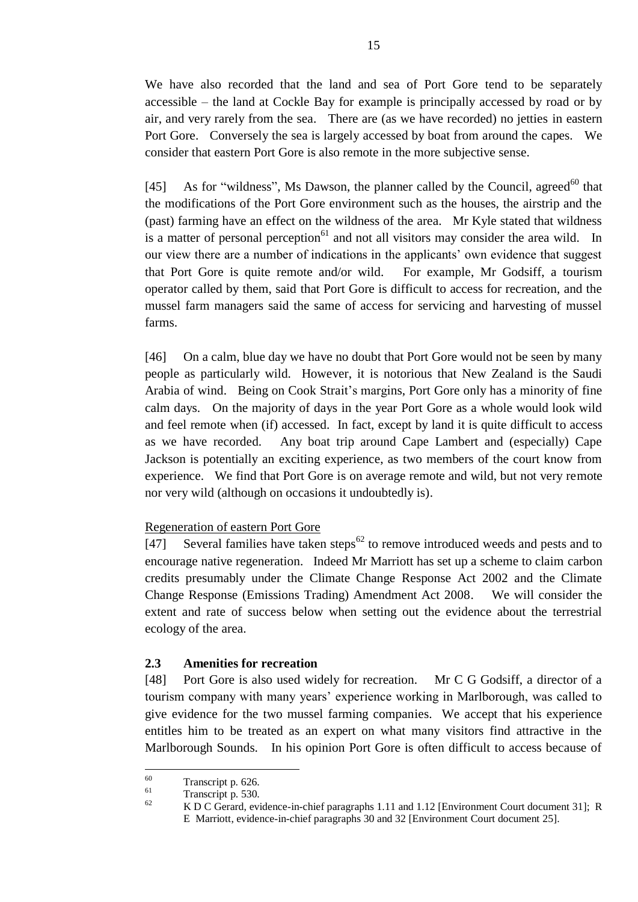We have also recorded that the land and sea of Port Gore tend to be separately accessible – the land at Cockle Bay for example is principally accessed by road or by air, and very rarely from the sea. There are (as we have recorded) no jetties in eastern Port Gore. Conversely the sea is largely accessed by boat from around the capes. We consider that eastern Port Gore is also remote in the more subjective sense.

[45] As for "wildness", Ms Dawson, the planner called by the Council, agreed<sup>60</sup> that the modifications of the Port Gore environment such as the houses, the airstrip and the (past) farming have an effect on the wildness of the area. Mr Kyle stated that wildness is a matter of personal perception<sup>61</sup> and not all visitors may consider the area wild. In our view there are a number of indications in the applicants" own evidence that suggest that Port Gore is quite remote and/or wild. For example, Mr Godsiff, a tourism operator called by them, said that Port Gore is difficult to access for recreation, and the mussel farm managers said the same of access for servicing and harvesting of mussel farms.

[46] On a calm, blue day we have no doubt that Port Gore would not be seen by many people as particularly wild. However, it is notorious that New Zealand is the Saudi Arabia of wind. Being on Cook Strait"s margins, Port Gore only has a minority of fine calm days. On the majority of days in the year Port Gore as a whole would look wild and feel remote when (if) accessed. In fact, except by land it is quite difficult to access as we have recorded. Any boat trip around Cape Lambert and (especially) Cape Jackson is potentially an exciting experience, as two members of the court know from experience. We find that Port Gore is on average remote and wild, but not very remote nor very wild (although on occasions it undoubtedly is).

### Regeneration of eastern Port Gore

[47] Several families have taken steps<sup>62</sup> to remove introduced weeds and pests and to encourage native regeneration. Indeed Mr Marriott has set up a scheme to claim carbon credits presumably under the Climate Change Response Act 2002 and the Climate Change Response (Emissions Trading) Amendment Act 2008. We will consider the extent and rate of success below when setting out the evidence about the terrestrial ecology of the area.

### **2.3 Amenities for recreation**

[48] Port Gore is also used widely for recreation. Mr C G Godsiff, a director of a tourism company with many years" experience working in Marlborough, was called to give evidence for the two mussel farming companies. We accept that his experience entitles him to be treated as an expert on what many visitors find attractive in the Marlborough Sounds. In his opinion Port Gore is often difficult to access because of

<sup>60</sup>  $\frac{60}{61}$  Transcript p. 626.

 $^{61}$  Transcript p. 530.

<sup>62</sup> K D C Gerard, evidence-in-chief paragraphs 1.11 and 1.12 [Environment Court document 31]; R E Marriott, evidence-in-chief paragraphs 30 and 32 [Environment Court document 25].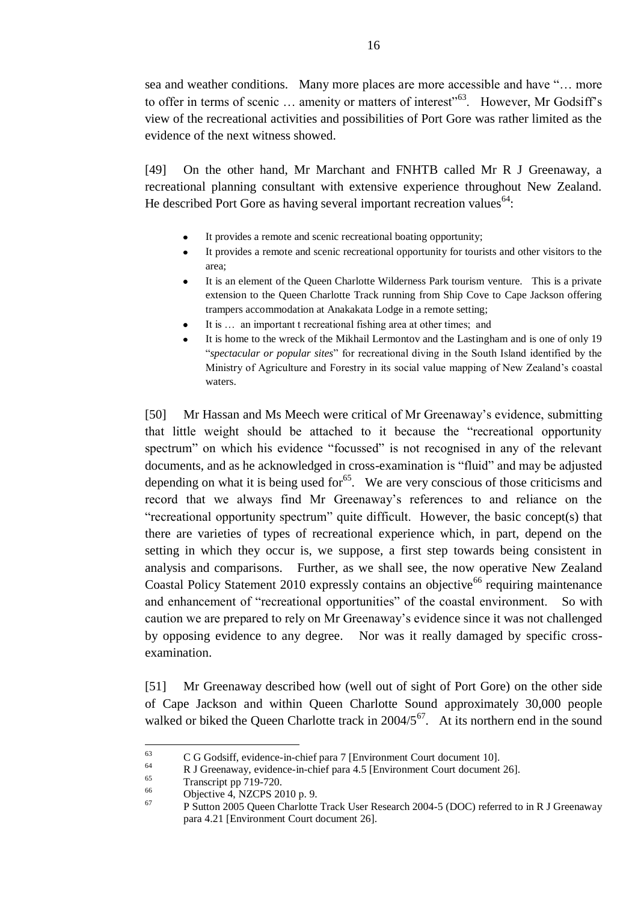sea and weather conditions. Many more places are more accessible and have "… more to offer in terms of scenic ... amenity or matters of interest<sup>"63</sup>. However, Mr Godsiff's view of the recreational activities and possibilities of Port Gore was rather limited as the evidence of the next witness showed.

[49] On the other hand, Mr Marchant and FNHTB called Mr R J Greenaway, a recreational planning consultant with extensive experience throughout New Zealand. He described Port Gore as having several important recreation values  $64$ :

- It provides a remote and scenic recreational boating opportunity;
- It provides a remote and scenic recreational opportunity for tourists and other visitors to the area;
- It is an element of the Queen Charlotte Wilderness Park tourism venture. This is a private  $\bullet$ extension to the Queen Charlotte Track running from Ship Cove to Cape Jackson offering trampers accommodation at Anakakata Lodge in a remote setting;
- It is … an important t recreational fishing area at other times; and
- It is home to the wreck of the Mikhail Lermontov and the Lastingham and is one of only 19 "*spectacular or popular sites*" for recreational diving in the South Island identified by the Ministry of Agriculture and Forestry in its social value mapping of New Zealand"s coastal waters.

[50] Mr Hassan and Ms Meech were critical of Mr Greenaway"s evidence, submitting that little weight should be attached to it because the "recreational opportunity spectrum" on which his evidence "focussed" is not recognised in any of the relevant documents, and as he acknowledged in cross-examination is "fluid" and may be adjusted depending on what it is being used for<sup>65</sup>. We are very conscious of those criticisms and record that we always find Mr Greenaway"s references to and reliance on the "recreational opportunity spectrum" quite difficult. However, the basic concept(s) that there are varieties of types of recreational experience which, in part, depend on the setting in which they occur is, we suppose, a first step towards being consistent in analysis and comparisons. Further, as we shall see, the now operative New Zealand Coastal Policy Statement 2010 expressly contains an objective<sup>66</sup> requiring maintenance and enhancement of "recreational opportunities" of the coastal environment. So with caution we are prepared to rely on Mr Greenaway"s evidence since it was not challenged by opposing evidence to any degree. Nor was it really damaged by specific crossexamination.

[51] Mr Greenaway described how (well out of sight of Port Gore) on the other side of Cape Jackson and within Queen Charlotte Sound approximately 30,000 people walked or biked the Queen Charlotte track in  $2004/5^{67}$ . At its northern end in the sound

<sup>63</sup>  $^{63}$  C G Godsiff, evidence-in-chief para 7 [Environment Court document 10].

 $^{64}$  R J Greenaway, evidence-in-chief para 4.5 [Environment Court document 26].<br>
Transcript pp 710 720

 $^{65}$  Transcript pp 719-720.

 $^{66}$  Objective 4, NZCPS 2010 p. 9.

<sup>67</sup> P Sutton 2005 Queen Charlotte Track User Research 2004-5 (DOC) referred to in R J Greenaway para 4.21 [Environment Court document 26].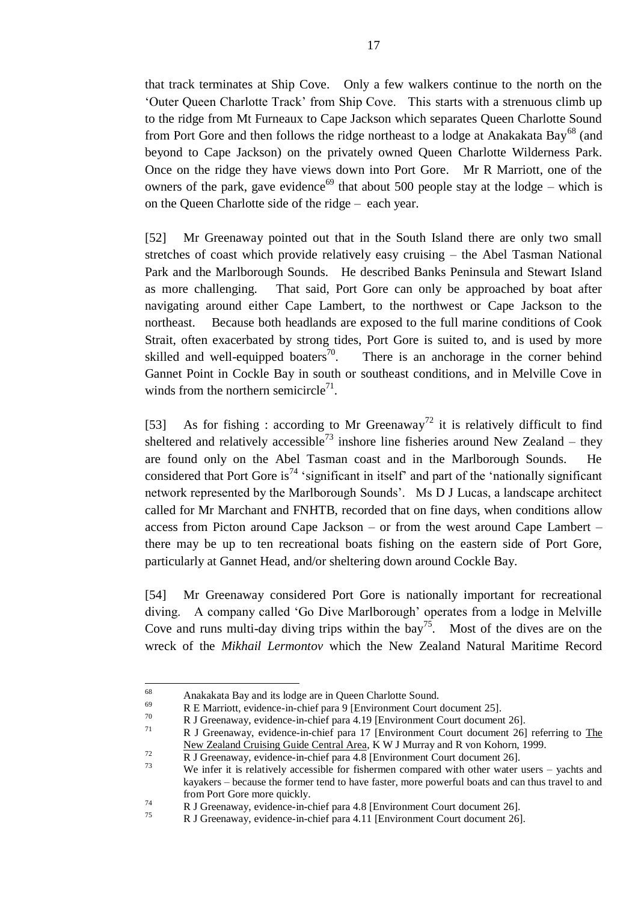that track terminates at Ship Cove. Only a few walkers continue to the north on the "Outer Queen Charlotte Track" from Ship Cove. This starts with a strenuous climb up to the ridge from Mt Furneaux to Cape Jackson which separates Queen Charlotte Sound from Port Gore and then follows the ridge northeast to a lodge at Anakakata Bay<sup>68</sup> (and beyond to Cape Jackson) on the privately owned Queen Charlotte Wilderness Park. Once on the ridge they have views down into Port Gore. Mr R Marriott, one of the owners of the park, gave evidence<sup>69</sup> that about 500 people stay at the lodge – which is on the Queen Charlotte side of the ridge – each year.

[52] Mr Greenaway pointed out that in the South Island there are only two small stretches of coast which provide relatively easy cruising – the Abel Tasman National Park and the Marlborough Sounds. He described Banks Peninsula and Stewart Island as more challenging. That said, Port Gore can only be approached by boat after navigating around either Cape Lambert, to the northwest or Cape Jackson to the northeast. Because both headlands are exposed to the full marine conditions of Cook Strait, often exacerbated by strong tides, Port Gore is suited to, and is used by more skilled and well-equipped boaters<sup>70</sup>. . There is an anchorage in the corner behind Gannet Point in Cockle Bay in south or southeast conditions, and in Melville Cove in winds from the northern semicircle<sup>71</sup>.

[53] As for fishing : according to Mr Greenaway<sup>72</sup> it is relatively difficult to find sheltered and relatively accessible<sup>73</sup> inshore line fisheries around New Zealand – they are found only on the Abel Tasman coast and in the Marlborough Sounds. He considered that Port Gore is<sup>74</sup> 'significant in itself' and part of the 'nationally significant network represented by the Marlborough Sounds". Ms D J Lucas, a landscape architect called for Mr Marchant and FNHTB, recorded that on fine days, when conditions allow access from Picton around Cape Jackson – or from the west around Cape Lambert – there may be up to ten recreational boats fishing on the eastern side of Port Gore, particularly at Gannet Head, and/or sheltering down around Cockle Bay.

[54] Mr Greenaway considered Port Gore is nationally important for recreational diving. A company called "Go Dive Marlborough" operates from a lodge in Melville Cove and runs multi-day diving trips within the bay<sup>75</sup>. Most of the dives are on the wreck of the *Mikhail Lermontov* which the New Zealand Natural Maritime Record

<sup>68</sup>  $^{68}$  Anakakata Bay and its lodge are in Queen Charlotte Sound.

 $^{69}$  R E Marriott, evidence-in-chief para 9 [Environment Court document 25].

 $^{70}$  R J Greenaway, evidence-in-chief para 4.19 [Environment Court document 26].

<sup>71</sup> R J Greenaway, evidence-in-chief para 17 [Environment Court document 26] referring to The New Zealand Cruising Guide Central Area, K W J Murray and R von Kohorn, 1999.

<sup>72</sup> R J Greenaway, evidence-in-chief para 4.8 [Environment Court document 26].

We infer it is relatively accessible for fishermen compared with other water users – yachts and kayakers – because the former tend to have faster, more powerful boats and can thus travel to and from Port Gore more quickly.

 $\frac{74}{15}$  R J Greenaway, evidence-in-chief para 4.8 [Environment Court document 26].

<sup>75</sup> R J Greenaway, evidence-in-chief para 4.11 [Environment Court document 26].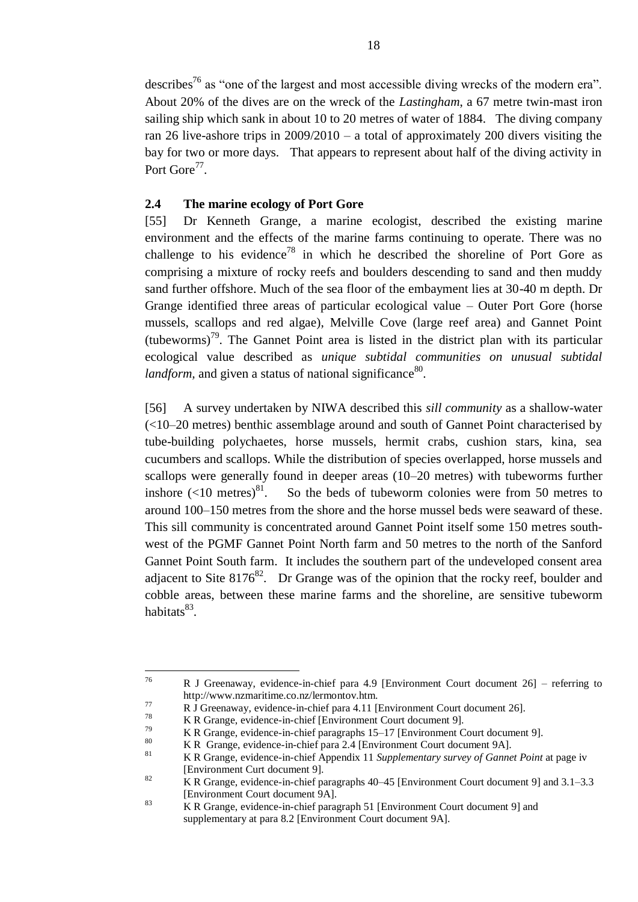describes<sup>76</sup> as "one of the largest and most accessible diving wrecks of the modern era". About 20% of the dives are on the wreck of the *Lastingham*, a 67 metre twin-mast iron sailing ship which sank in about 10 to 20 metres of water of 1884. The diving company ran 26 live-ashore trips in 2009/2010 – a total of approximately 200 divers visiting the bay for two or more days. That appears to represent about half of the diving activity in Port Gore<sup>77</sup>.

#### **2.4 The marine ecology of Port Gore**

[55] Dr Kenneth Grange, a marine ecologist, described the existing marine environment and the effects of the marine farms continuing to operate. There was no challenge to his evidence<sup>78</sup> in which he described the shoreline of Port Gore as comprising a mixture of rocky reefs and boulders descending to sand and then muddy sand further offshore. Much of the sea floor of the embayment lies at 30-40 m depth. Dr Grange identified three areas of particular ecological value – Outer Port Gore (horse mussels, scallops and red algae), Melville Cove (large reef area) and Gannet Point (tubeworms)<sup>79</sup>. The Gannet Point area is listed in the district plan with its particular ecological value described as *unique subtidal communities on unusual subtidal*  landform, and given a status of national significance<sup>80</sup>.

[56] A survey undertaken by NIWA described this *sill community* as a shallow-water (<10–20 metres) benthic assemblage around and south of Gannet Point characterised by tube-building polychaetes, horse mussels, hermit crabs, cushion stars, kina, sea cucumbers and scallops. While the distribution of species overlapped, horse mussels and scallops were generally found in deeper areas (10–20 metres) with tubeworms further inshore  $(<10$  metres)<sup>81</sup> . So the beds of tubeworm colonies were from 50 metres to around 100–150 metres from the shore and the horse mussel beds were seaward of these. This sill community is concentrated around Gannet Point itself some 150 metres southwest of the PGMF Gannet Point North farm and 50 metres to the north of the Sanford Gannet Point South farm. It includes the southern part of the undeveloped consent area adjacent to Site  $8176^{82}$ . Dr Grange was of the opinion that the rocky reef, boulder and cobble areas, between these marine farms and the shoreline, are sensitive tubeworm habitats<sup>83</sup>.

<sup>76</sup> <sup>76</sup> R J Greenaway, evidence-in-chief para 4.9 [Environment Court document 26] – referring to http://www.nzmaritime.co.nz/lermontov.htm.

 $\frac{77}{78}$  R J Greenaway, evidence-in-chief para 4.11 [Environment Court document 26].

 $\frac{78}{79}$  K R Grange, evidence-in-chief [Environment Court document 9].

 $\frac{79}{180}$  K R Grange, evidence-in-chief paragraphs 15–17 [Environment Court document 9].

 $80$  K R Grange, evidence-in-chief para 2.4 [Environment Court document 9A].

<sup>81</sup> K R Grange, evidence-in-chief Appendix 11 *Supplementary survey of Gannet Point* at page iv [Environment Curt document 9].

 $R^2$  K R Grange, evidence-in-chief paragraphs 40–45 [Environment Court document 9] and 3.1–3.3 [Environment Court document 9A].

<sup>83</sup> K R Grange, evidence-in-chief paragraph 51 [Environment Court document 9] and supplementary at para 8.2 [Environment Court document 9A].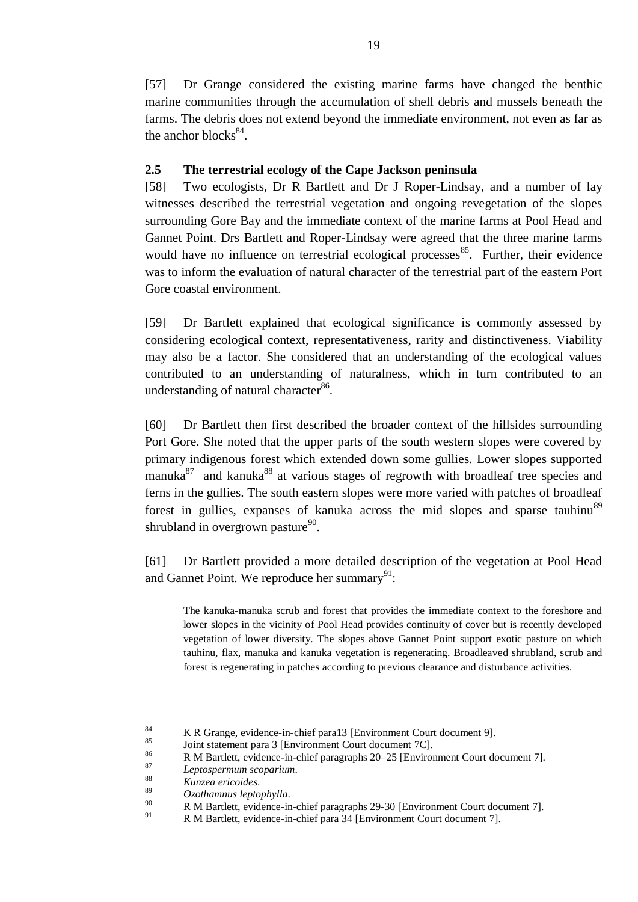[57] Dr Grange considered the existing marine farms have changed the benthic marine communities through the accumulation of shell debris and mussels beneath the farms. The debris does not extend beyond the immediate environment, not even as far as the anchor blocks $84$ .

## **2.5 The terrestrial ecology of the Cape Jackson peninsula**

[58] Two ecologists, Dr R Bartlett and Dr J Roper-Lindsay, and a number of lay witnesses described the terrestrial vegetation and ongoing revegetation of the slopes surrounding Gore Bay and the immediate context of the marine farms at Pool Head and Gannet Point. Drs Bartlett and Roper-Lindsay were agreed that the three marine farms would have no influence on terrestrial ecological processes<sup>85</sup>. Further, their evidence was to inform the evaluation of natural character of the terrestrial part of the eastern Port Gore coastal environment.

[59] Dr Bartlett explained that ecological significance is commonly assessed by considering ecological context, representativeness, rarity and distinctiveness. Viability may also be a factor. She considered that an understanding of the ecological values contributed to an understanding of naturalness, which in turn contributed to an understanding of natural character<sup>86</sup>.

[60] Dr Bartlett then first described the broader context of the hillsides surrounding Port Gore. She noted that the upper parts of the south western slopes were covered by primary indigenous forest which extended down some gullies. Lower slopes supported manuka $87$  and kanuka<sup>88</sup> at various stages of regrowth with broadleaf tree species and ferns in the gullies. The south eastern slopes were more varied with patches of broadleaf forest in gullies, expanses of kanuka across the mid slopes and sparse tauhinu<sup>89</sup> shrubland in overgrown pasture<sup>90</sup>.

[61] Dr Bartlett provided a more detailed description of the vegetation at Pool Head and Gannet Point. We reproduce her summary $91$ :

The kanuka-manuka scrub and forest that provides the immediate context to the foreshore and lower slopes in the vicinity of Pool Head provides continuity of cover but is recently developed vegetation of lower diversity. The slopes above Gannet Point support exotic pasture on which tauhinu, flax, manuka and kanuka vegetation is regenerating. Broadleaved shrubland, scrub and forest is regenerating in patches according to previous clearance and disturbance activities.

 $\overline{a}$ 

 $R$  K R Grange, evidence-in-chief para13 [Environment Court document 9].

 $\frac{85}{100}$  Joint statement para 3 [Environment Court document 7C].

<sup>&</sup>lt;sup>86</sup> R M Bartlett, evidence-in-chief paragraphs 20–25 [Environment Court document 7].

<sup>87</sup> *Leptospermum scoparium*.

<sup>88</sup> *Kunzea ericoides*.

<sup>89</sup> *Ozothamnus leptophylla*.

 $^{90}$  R M Bartlett, evidence-in-chief paragraphs 29-30 [Environment Court document 7].

R M Bartlett, evidence-in-chief para 34 [Environment Court document 7].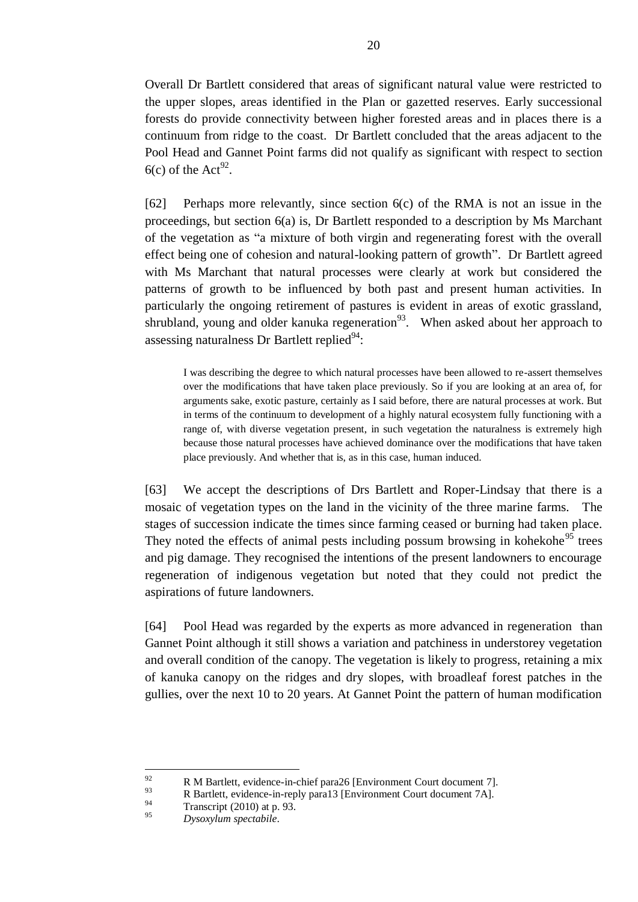Overall Dr Bartlett considered that areas of significant natural value were restricted to the upper slopes, areas identified in the Plan or gazetted reserves. Early successional forests do provide connectivity between higher forested areas and in places there is a continuum from ridge to the coast. Dr Bartlett concluded that the areas adjacent to the Pool Head and Gannet Point farms did not qualify as significant with respect to section  $6(c)$  of the Act<sup>92</sup>.

[62] Perhaps more relevantly, since section 6(c) of the RMA is not an issue in the proceedings, but section  $6(a)$  is, Dr Bartlett responded to a description by Ms Marchant of the vegetation as "a mixture of both virgin and regenerating forest with the overall effect being one of cohesion and natural-looking pattern of growth". Dr Bartlett agreed with Ms Marchant that natural processes were clearly at work but considered the patterns of growth to be influenced by both past and present human activities. In particularly the ongoing retirement of pastures is evident in areas of exotic grassland, shrubland, young and older kanuka regeneration $^{93}$ . When asked about her approach to assessing naturalness Dr Bartlett replied $^{94}$ :

I was describing the degree to which natural processes have been allowed to re-assert themselves over the modifications that have taken place previously. So if you are looking at an area of, for arguments sake, exotic pasture, certainly as I said before, there are natural processes at work. But in terms of the continuum to development of a highly natural ecosystem fully functioning with a range of, with diverse vegetation present, in such vegetation the naturalness is extremely high because those natural processes have achieved dominance over the modifications that have taken place previously. And whether that is, as in this case, human induced.

[63] We accept the descriptions of Drs Bartlett and Roper-Lindsay that there is a mosaic of vegetation types on the land in the vicinity of the three marine farms. The stages of succession indicate the times since farming ceased or burning had taken place. They noted the effects of animal pests including possum browsing in kohekohe<sup>95</sup> trees and pig damage. They recognised the intentions of the present landowners to encourage regeneration of indigenous vegetation but noted that they could not predict the aspirations of future landowners.

[64] Pool Head was regarded by the experts as more advanced in regeneration than Gannet Point although it still shows a variation and patchiness in understorey vegetation and overall condition of the canopy. The vegetation is likely to progress, retaining a mix of kanuka canopy on the ridges and dry slopes, with broadleaf forest patches in the gullies, over the next 10 to 20 years. At Gannet Point the pattern of human modification

<sup>92</sup>  $^{92}$  R M Bartlett, evidence-in-chief para26 [Environment Court document 7].<br>B Bortlett, evidence in reply para12 [Environment Court document 74].

 $\frac{93}{94}$  R Bartlett, evidence-in-reply para13 [Environment Court document 7A].

 $\frac{94}{95}$  Transcript (2010) at p. 93.

<sup>95</sup> *Dysoxylum spectabile*.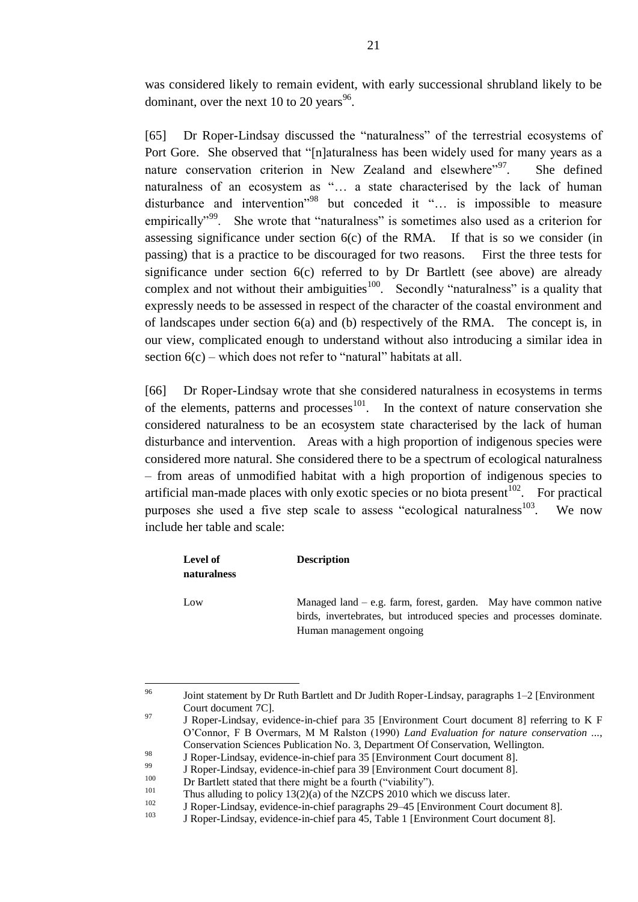was considered likely to remain evident, with early successional shrubland likely to be dominant, over the next 10 to 20 years<sup>96</sup>.

[65] Dr Roper-Lindsay discussed the "naturalness" of the terrestrial ecosystems of Port Gore. She observed that "[n]aturalness has been widely used for many years as a nature conservation criterion in New Zealand and elsewhere"<sup>97</sup>. She defined naturalness of an ecosystem as "… a state characterised by the lack of human disturbance and intervention"<sup>98</sup> but conceded it "... is impossible to measure empirically<sup>"99</sup>. She wrote that "naturalness" is sometimes also used as a criterion for assessing significance under section 6(c) of the RMA. If that is so we consider (in passing) that is a practice to be discouraged for two reasons. First the three tests for significance under section 6(c) referred to by Dr Bartlett (see above) are already complex and not without their ambiguities $100$ . Secondly "naturalness" is a quality that expressly needs to be assessed in respect of the character of the coastal environment and of landscapes under section 6(a) and (b) respectively of the RMA. The concept is, in our view, complicated enough to understand without also introducing a similar idea in section  $6(c)$  – which does not refer to "natural" habitats at all.

[66] Dr Roper-Lindsay wrote that she considered naturalness in ecosystems in terms of the elements, patterns and processes $101$ . In the context of nature conservation she considered naturalness to be an ecosystem state characterised by the lack of human disturbance and intervention. Areas with a high proportion of indigenous species were considered more natural. She considered there to be a spectrum of ecological naturalness – from areas of unmodified habitat with a high proportion of indigenous species to artificial man-made places with only exotic species or no biota present<sup>102</sup>. For practical purposes she used a five step scale to assess "ecological naturalness $^{103}$ . We now include her table and scale:

| Level of<br><b>naturalness</b> | <b>Description</b>                                                                                                                         |
|--------------------------------|--------------------------------------------------------------------------------------------------------------------------------------------|
| Low                            | Managed land $-$ e.g. farm, forest, garden. May have common native<br>birds, invertebrates, but introduced species and processes dominate. |
|                                | Human management ongoing                                                                                                                   |

96 <sup>96</sup> Joint statement by Dr Ruth Bartlett and Dr Judith Roper-Lindsay, paragraphs 1–2 [Environment Court document 7C].

<sup>97</sup> J Roper-Lindsay, evidence-in-chief para 35 [Environment Court document 8] referring to K F O"Connor, F B Overmars, M M Ralston (1990) *Land Evaluation for nature conservation ...*, Conservation Sciences Publication No. 3, Department Of Conservation, Wellington.

<sup>98</sup> J Roper-Lindsay, evidence-in-chief para 35 [Environment Court document 8].

 $^{99}$  J Roper-Lindsay, evidence-in-chief para 39 [Environment Court document 8].<br>
Dr Bortlett stated that there might be a fourth ("vighility")

<sup>&</sup>lt;sup>100</sup> Dr Bartlett stated that there might be a fourth ("viability").<br>
Thus all thing to nation 12(2)(a) of the NZCBS 2010 which

<sup>&</sup>lt;sup>101</sup> Thus alluding to policy 13(2)(a) of the NZCPS 2010 which we discuss later.

 $\frac{102}{103}$  J Roper-Lindsay, evidence-in-chief paragraphs 29–45 [Environment Court document 8].

<sup>103</sup> J Roper-Lindsay, evidence-in-chief para 45, Table 1 [Environment Court document 8].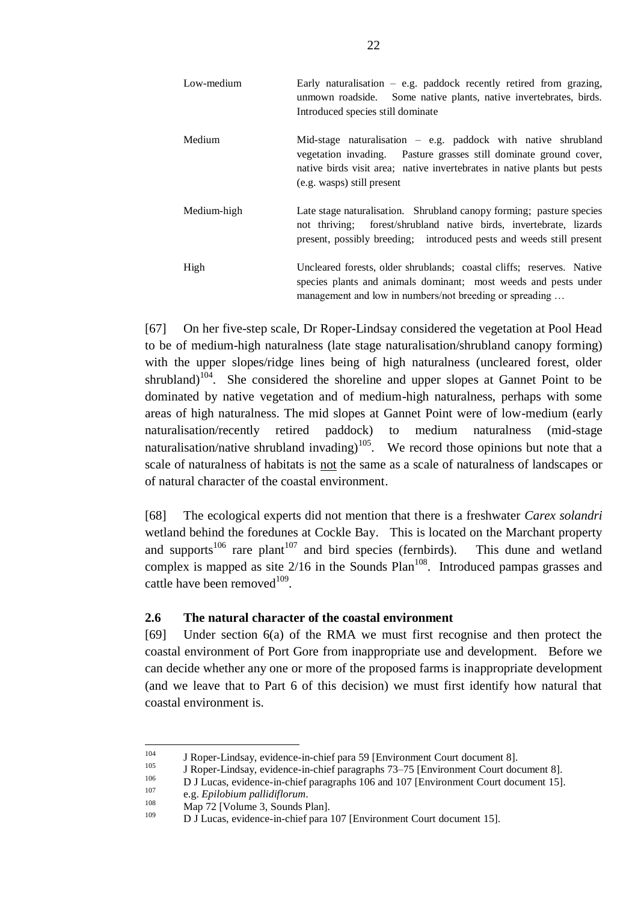| Low-medium  | Early naturalisation $-$ e.g. paddock recently retired from grazing,<br>unmown roadside. Some native plants, native invertebrates, birds.<br>Introduced species still dominate                                                               |
|-------------|----------------------------------------------------------------------------------------------------------------------------------------------------------------------------------------------------------------------------------------------|
| Medium      | Mid-stage naturalisation - e.g. paddock with native shrubland<br>vegetation invading. Pasture grasses still dominate ground cover,<br>native birds visit area; native invertebrates in native plants but pests<br>(e.g. wasps) still present |
| Medium-high | Late stage naturalisation. Shrubland canopy forming; pasture species<br>not thriving; forest/shrubland native birds, invertebrate, lizards<br>present, possibly breeding; introduced pests and weeds still present                           |
| High        | Uncleared forests, older shrublands; coastal cliffs; reserves. Native<br>species plants and animals dominant; most weeds and pests under<br>management and low in numbers/not breeding or spreading                                          |

[67] On her five-step scale, Dr Roper-Lindsay considered the vegetation at Pool Head to be of medium-high naturalness (late stage naturalisation/shrubland canopy forming) with the upper slopes/ridge lines being of high naturalness (uncleared forest, older shrubland)<sup>104</sup>. She considered the shoreline and upper slopes at Gannet Point to be dominated by native vegetation and of medium-high naturalness, perhaps with some areas of high naturalness. The mid slopes at Gannet Point were of low-medium (early naturalisation/recently retired paddock) to medium naturalness (mid-stage naturalisation/native shrubland invading)<sup>105</sup>. We record those opinions but note that a scale of naturalness of habitats is not the same as a scale of naturalness of landscapes or of natural character of the coastal environment.

[68] The ecological experts did not mention that there is a freshwater *Carex solandri* wetland behind the foredunes at Cockle Bay. This is located on the Marchant property and supports<sup>106</sup> rare plant<sup>107</sup> and bird species (fernbirds). This dune and wetland complex is mapped as site  $2/16$  in the Sounds Plan<sup>108</sup>. Introduced pampas grasses and cattle have been removed $^{109}$ .

## **2.6 The natural character of the coastal environment**

[69] Under section 6(a) of the RMA we must first recognise and then protect the coastal environment of Port Gore from inappropriate use and development. Before we can decide whether any one or more of the proposed farms is inappropriate development (and we leave that to Part 6 of this decision) we must first identify how natural that coastal environment is.

 $104$  $104$  J Roper-Lindsay, evidence-in-chief para 59 [Environment Court document 8].

<sup>&</sup>lt;sup>105</sup> J Roper-Lindsay, evidence-in-chief paragraphs  $73-75$  [Environment Court document 8].<br> $106$  D J J wees evidence in shief personalis  $106$  and  $107$  [Environment Court document 15].

<sup>106</sup> D J Lucas, evidence-in-chief paragraphs 106 and 107 [Environment Court document 15].

<sup>107</sup> e.g. *Epilobium pallidiflorum*.

 $\frac{108}{109}$  Map 72 [Volume 3, Sounds Plan].

<sup>109</sup> D J Lucas, evidence-in-chief para 107 [Environment Court document 15].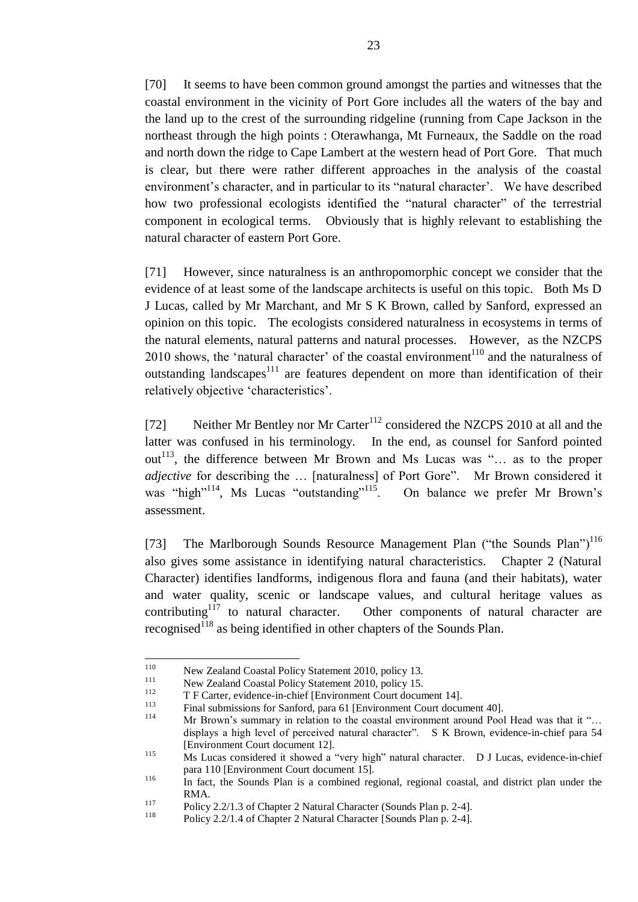[70] It seems to have been common ground amongst the parties and witnesses that the coastal environment in the vicinity of Port Gore includes all the waters of the bay and the land up to the crest of the surrounding ridgeline (running from Cape Jackson in the northeast through the high points : Oterawhanga, Mt Furneaux, the Saddle on the road and north down the ridge to Cape Lambert at the western head of Port Gore. That much is clear, but there were rather different approaches in the analysis of the coastal environment's character, and in particular to its "natural character". We have described how two professional ecologists identified the "natural character" of the terrestrial component in ecological terms. Obviously that is highly relevant to establishing the natural character of eastern Port Gore.

[71] However, since naturalness is an anthropomorphic concept we consider that the evidence of at least some of the landscape architects is useful on this topic. Both Ms D J Lucas, called by Mr Marchant, and Mr S K Brown, called by Sanford, expressed an opinion on this topic. The ecologists considered naturalness in ecosystems in terms of the natural elements, natural patterns and natural processes. However, as the NZCPS 2010 shows, the 'natural character' of the coastal environment<sup>110</sup> and the naturalness of outstanding landscapes $111$  are features dependent on more than identification of their relatively objective "characteristics".

[72] Neither Mr Bentley nor Mr Carter<sup>112</sup> considered the NZCPS 2010 at all and the latter was confused in his terminology. In the end, as counsel for Sanford pointed out<sup>113</sup>, the difference between Mr Brown and Ms Lucas was "... as to the proper *adjective* for describing the … [naturalness] of Port Gore". Mr Brown considered it was "high"<sup>114</sup>, Ms Lucas "outstanding"<sup>115</sup>. On balance we prefer Mr Brown's assessment.

[73] The Marlborough Sounds Resource Management Plan ("the Sounds Plan")<sup>116</sup> also gives some assistance in identifying natural characteristics. Chapter 2 (Natural Character) identifies landforms, indigenous flora and fauna (and their habitats), water and water quality, scenic or landscape values, and cultural heritage values as contributing $117$  to natural character. Other components of natural character are recognised<sup>118</sup> as being identified in other chapters of the Sounds Plan.

<sup>110</sup>  $110$  New Zealand Coastal Policy Statement 2010, policy 13.

 $111$  New Zealand Coastal Policy Statement 2010, policy 15.

 $112$  T F Carter, evidence-in-chief [Environment Court document 14].

 $113$  Final submissions for Sanford, para 61 [Environment Court document 40].

Mr Brown's summary in relation to the coastal environment around Pool Head was that it "... displays a high level of perceived natural character". S K Brown, evidence-in-chief para 54 [Environment Court document 12].

<sup>115</sup> Ms Lucas considered it showed a "very high" natural character. D J Lucas, evidence-in-chief para 110 [Environment Court document 15].

<sup>&</sup>lt;sup>116</sup> In fact, the Sounds Plan is a combined regional, regional coastal, and district plan under the RMA.

Policy 2.2/1.3 of Chapter 2 Natural Character (Sounds Plan p. 2-4).<br>
Policy 2.2/1.4 of Chapter 2 Natural Character (Sounds Plan p. 2.4).

Policy 2.2/1.4 of Chapter 2 Natural Character [Sounds Plan p. 2-4].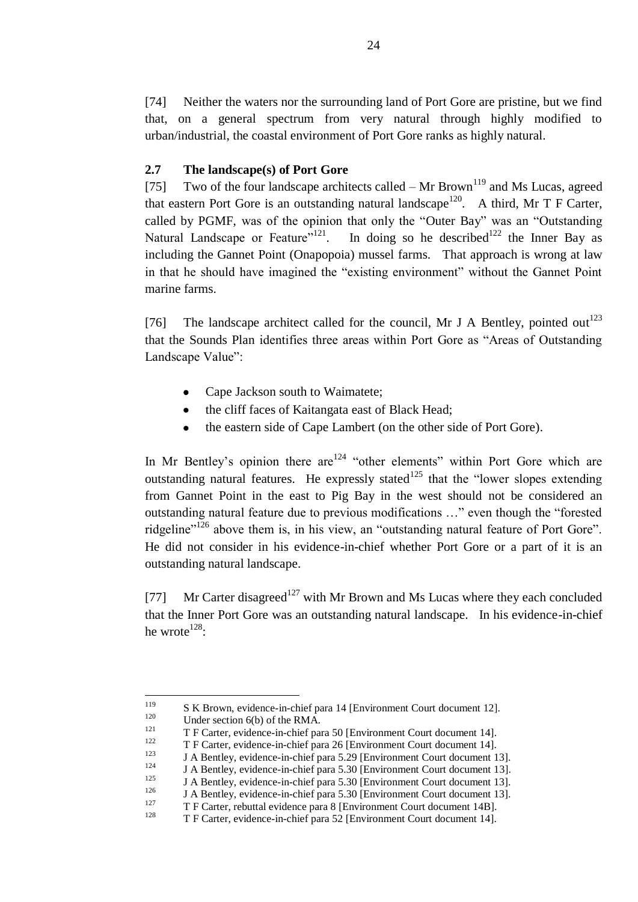[74] Neither the waters nor the surrounding land of Port Gore are pristine, but we find that, on a general spectrum from very natural through highly modified to urban/industrial, the coastal environment of Port Gore ranks as highly natural.

### **2.7 The landscape(s) of Port Gore**

[75] Two of the four landscape architects called – Mr Brown<sup>119</sup> and Ms Lucas, agreed that eastern Port Gore is an outstanding natural landscape<sup>120</sup>. A third, Mr T F Carter, called by PGMF, was of the opinion that only the "Outer Bay" was an "Outstanding Natural Landscape or Feature"<sup>121</sup>. In doing so he described<sup>122</sup> the Inner Bay as including the Gannet Point (Onapopoia) mussel farms. That approach is wrong at law in that he should have imagined the "existing environment" without the Gannet Point marine farms.

[76] The landscape architect called for the council, Mr J A Bentley, pointed out<sup>123</sup> that the Sounds Plan identifies three areas within Port Gore as "Areas of Outstanding Landscape Value":

- Cape Jackson south to Waimatete;  $\bullet$
- the cliff faces of Kaitangata east of Black Head;
- the eastern side of Cape Lambert (on the other side of Port Gore).

In Mr Bentley's opinion there are  $124$  "other elements" within Port Gore which are outstanding natural features. He expressly stated<sup>125</sup> that the "lower slopes extending" from Gannet Point in the east to Pig Bay in the west should not be considered an outstanding natural feature due to previous modifications …" even though the "forested ridgeline"<sup>126</sup> above them is, in his view, an "outstanding natural feature of Port Gore". He did not consider in his evidence-in-chief whether Port Gore or a part of it is an outstanding natural landscape.

[77] Mr Carter disagreed<sup>127</sup> with Mr Brown and Ms Lucas where they each concluded that the Inner Port Gore was an outstanding natural landscape. In his evidence-in-chief he wrote $^{128}$ :

<sup>119</sup> <sup>119</sup> S K Brown, evidence-in-chief para 14 [Environment Court document 12].

 $120$  Under section 6(b) of the RMA.

<sup>&</sup>lt;sup>121</sup> T F Carter, evidence-in-chief para 50 [Environment Court document 14].

<sup>&</sup>lt;sup>122</sup> T F Carter, evidence-in-chief para 26 [Environment Court document 14].

<sup>&</sup>lt;sup>123</sup> J A Bentley, evidence-in-chief para 5.29 [Environment Court document 13].

<sup>&</sup>lt;sup>124</sup> J A Bentley, evidence-in-chief para 5.30 [Environment Court document 13].<br>125 J A Bontley, evidence in chief para 5.30 [Environment Court document 13]

<sup>&</sup>lt;sup>125</sup> J A Bentley, evidence-in-chief para 5.30 [Environment Court document 13].

<sup>&</sup>lt;sup>126</sup> J A Bentley, evidence-in-chief para 5.30 [Environment Court document 13].

<sup>&</sup>lt;sup>127</sup> T F Carter, rebuttal evidence para 8 [Environment Court document 14B].

T F Carter, evidence-in-chief para 52 [Environment Court document 14].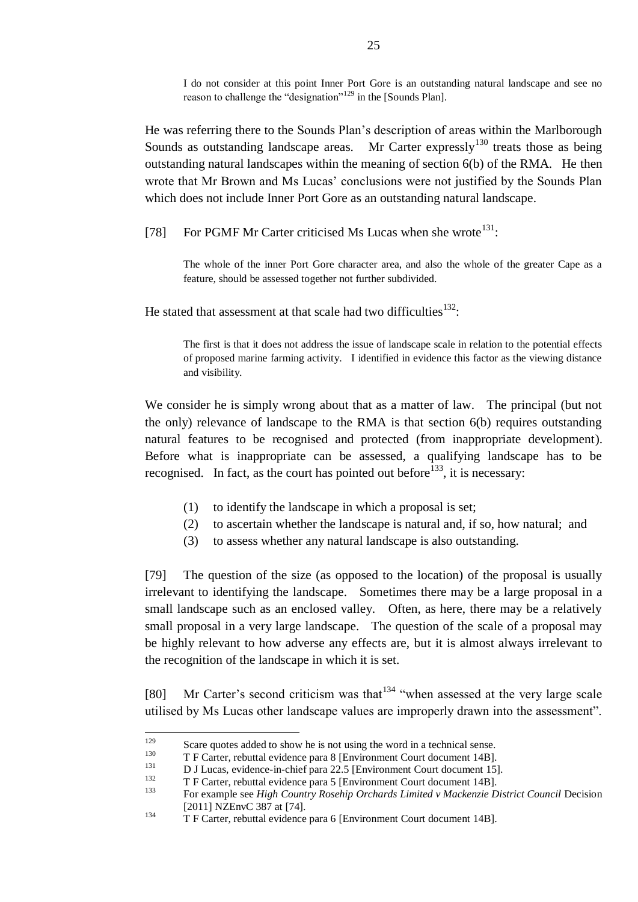I do not consider at this point Inner Port Gore is an outstanding natural landscape and see no reason to challenge the "designation"<sup>129</sup> in the [Sounds Plan].

He was referring there to the Sounds Plan"s description of areas within the Marlborough Sounds as outstanding landscape areas. Mr Carter expressly<sup>130</sup> treats those as being outstanding natural landscapes within the meaning of section 6(b) of the RMA. He then wrote that Mr Brown and Ms Lucas" conclusions were not justified by the Sounds Plan which does not include Inner Port Gore as an outstanding natural landscape.

[78] For PGMF Mr Carter criticised Ms Lucas when she wrote<sup>131</sup>:

The whole of the inner Port Gore character area, and also the whole of the greater Cape as a feature, should be assessed together not further subdivided.

He stated that assessment at that scale had two difficulties $^{132}$ :

The first is that it does not address the issue of landscape scale in relation to the potential effects of proposed marine farming activity. I identified in evidence this factor as the viewing distance and visibility.

We consider he is simply wrong about that as a matter of law. The principal (but not the only) relevance of landscape to the RMA is that section 6(b) requires outstanding natural features to be recognised and protected (from inappropriate development). Before what is inappropriate can be assessed, a qualifying landscape has to be recognised. In fact, as the court has pointed out before<sup>133</sup>, it is necessary:

- (1) to identify the landscape in which a proposal is set;
- (2) to ascertain whether the landscape is natural and, if so, how natural; and
- (3) to assess whether any natural landscape is also outstanding.

[79] The question of the size (as opposed to the location) of the proposal is usually irrelevant to identifying the landscape. Sometimes there may be a large proposal in a small landscape such as an enclosed valley. Often, as here, there may be a relatively small proposal in a very large landscape. The question of the scale of a proposal may be highly relevant to how adverse any effects are, but it is almost always irrelevant to the recognition of the landscape in which it is set.

[80] Mr Carter's second criticism was that <sup>134</sup> "when assessed at the very large scale utilised by Ms Lucas other landscape values are improperly drawn into the assessment".

<sup>129</sup> <sup>129</sup> Scare quotes added to show he is not using the word in a technical sense.

<sup>&</sup>lt;sup>130</sup> T F Carter, rebuttal evidence para 8 [Environment Court document 14B].

 $131$  D J Lucas, evidence-in-chief para 22.5 [Environment Court document 15].<br> $132$  T E Certer rebuttel suidance nore 5 [Environment Court document 14P]

 $132$  T F Carter, rebuttal evidence para 5 [Environment Court document 14B].

<sup>133</sup> For example see *High Country Rosehip Orchards Limited v Mackenzie District Council* Decision [2011] NZEnvC 387 at [74].

<sup>134</sup> T F Carter, rebuttal evidence para 6 [Environment Court document 14B].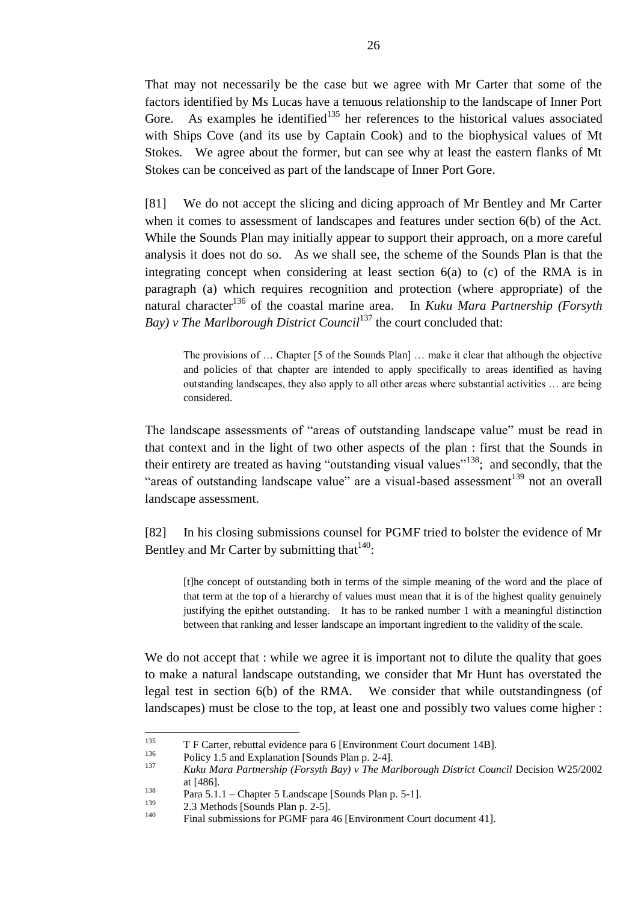That may not necessarily be the case but we agree with Mr Carter that some of the factors identified by Ms Lucas have a tenuous relationship to the landscape of Inner Port Gore. As examples he identified<sup>135</sup> her references to the historical values associated with Ships Cove (and its use by Captain Cook) and to the biophysical values of Mt Stokes. We agree about the former, but can see why at least the eastern flanks of Mt Stokes can be conceived as part of the landscape of Inner Port Gore.

[81] We do not accept the slicing and dicing approach of Mr Bentley and Mr Carter when it comes to assessment of landscapes and features under section 6(b) of the Act. While the Sounds Plan may initially appear to support their approach, on a more careful analysis it does not do so. As we shall see, the scheme of the Sounds Plan is that the integrating concept when considering at least section 6(a) to (c) of the RMA is in paragraph (a) which requires recognition and protection (where appropriate) of the natural character<sup>136</sup> of the coastal marine area. In *Kuku Mara Partnership (Forsyth Bay) v The Marlborough District Council*<sup>137</sup> the court concluded that:

The provisions of … Chapter [5 of the Sounds Plan] … make it clear that although the objective and policies of that chapter are intended to apply specifically to areas identified as having outstanding landscapes, they also apply to all other areas where substantial activities … are being considered.

The landscape assessments of "areas of outstanding landscape value" must be read in that context and in the light of two other aspects of the plan : first that the Sounds in their entirety are treated as having "outstanding visual values"<sup>138</sup>; and secondly, that the "areas of outstanding landscape value" are a visual-based assessment<sup>139</sup> not an overall landscape assessment.

[82] In his closing submissions counsel for PGMF tried to bolster the evidence of Mr Bentley and Mr Carter by submitting that  $140$ :

[t]he concept of outstanding both in terms of the simple meaning of the word and the place of that term at the top of a hierarchy of values must mean that it is of the highest quality genuinely justifying the epithet outstanding. It has to be ranked number 1 with a meaningful distinction between that ranking and lesser landscape an important ingredient to the validity of the scale.

We do not accept that : while we agree it is important not to dilute the quality that goes to make a natural landscape outstanding, we consider that Mr Hunt has overstated the legal test in section 6(b) of the RMA. We consider that while outstandingness (of landscapes) must be close to the top, at least one and possibly two values come higher :

<sup>135</sup> <sup>135</sup> T F Carter, rebuttal evidence para 6 [Environment Court document 14B].

 $^{136}$  Policy 1.5 and Explanation [Sounds Plan p. 2-4].

<sup>137</sup> *Kuku Mara Partnership (Forsyth Bay) v The Marlborough District Council* Decision W25/2002 at [486].

 $\frac{138}{139}$  Para 5.1.1 – Chapter 5 Landscape [Sounds Plan p. 5-1].

 $^{139}$  2.3 Methods [Sounds Plan p. 2-5].

Final submissions for PGMF para 46 [Environment Court document 41].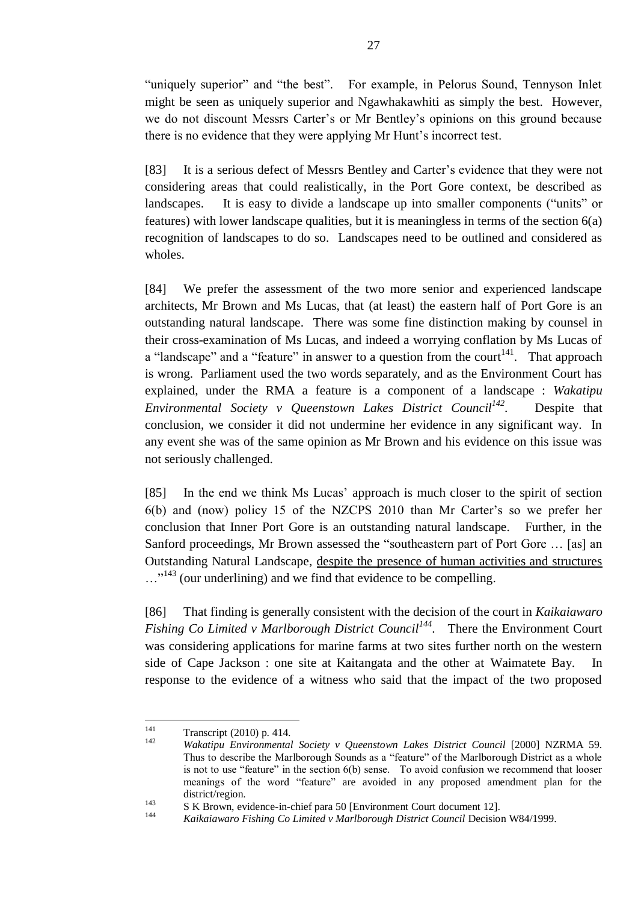"uniquely superior" and "the best". For example, in Pelorus Sound, Tennyson Inlet might be seen as uniquely superior and Ngawhakawhiti as simply the best. However, we do not discount Messrs Carter's or Mr Bentley's opinions on this ground because there is no evidence that they were applying Mr Hunt"s incorrect test.

[83] It is a serious defect of Messrs Bentley and Carter's evidence that they were not considering areas that could realistically, in the Port Gore context, be described as landscapes. It is easy to divide a landscape up into smaller components ("units" or features) with lower landscape qualities, but it is meaningless in terms of the section 6(a) recognition of landscapes to do so. Landscapes need to be outlined and considered as wholes.

[84] We prefer the assessment of the two more senior and experienced landscape architects, Mr Brown and Ms Lucas, that (at least) the eastern half of Port Gore is an outstanding natural landscape. There was some fine distinction making by counsel in their cross-examination of Ms Lucas, and indeed a worrying conflation by Ms Lucas of a "landscape" and a "feature" in answer to a question from the court<sup>141</sup>. That approach is wrong. Parliament used the two words separately, and as the Environment Court has explained, under the RMA a feature is a component of a landscape : *Wakatipu Environmental Society v Queenstown Lakes District Council<sup>142</sup>* Despite that conclusion, we consider it did not undermine her evidence in any significant way. In any event she was of the same opinion as Mr Brown and his evidence on this issue was not seriously challenged.

[85] In the end we think Ms Lucas" approach is much closer to the spirit of section 6(b) and (now) policy 15 of the NZCPS 2010 than Mr Carter"s so we prefer her conclusion that Inner Port Gore is an outstanding natural landscape. Further, in the Sanford proceedings, Mr Brown assessed the "southeastern part of Port Gore … [as] an Outstanding Natural Landscape, despite the presence of human activities and structures ...<sup>"143</sup> (our underlining) and we find that evidence to be compelling.

[86] That finding is generally consistent with the decision of the court in *Kaikaiawaro Fishing Co Limited v Marlborough District Council<sup>144</sup>*. There the Environment Court was considering applications for marine farms at two sites further north on the western side of Cape Jackson : one site at Kaitangata and the other at Waimatete Bay. In response to the evidence of a witness who said that the impact of the two proposed

<sup>141</sup>  $141$  Transcript (2010) p. 414.

<sup>142</sup> *Wakatipu Environmental Society v Queenstown Lakes District Council* [2000] NZRMA 59. Thus to describe the Marlborough Sounds as a "feature" of the Marlborough District as a whole is not to use "feature" in the section 6(b) sense. To avoid confusion we recommend that looser meanings of the word "feature" are avoided in any proposed amendment plan for the district/region.

 $\frac{143}{144}$  S K Brown, evidence-in-chief para 50 [Environment Court document 12].

<sup>144</sup> *Kaikaiawaro Fishing Co Limited v Marlborough District Council* Decision W84/1999.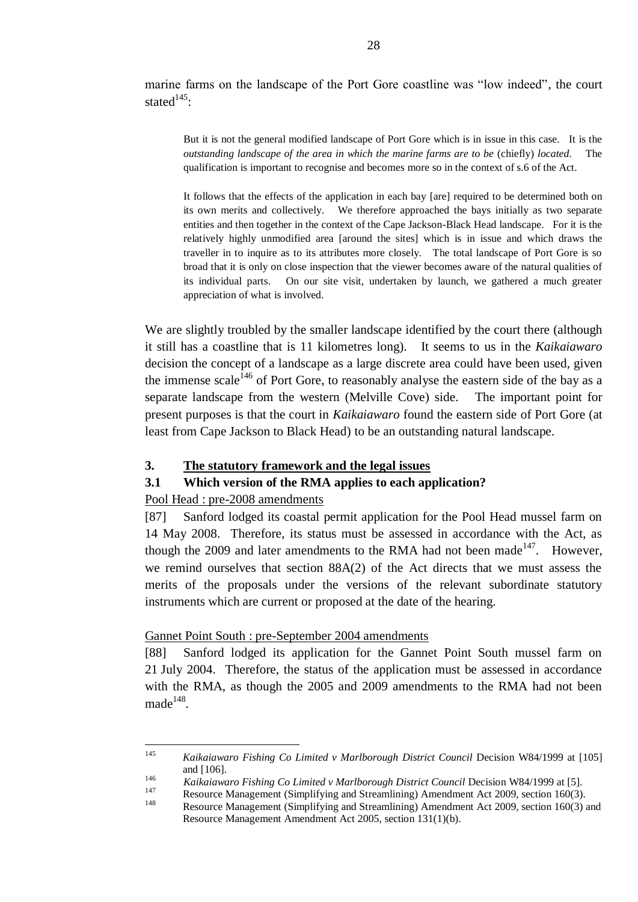marine farms on the landscape of the Port Gore coastline was "low indeed", the court stated $^{145}$ :

But it is not the general modified landscape of Port Gore which is in issue in this case. It is the *outstanding landscape of the area in which the marine farms are to be* (chiefly) *located*. The qualification is important to recognise and becomes more so in the context of s.6 of the Act.

It follows that the effects of the application in each bay [are] required to be determined both on its own merits and collectively. We therefore approached the bays initially as two separate entities and then together in the context of the Cape Jackson-Black Head landscape. For it is the relatively highly unmodified area [around the sites] which is in issue and which draws the traveller in to inquire as to its attributes more closely. The total landscape of Port Gore is so broad that it is only on close inspection that the viewer becomes aware of the natural qualities of its individual parts. On our site visit, undertaken by launch, we gathered a much greater appreciation of what is involved.

We are slightly troubled by the smaller landscape identified by the court there (although it still has a coastline that is 11 kilometres long). It seems to us in the *Kaikaiawaro* decision the concept of a landscape as a large discrete area could have been used, given the immense scale<sup>146</sup> of Port Gore, to reasonably analyse the eastern side of the bay as a separate landscape from the western (Melville Cove) side. The important point for present purposes is that the court in *Kaikaiawaro* found the eastern side of Port Gore (at least from Cape Jackson to Black Head) to be an outstanding natural landscape.

### **3. The statutory framework and the legal issues**

### **3.1 Which version of the RMA applies to each application?**

### Pool Head : pre-2008 amendments

[87] Sanford lodged its coastal permit application for the Pool Head mussel farm on 14 May 2008. Therefore, its status must be assessed in accordance with the Act, as though the 2009 and later amendments to the RMA had not been made $147$ . However, we remind ourselves that section 88A(2) of the Act directs that we must assess the merits of the proposals under the versions of the relevant subordinate statutory instruments which are current or proposed at the date of the hearing.

#### Gannet Point South : pre-September 2004 amendments

[88] Sanford lodged its application for the Gannet Point South mussel farm on 21 July 2004. Therefore, the status of the application must be assessed in accordance with the RMA, as though the 2005 and 2009 amendments to the RMA had not been  $made^{148}$ .

 $145$ <sup>145</sup> *Kaikaiawaro Fishing Co Limited v Marlborough District Council* Decision W84/1999 at [105] and [106].

<sup>146</sup> *Kaikaiawaro Fishing Co Limited v Marlborough District Council* Decision W84/1999 at [5].

<sup>&</sup>lt;sup>147</sup> Resource Management (Simplifying and Streamlining) Amendment Act 2009, section 160(3).

<sup>148</sup> Resource Management (Simplifying and Streamlining) Amendment Act 2009, section 160(3) and Resource Management Amendment Act 2005, section 131(1)(b).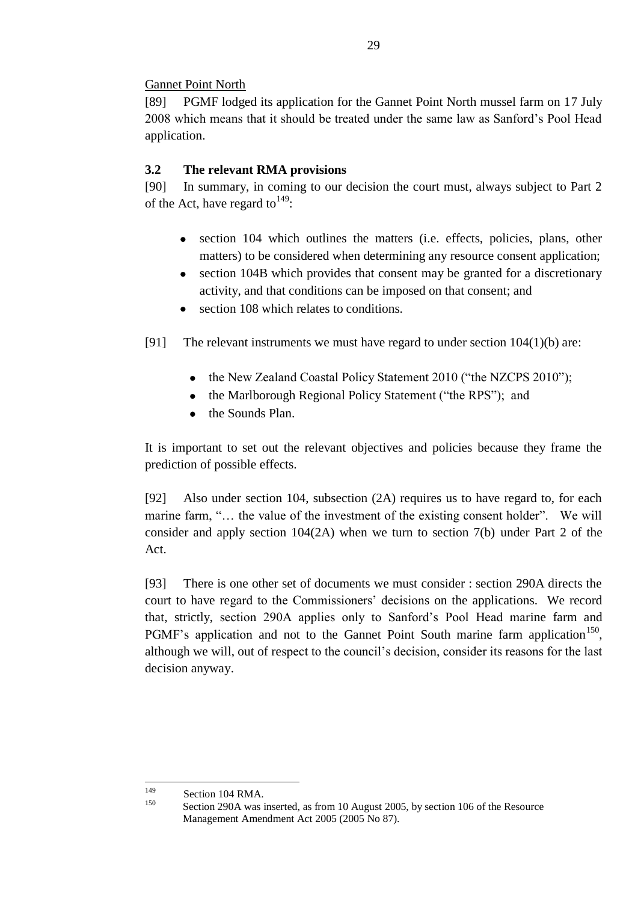Gannet Point North

[89] PGMF lodged its application for the Gannet Point North mussel farm on 17 July 2008 which means that it should be treated under the same law as Sanford"s Pool Head application.

# **3.2 The relevant RMA provisions**

[90] In summary, in coming to our decision the court must, always subject to Part 2 of the Act, have regard to  $149$ :

- section 104 which outlines the matters (i.e. effects, policies, plans, other matters) to be considered when determining any resource consent application;
- section 104B which provides that consent may be granted for a discretionary activity, and that conditions can be imposed on that consent; and
- section 108 which relates to conditions.
- [91] The relevant instruments we must have regard to under section  $104(1)(b)$  are:
	- the New Zealand Coastal Policy Statement 2010 ("the NZCPS 2010");
	- the Marlborough Regional Policy Statement ("the RPS"); and  $\bullet$
	- the Sounds Plan.  $\bullet$

It is important to set out the relevant objectives and policies because they frame the prediction of possible effects.

[92] Also under section 104, subsection (2A) requires us to have regard to, for each marine farm, "... the value of the investment of the existing consent holder". We will consider and apply section 104(2A) when we turn to section 7(b) under Part 2 of the Act.

[93] There is one other set of documents we must consider : section 290A directs the court to have regard to the Commissioners" decisions on the applications. We record that, strictly, section 290A applies only to Sanford"s Pool Head marine farm and PGMF's application and not to the Gannet Point South marine farm application<sup>150</sup>, although we will, out of respect to the council"s decision, consider its reasons for the last decision anyway.

<sup>149</sup>  $^{149}$  Section 104 RMA.

Section 290A was inserted, as from 10 August 2005, by section 106 of the Resource Management Amendment Act 2005 (2005 No 87).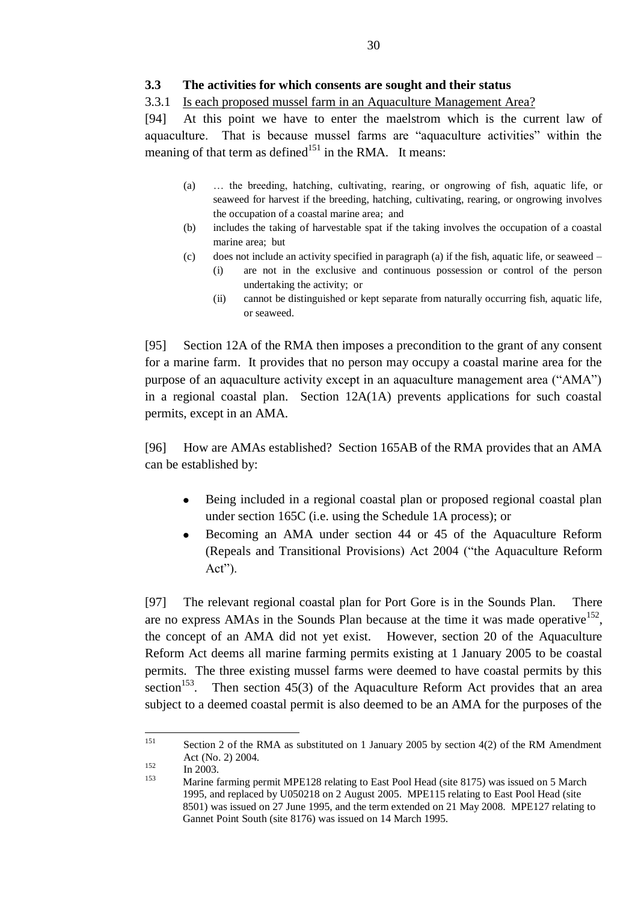### **3.3 The activities for which consents are sought and their status**

## 3.3.1 Is each proposed mussel farm in an Aquaculture Management Area?

[94] At this point we have to enter the maelstrom which is the current law of aquaculture. That is because mussel farms are "aquaculture activities" within the meaning of that term as defined<sup>151</sup> in the RMA. It means:

- (a) … the breeding, hatching, cultivating, rearing, or ongrowing of fish, aquatic life, or seaweed for harvest if the breeding, hatching, cultivating, rearing, or ongrowing involves the occupation of a coastal marine area; and
- (b) includes the taking of harvestable spat if the taking involves the occupation of a coastal marine area; but
- (c) does not include an activity specified in paragraph (a) if the fish, aquatic life, or seaweed
	- (i) are not in the exclusive and continuous possession or control of the person undertaking the activity; or
		- (ii) cannot be distinguished or kept separate from naturally occurring fish, aquatic life, or seaweed.

[95] Section 12A of the RMA then imposes a precondition to the grant of any consent for a marine farm. It provides that no person may occupy a coastal marine area for the purpose of an aquaculture activity except in an aquaculture management area ("AMA") in a regional coastal plan. Section 12A(1A) prevents applications for such coastal permits, except in an AMA.

[96] How are AMAs established? Section 165AB of the RMA provides that an AMA can be established by:

- Being included in a regional coastal plan or proposed regional coastal plan under section 165C (i.e. using the Schedule 1A process); or
- Becoming an AMA under section 44 or 45 of the Aquaculture Reform  $\bullet$ (Repeals and Transitional Provisions) Act 2004 ("the Aquaculture Reform Act").

[97] The relevant regional coastal plan for Port Gore is in the Sounds Plan. There are no express AMAs in the Sounds Plan because at the time it was made operative  $152$ , the concept of an AMA did not yet exist. However, section 20 of the Aquaculture Reform Act deems all marine farming permits existing at 1 January 2005 to be coastal permits. The three existing mussel farms were deemed to have coastal permits by this section<sup>153</sup>. Then section 45(3) of the Aquaculture Reform Act provides that an area subject to a deemed coastal permit is also deemed to be an AMA for the purposes of the

<sup>151</sup> Section 2 of the RMA as substituted on 1 January 2005 by section  $4(2)$  of the RM Amendment Act (No. 2) 2004.

 $\frac{152}{153}$  In 2003.

Marine farming permit MPE128 relating to East Pool Head (site 8175) was issued on 5 March 1995, and replaced by U050218 on 2 August 2005. MPE115 relating to East Pool Head (site 8501) was issued on 27 June 1995, and the term extended on 21 May 2008. MPE127 relating to Gannet Point South (site 8176) was issued on 14 March 1995.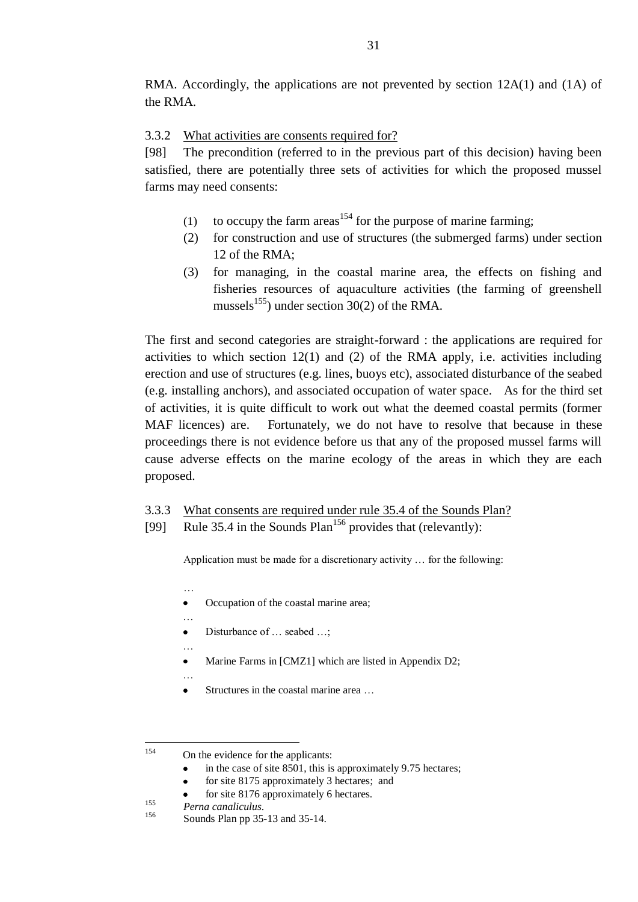RMA. Accordingly, the applications are not prevented by section 12A(1) and (1A) of the RMA.

### 3.3.2 What activities are consents required for?

[98] The precondition (referred to in the previous part of this decision) having been satisfied, there are potentially three sets of activities for which the proposed mussel farms may need consents:

- (1) to occupy the farm areas<sup>154</sup> for the purpose of marine farming;
- (2) for construction and use of structures (the submerged farms) under section 12 of the RMA;
- (3) for managing, in the coastal marine area, the effects on fishing and fisheries resources of aquaculture activities (the farming of greenshell mussels<sup>155</sup>) under section 30(2) of the RMA.

The first and second categories are straight-forward : the applications are required for activities to which section 12(1) and (2) of the RMA apply, i.e. activities including erection and use of structures (e.g. lines, buoys etc), associated disturbance of the seabed (e.g. installing anchors), and associated occupation of water space. As for the third set of activities, it is quite difficult to work out what the deemed coastal permits (former MAF licences) are. Fortunately, we do not have to resolve that because in these proceedings there is not evidence before us that any of the proposed mussel farms will cause adverse effects on the marine ecology of the areas in which they are each proposed.

- 3.3.3 What consents are required under rule 35.4 of the Sounds Plan?
- [99] Rule 35.4 in the Sounds Plan<sup>156</sup> provides that (relevantly):

Application must be made for a discretionary activity … for the following:

- Occupation of the coastal marine area;  $\bullet$
- … Disturbance of ... seabed ...;  $\bullet$
- …

…

- Marine Farms in [CMZ1] which are listed in Appendix D2;  $\bullet$
- …
- Structures in the coastal marine area …

- in the case of site 8501, this is approximately 9.75 hectares;
- for site 8175 approximately 3 hectares; and

155 *Perna canaliculus*.

<sup>154</sup> On the evidence for the applicants:

for site 8176 approximately 6 hectares.

Sounds Plan pp 35-13 and 35-14.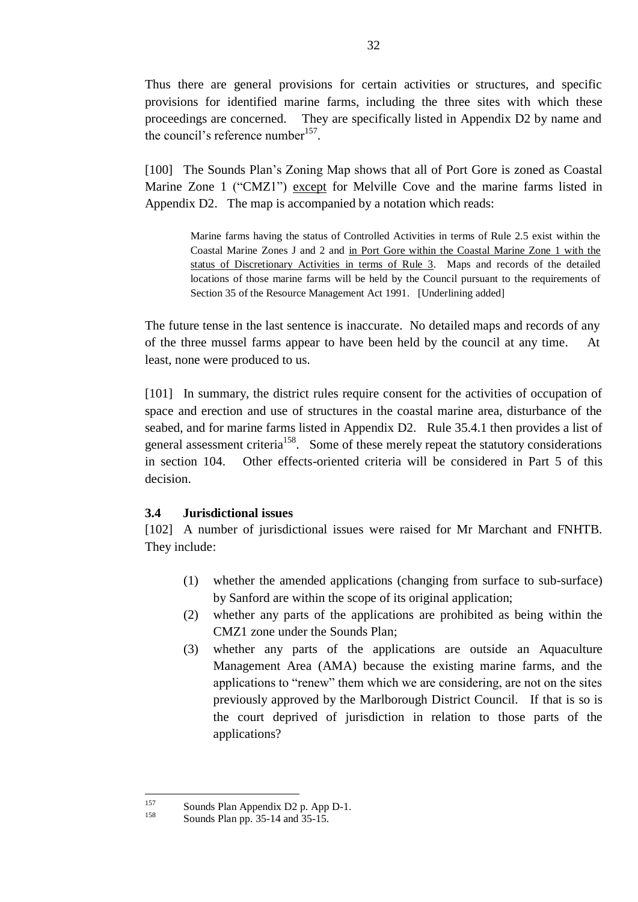Thus there are general provisions for certain activities or structures, and specific provisions for identified marine farms, including the three sites with which these proceedings are concerned. They are specifically listed in Appendix D2 by name and the council's reference number<sup>157</sup>.

[100] The Sounds Plan's Zoning Map shows that all of Port Gore is zoned as Coastal Marine Zone 1 ("CMZ1") except for Melville Cove and the marine farms listed in Appendix D2. The map is accompanied by a notation which reads:

Marine farms having the status of Controlled Activities in terms of Rule 2.5 exist within the Coastal Marine Zones J and 2 and in Port Gore within the Coastal Marine Zone 1 with the status of Discretionary Activities in terms of Rule 3. Maps and records of the detailed locations of those marine farms will be held by the Council pursuant to the requirements of Section 35 of the Resource Management Act 1991. [Underlining added]

The future tense in the last sentence is inaccurate. No detailed maps and records of any of the three mussel farms appear to have been held by the council at any time. At least, none were produced to us.

[101] In summary, the district rules require consent for the activities of occupation of space and erection and use of structures in the coastal marine area, disturbance of the seabed, and for marine farms listed in Appendix D2. Rule 35.4.1 then provides a list of general assessment criteria<sup>158</sup>. Some of these merely repeat the statutory considerations in section 104. Other effects-oriented criteria will be considered in Part 5 of this decision.

### **3.4 Jurisdictional issues**

[102] A number of jurisdictional issues were raised for Mr Marchant and FNHTB. They include:

- (1) whether the amended applications (changing from surface to sub-surface) by Sanford are within the scope of its original application;
- (2) whether any parts of the applications are prohibited as being within the CMZ1 zone under the Sounds Plan;
- (3) whether any parts of the applications are outside an Aquaculture Management Area (AMA) because the existing marine farms, and the applications to "renew" them which we are considering, are not on the sites previously approved by the Marlborough District Council. If that is so is the court deprived of jurisdiction in relation to those parts of the applications?

<sup>157</sup> <sup>157</sup> Sounds Plan Appendix D2 p. App D-1.

Sounds Plan pp. 35-14 and 35-15.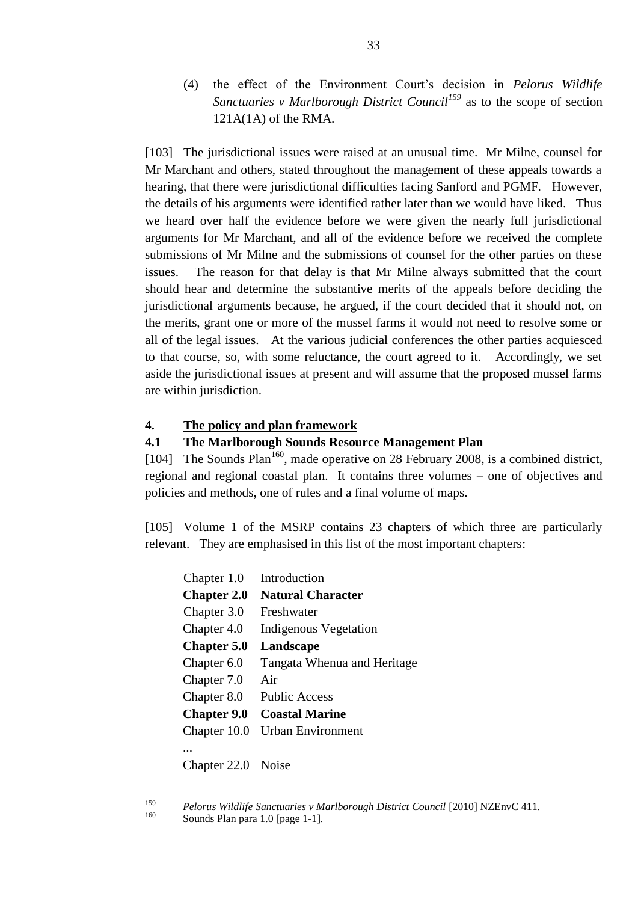(4) the effect of the Environment Court"s decision in *Pelorus Wildlife Sanctuaries v Marlborough District Council<sup>159</sup>* as to the scope of section 121A(1A) of the RMA.

[103] The jurisdictional issues were raised at an unusual time. Mr Milne, counsel for Mr Marchant and others, stated throughout the management of these appeals towards a hearing, that there were jurisdictional difficulties facing Sanford and PGMF. However, the details of his arguments were identified rather later than we would have liked. Thus we heard over half the evidence before we were given the nearly full jurisdictional arguments for Mr Marchant, and all of the evidence before we received the complete submissions of Mr Milne and the submissions of counsel for the other parties on these issues. The reason for that delay is that Mr Milne always submitted that the court should hear and determine the substantive merits of the appeals before deciding the jurisdictional arguments because, he argued, if the court decided that it should not, on the merits, grant one or more of the mussel farms it would not need to resolve some or all of the legal issues. At the various judicial conferences the other parties acquiesced to that course, so, with some reluctance, the court agreed to it. Accordingly, we set aside the jurisdictional issues at present and will assume that the proposed mussel farms are within jurisdiction.

# **4. The policy and plan framework**

# **4.1 The Marlborough Sounds Resource Management Plan**

[104] The Sounds Plan<sup>160</sup>, made operative on 28 February 2008, is a combined district, regional and regional coastal plan. It contains three volumes – one of objectives and policies and methods, one of rules and a final volume of maps.

[105] Volume 1 of the MSRP contains 23 chapters of which three are particularly relevant. They are emphasised in this list of the most important chapters:

| Chapter 1.0        | Introduction                |
|--------------------|-----------------------------|
| <b>Chapter 2.0</b> | <b>Natural Character</b>    |
| Chapter 3.0        | Freshwater                  |
| Chapter 4.0        | Indigenous Vegetation       |
| <b>Chapter 5.0</b> | Landscape                   |
| Chapter 6.0        | Tangata Whenua and Heritage |
| Chapter 7.0        | Air                         |
| Chapter 8.0        | <b>Public Access</b>        |
| <b>Chapter 9.0</b> | <b>Coastal Marine</b>       |
| Chapter 10.0       | <b>Urban Environment</b>    |
|                    |                             |

Chapter 22.0 Noise

<sup>159</sup> <sup>159</sup> *Pelorus Wildlife Sanctuaries v Marlborough District Council* [2010] NZEnvC 411.

Sounds Plan para 1.0 [page 1-1].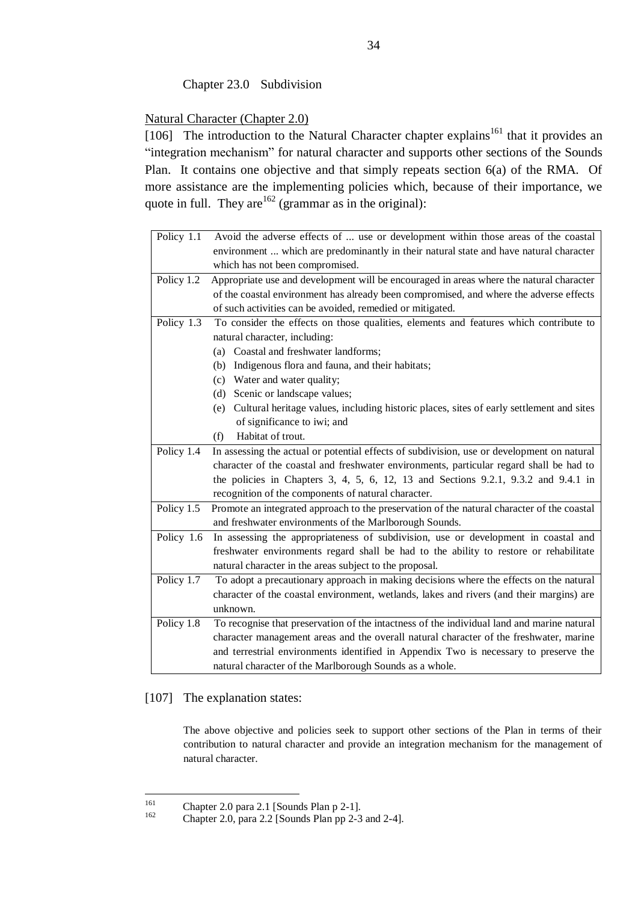### Chapter 23.0 Subdivision

#### Natural Character (Chapter 2.0)

[106] The introduction to the Natural Character chapter explains<sup>161</sup> that it provides an "integration mechanism" for natural character and supports other sections of the Sounds Plan. It contains one objective and that simply repeats section 6(a) of the RMA. Of more assistance are the implementing policies which, because of their importance, we quote in full. They are  $162$  (grammar as in the original):

| Policy 1.1 | Avoid the adverse effects of  use or development within those areas of the coastal           |
|------------|----------------------------------------------------------------------------------------------|
|            | environment  which are predominantly in their natural state and have natural character       |
|            | which has not been compromised.                                                              |
| Policy 1.2 | Appropriate use and development will be encouraged in areas where the natural character      |
|            | of the coastal environment has already been compromised, and where the adverse effects       |
|            | of such activities can be avoided, remedied or mitigated.                                    |
| Policy 1.3 | To consider the effects on those qualities, elements and features which contribute to        |
|            | natural character, including:                                                                |
|            | (a) Coastal and freshwater landforms;                                                        |
|            | (b) Indigenous flora and fauna, and their habitats;                                          |
|            | (c) Water and water quality;                                                                 |
|            | Scenic or landscape values;<br>(d)                                                           |
|            | (e) Cultural heritage values, including historic places, sites of early settlement and sites |
|            | of significance to iwi; and                                                                  |
|            | Habitat of trout.<br>(f)                                                                     |
| Policy 1.4 | In assessing the actual or potential effects of subdivision, use or development on natural   |
|            | character of the coastal and freshwater environments, particular regard shall be had to      |
|            | the policies in Chapters 3, 4, 5, 6, 12, 13 and Sections 9.2.1, 9.3.2 and 9.4.1 in           |
|            | recognition of the components of natural character.                                          |
| Policy 1.5 | Promote an integrated approach to the preservation of the natural character of the coastal   |
|            | and freshwater environments of the Marlborough Sounds.                                       |
| Policy 1.6 | In assessing the appropriateness of subdivision, use or development in coastal and           |
|            | freshwater environments regard shall be had to the ability to restore or rehabilitate        |
|            | natural character in the areas subject to the proposal.                                      |
| Policy 1.7 | To adopt a precautionary approach in making decisions where the effects on the natural       |
|            | character of the coastal environment, wetlands, lakes and rivers (and their margins) are     |
|            | unknown.                                                                                     |
| Policy 1.8 | To recognise that preservation of the intactness of the individual land and marine natural   |
|            | character management areas and the overall natural character of the freshwater, marine       |
|            | and terrestrial environments identified in Appendix Two is necessary to preserve the         |
|            | natural character of the Marlborough Sounds as a whole.                                      |

#### [107] The explanation states:

The above objective and policies seek to support other sections of the Plan in terms of their contribution to natural character and provide an integration mechanism for the management of natural character.

<sup>161</sup> <sup>161</sup> Chapter 2.0 para 2.1 [Sounds Plan p 2-1].<br>  $\frac{162}{2}$  Chapter 2.0, para 2.2 [Sounds Plan pp 2.3]

Chapter 2.0, para  $2.2$  [Sounds Plan pp  $2-3$  and  $2-4$ ].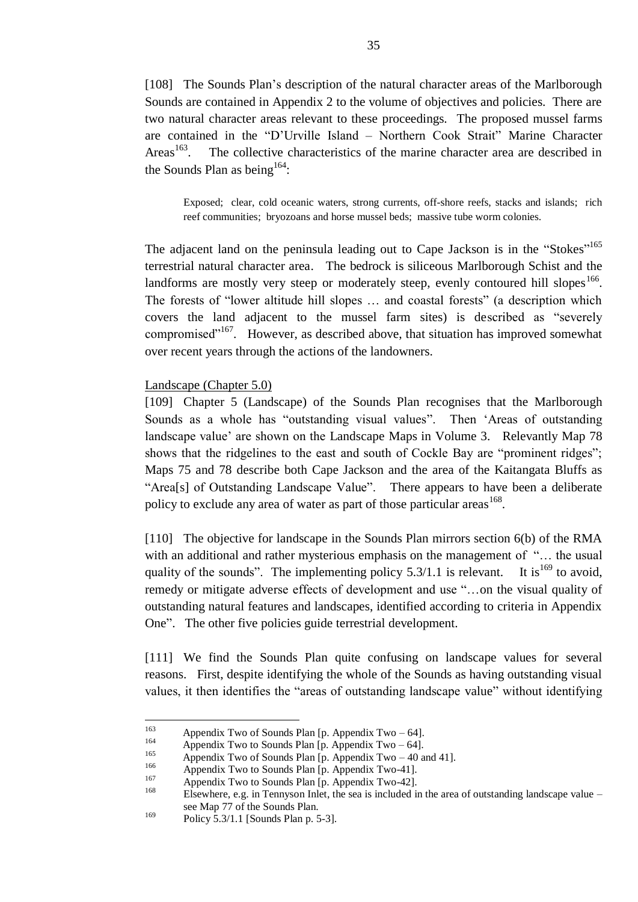[108] The Sounds Plan's description of the natural character areas of the Marlborough Sounds are contained in Appendix 2 to the volume of objectives and policies. There are two natural character areas relevant to these proceedings. The proposed mussel farms are contained in the "D"Urville Island – Northern Cook Strait" Marine Character Areas<sup>163</sup>. . The collective characteristics of the marine character area are described in the Sounds Plan as being<sup>164</sup>:

Exposed; clear, cold oceanic waters, strong currents, off-shore reefs, stacks and islands; rich reef communities; bryozoans and horse mussel beds; massive tube worm colonies.

The adjacent land on the peninsula leading out to Cape Jackson is in the "Stokes"<sup>165</sup> terrestrial natural character area. The bedrock is siliceous Marlborough Schist and the landforms are mostly very steep or moderately steep, evenly contoured hill slopes<sup>166</sup>. The forests of "lower altitude hill slopes … and coastal forests" (a description which covers the land adjacent to the mussel farm sites) is described as "severely compromised"<sup>167</sup>. However, as described above, that situation has improved somewhat over recent years through the actions of the landowners.

#### Landscape (Chapter 5.0)

[109] Chapter 5 (Landscape) of the Sounds Plan recognises that the Marlborough Sounds as a whole has "outstanding visual values". Then "Areas of outstanding landscape value' are shown on the Landscape Maps in Volume 3. Relevantly Map 78 shows that the ridgelines to the east and south of Cockle Bay are "prominent ridges"; Maps 75 and 78 describe both Cape Jackson and the area of the Kaitangata Bluffs as "Area[s] of Outstanding Landscape Value". There appears to have been a deliberate policy to exclude any area of water as part of those particular areas<sup>168</sup>.

[110] The objective for landscape in the Sounds Plan mirrors section 6(b) of the RMA with an additional and rather mysterious emphasis on the management of "... the usual quality of the sounds". The implementing policy  $5.3/1.1$  is relevant. It is<sup>169</sup> to avoid, remedy or mitigate adverse effects of development and use "…on the visual quality of outstanding natural features and landscapes, identified according to criteria in Appendix One". The other five policies guide terrestrial development.

[111] We find the Sounds Plan quite confusing on landscape values for several reasons. First, despite identifying the whole of the Sounds as having outstanding visual values, it then identifies the "areas of outstanding landscape value" without identifying

 $\overline{a}$ 

<sup>&</sup>lt;sup>163</sup> Appendix Two of Sounds Plan [p. Appendix Two – 64].

<sup>&</sup>lt;sup>164</sup> Appendix Two to Sounds Plan [p. Appendix Two – 64].

<sup>&</sup>lt;sup>165</sup> Appendix Two of Sounds Plan [p. Appendix Two – 40 and 41].

<sup>&</sup>lt;sup>166</sup> Appendix Two to Sounds Plan [p. Appendix Two-41].

<sup>&</sup>lt;sup>167</sup> Appendix Two to Sounds Plan [p. Appendix Two-42].

Elsewhere, e.g. in Tennyson Inlet, the sea is included in the area of outstanding landscape value – see Map 77 of the Sounds Plan.

 $^{169}$  Policy 5.3/1.1 [Sounds Plan p. 5-3].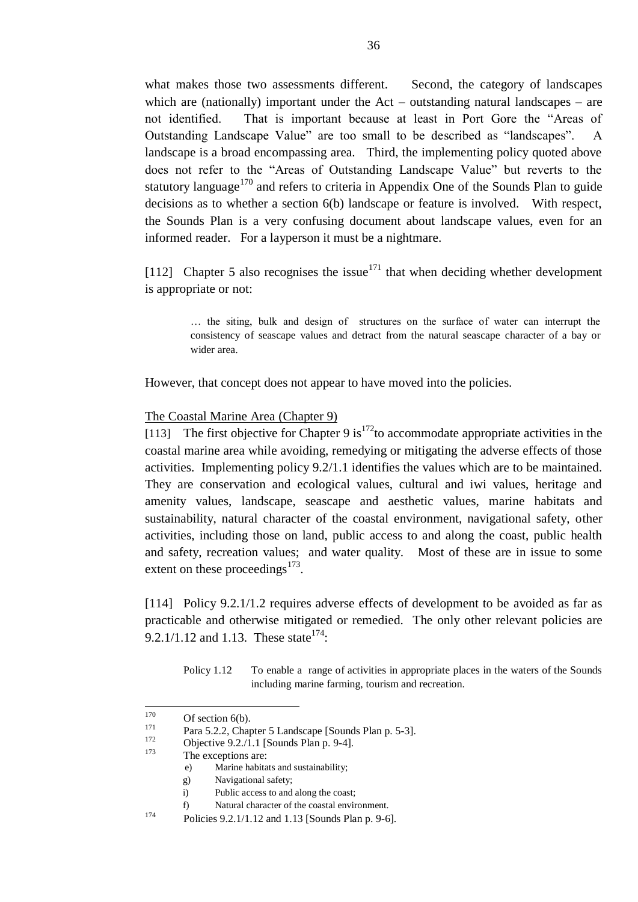what makes those two assessments different. Second, the category of landscapes which are (nationally) important under the Act – outstanding natural landscapes – are not identified. That is important because at least in Port Gore the "Areas of Outstanding Landscape Value" are too small to be described as "landscapes". A landscape is a broad encompassing area. Third, the implementing policy quoted above does not refer to the "Areas of Outstanding Landscape Value" but reverts to the statutory language<sup>170</sup> and refers to criteria in Appendix One of the Sounds Plan to guide decisions as to whether a section 6(b) landscape or feature is involved. With respect, the Sounds Plan is a very confusing document about landscape values, even for an informed reader. For a layperson it must be a nightmare.

[112] Chapter 5 also recognises the issue<sup>171</sup> that when deciding whether development is appropriate or not:

… the siting, bulk and design of structures on the surface of water can interrupt the consistency of seascape values and detract from the natural seascape character of a bay or wider area.

However, that concept does not appear to have moved into the policies.

#### The Coastal Marine Area (Chapter 9)

[113] The first objective for Chapter 9 is<sup>172</sup>to accommodate appropriate activities in the coastal marine area while avoiding, remedying or mitigating the adverse effects of those activities. Implementing policy 9.2/1.1 identifies the values which are to be maintained. They are conservation and ecological values, cultural and iwi values, heritage and amenity values, landscape, seascape and aesthetic values, marine habitats and sustainability, natural character of the coastal environment, navigational safety, other activities, including those on land, public access to and along the coast, public health and safety, recreation values; and water quality. Most of these are in issue to some extent on these proceedings $^{173}$ .

[114] Policy 9.2.1/1.2 requires adverse effects of development to be avoided as far as practicable and otherwise mitigated or remedied. The only other relevant policies are 9.2.1/1.12 and 1.13. These state<sup>174</sup>:

Policy 1.12 To enable a range of activities in appropriate places in the waters of the Sounds including marine farming, tourism and recreation.

<sup>170</sup>  $170$  Of section 6(b).

Para 5.2.2, Chapter 5 Landscape [Sounds Plan p. 5-3].

 $\frac{172}{173}$  Objective 9.2./1.1 [Sounds Plan p. 9-4].

The exceptions are:

e) Marine habitats and sustainability;

g) Navigational safety;

i) Public access to and along the coast;

f) Natural character of the coastal environment.

<sup>174</sup> Policies 9.2.1/1.12 and 1.13 [Sounds Plan p. 9-6].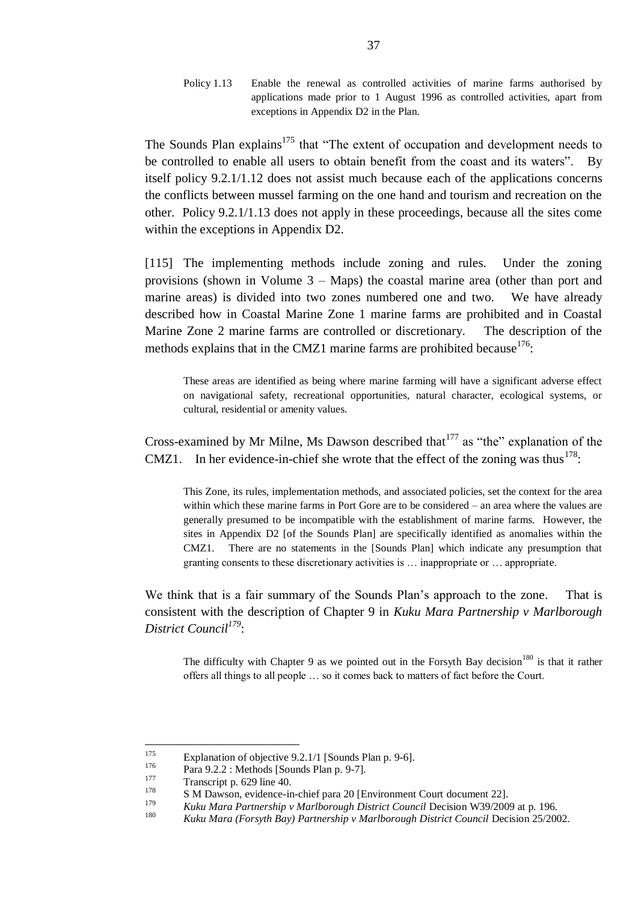Policy 1.13 Enable the renewal as controlled activities of marine farms authorised by applications made prior to 1 August 1996 as controlled activities, apart from exceptions in Appendix D2 in the Plan.

The Sounds Plan explains<sup>175</sup> that "The extent of occupation and development needs to be controlled to enable all users to obtain benefit from the coast and its waters". By itself policy 9.2.1/1.12 does not assist much because each of the applications concerns the conflicts between mussel farming on the one hand and tourism and recreation on the other. Policy 9.2.1/1.13 does not apply in these proceedings, because all the sites come within the exceptions in Appendix D2.

[115] The implementing methods include zoning and rules. Under the zoning provisions (shown in Volume  $3 -$  Maps) the coastal marine area (other than port and marine areas) is divided into two zones numbered one and two. We have already described how in Coastal Marine Zone 1 marine farms are prohibited and in Coastal Marine Zone 2 marine farms are controlled or discretionary. The description of the methods explains that in the CMZ1 marine farms are prohibited because  $176$ .

These areas are identified as being where marine farming will have a significant adverse effect on navigational safety, recreational opportunities, natural character, ecological systems, or cultural, residential or amenity values.

Cross-examined by Mr Milne, Ms Dawson described that  $177$  as "the" explanation of the CMZ1. In her evidence-in-chief she wrote that the effect of the zoning was thus<sup>178</sup>:

This Zone, its rules, implementation methods, and associated policies, set the context for the area within which these marine farms in Port Gore are to be considered – an area where the values are generally presumed to be incompatible with the establishment of marine farms. However, the sites in Appendix D2 [of the Sounds Plan] are specifically identified as anomalies within the CMZ1. There are no statements in the [Sounds Plan] which indicate any presumption that granting consents to these discretionary activities is … inappropriate or … appropriate.

We think that is a fair summary of the Sounds Plan"s approach to the zone. That is consistent with the description of Chapter 9 in *Kuku Mara Partnership v Marlborough District Council<sup>179</sup>* :

The difficulty with Chapter 9 as we pointed out in the Forsyth Bay decision<sup>180</sup> is that it rather offers all things to all people … so it comes back to matters of fact before the Court.

<sup>175</sup> <sup>175</sup> Explanation of objective 9.2.1/1 [Sounds Plan p. 9-6].

 $\frac{176}{177}$  Para 9.2.2 : Methods [Sounds Plan p. 9-7].

 $\frac{177}{178}$  Transcript p. 629 line 40.

<sup>&</sup>lt;sup>178</sup> S M Dawson, evidence-in-chief para 20 [Environment Court document 22].

<sup>179</sup> *Kuku Mara Partnership v Marlborough District Council* Decision W39/2009 at p. 196.

<sup>180</sup> *Kuku Mara (Forsyth Bay) Partnership v Marlborough District Council* Decision 25/2002.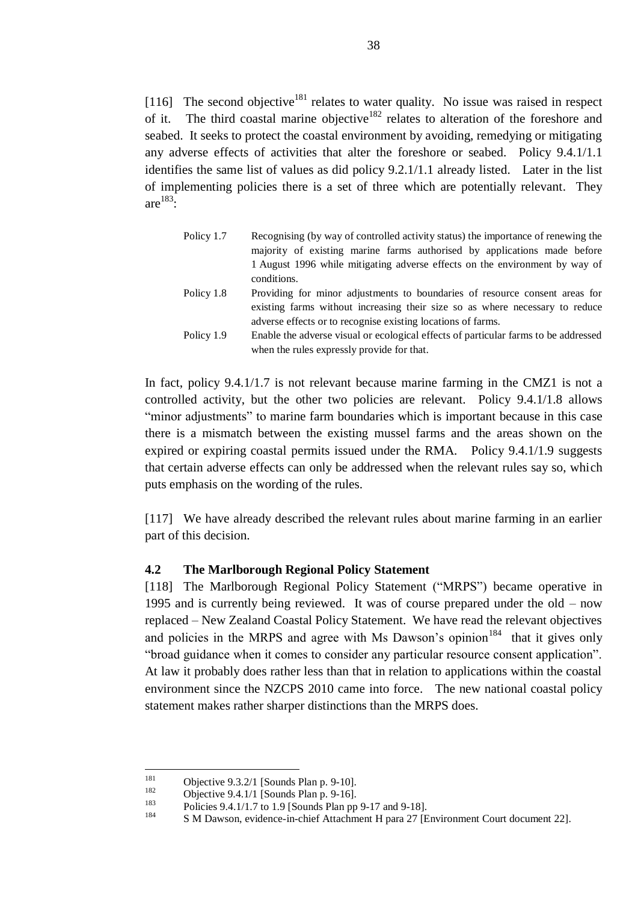[116] The second objective<sup>181</sup> relates to water quality. No issue was raised in respect of it. The third coastal marine objective<sup>182</sup> relates to alteration of the foreshore and seabed. It seeks to protect the coastal environment by avoiding, remedying or mitigating any adverse effects of activities that alter the foreshore or seabed. Policy 9.4.1/1.1 identifies the same list of values as did policy 9.2.1/1.1 already listed. Later in the list of implementing policies there is a set of three which are potentially relevant. They are $^{183}$ :

| Policy 1.7 | Recognising (by way of controlled activity status) the importance of renewing the   |
|------------|-------------------------------------------------------------------------------------|
|            | majority of existing marine farms authorised by applications made before            |
|            | 1 August 1996 while mitigating adverse effects on the environment by way of         |
|            | conditions.                                                                         |
| Policy 1.8 | Providing for minor adjustments to boundaries of resource consent areas for         |
|            | existing farms without increasing their size so as where necessary to reduce        |
|            | adverse effects or to recognise existing locations of farms.                        |
| Policy 1.9 | Enable the adverse visual or ecological effects of particular farms to be addressed |
|            | when the rules expressly provide for that.                                          |

In fact, policy 9.4.1/1.7 is not relevant because marine farming in the CMZ1 is not a controlled activity, but the other two policies are relevant. Policy 9.4.1/1.8 allows "minor adjustments" to marine farm boundaries which is important because in this case there is a mismatch between the existing mussel farms and the areas shown on the expired or expiring coastal permits issued under the RMA. Policy 9.4.1/1.9 suggests that certain adverse effects can only be addressed when the relevant rules say so, which puts emphasis on the wording of the rules.

[117] We have already described the relevant rules about marine farming in an earlier part of this decision.

### **4.2 The Marlborough Regional Policy Statement**

[118] The Marlborough Regional Policy Statement ("MRPS") became operative in 1995 and is currently being reviewed. It was of course prepared under the old – now replaced – New Zealand Coastal Policy Statement. We have read the relevant objectives and policies in the MRPS and agree with Ms Dawson's opinion<sup>184</sup> that it gives only "broad guidance when it comes to consider any particular resource consent application". At law it probably does rather less than that in relation to applications within the coastal environment since the NZCPS 2010 came into force. The new national coastal policy statement makes rather sharper distinctions than the MRPS does.

<sup>181</sup> <sup>181</sup> Objective 9.3.2/1 [Sounds Plan p. 9-10].<br>
Objective 0.4.1/1 [Saugha Plan p. 0.16]

<sup>&</sup>lt;sup>182</sup> Objective 9.4.1/1 [Sounds Plan p. 9-16].

<sup>&</sup>lt;sup>183</sup> Policies 9.4.1/1.7 to 1.9 [Sounds Plan pp 9-17 and 9-18].

<sup>184</sup> S M Dawson, evidence-in-chief Attachment H para 27 [Environment Court document 22].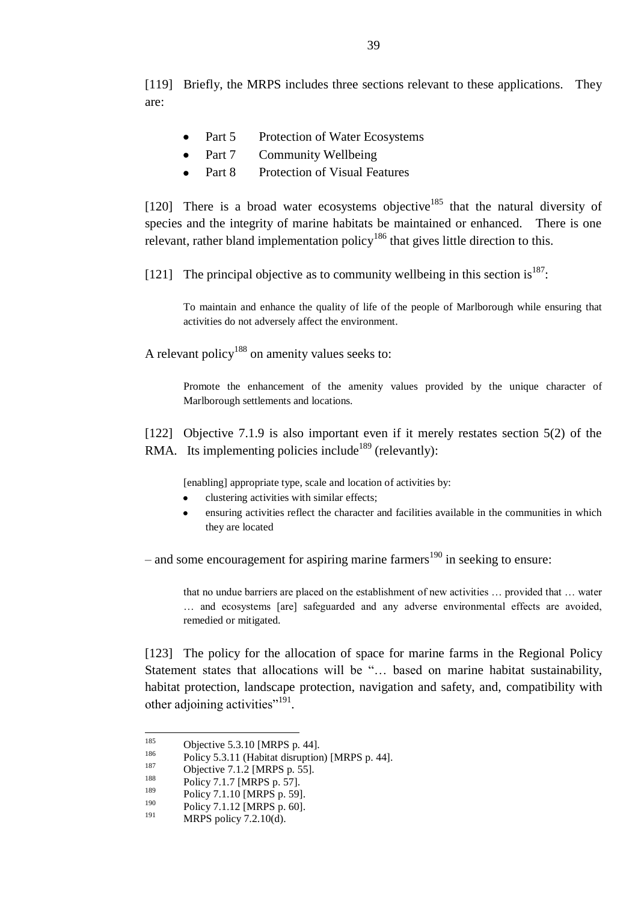[119] Briefly, the MRPS includes three sections relevant to these applications. They are:

- Part 5 Protection of Water Ecosystems
- Part 7 Community Wellbeing
- Part 8 Protection of Visual Features

[120] There is a broad water ecosystems objective<sup>185</sup> that the natural diversity of species and the integrity of marine habitats be maintained or enhanced. There is one relevant, rather bland implementation policy<sup>186</sup> that gives little direction to this.

[121] The principal objective as to community wellbeing in this section is  $187$ .

To maintain and enhance the quality of life of the people of Marlborough while ensuring that activities do not adversely affect the environment.

A relevant policy<sup>188</sup> on amenity values seeks to:

Promote the enhancement of the amenity values provided by the unique character of Marlborough settlements and locations.

[122] Objective 7.1.9 is also important even if it merely restates section 5(2) of the RMA. Its implementing policies include<sup>189</sup> (relevantly):

[enabling] appropriate type, scale and location of activities by:

- clustering activities with similar effects;
- ensuring activities reflect the character and facilities available in the communities in which  $\bullet$ they are located

– and some encouragement for aspiring marine farmers<sup>190</sup> in seeking to ensure:

that no undue barriers are placed on the establishment of new activities … provided that … water … and ecosystems [are] safeguarded and any adverse environmental effects are avoided, remedied or mitigated.

[123] The policy for the allocation of space for marine farms in the Regional Policy Statement states that allocations will be "… based on marine habitat sustainability, habitat protection, landscape protection, navigation and safety, and, compatibility with other adjoining activities"<sup>191</sup>.

<sup>185</sup> <sup>185</sup> Objective 5.3.10 [MRPS p. 44].

<sup>&</sup>lt;sup>186</sup> Policy 5.3.11 (Habitat disruption) [MRPS p. 44].

<sup>&</sup>lt;sup>187</sup> Objective 7.1.2 [MRPS p. 55].<br><sup>188</sup> Polisy 7.1.7 **MPDS p. 571** 

<sup>&</sup>lt;sup>188</sup> Policy 7.1.7 [MRPS p. 57].

<sup>&</sup>lt;sup>189</sup> Policy 7.1.10 [MRPS p. 59].

 $190$  Policy 7.1.12 [MRPS p. 60].

MRPS policy  $7.2.10(d)$ .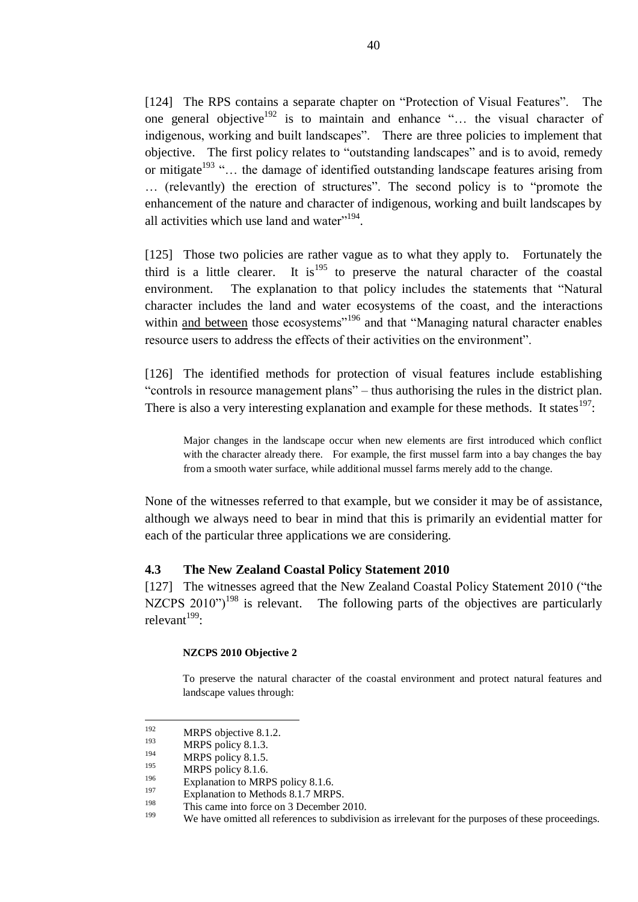[124] The RPS contains a separate chapter on "Protection of Visual Features". The one general objective<sup>192</sup> is to maintain and enhance "... the visual character of indigenous, working and built landscapes". There are three policies to implement that objective. The first policy relates to "outstanding landscapes" and is to avoid, remedy or mitigate<sup>193</sup> "... the damage of identified outstanding landscape features arising from … (relevantly) the erection of structures". The second policy is to "promote the enhancement of the nature and character of indigenous, working and built landscapes by all activities which use land and water"<sup>194</sup>.

[125] Those two policies are rather vague as to what they apply to. Fortunately the third is a little clearer. It is<sup>195</sup> to preserve the natural character of the coastal environment. The explanation to that policy includes the statements that "Natural character includes the land and water ecosystems of the coast, and the interactions within and between those ecosystems"<sup>196</sup> and that "Managing natural character enables resource users to address the effects of their activities on the environment".

[126] The identified methods for protection of visual features include establishing "controls in resource management plans" – thus authorising the rules in the district plan. There is also a very interesting explanation and example for these methods. It states  $197$ :

Major changes in the landscape occur when new elements are first introduced which conflict with the character already there. For example, the first mussel farm into a bay changes the bay from a smooth water surface, while additional mussel farms merely add to the change.

None of the witnesses referred to that example, but we consider it may be of assistance, although we always need to bear in mind that this is primarily an evidential matter for each of the particular three applications we are considering.

### **4.3 The New Zealand Coastal Policy Statement 2010**

[127] The witnesses agreed that the New Zealand Coastal Policy Statement 2010 ("the NZCPS  $2010"$ <sup>198</sup> is relevant. The following parts of the objectives are particularly relevant<sup>199</sup>:

### **NZCPS 2010 Objective 2**

To preserve the natural character of the coastal environment and protect natural features and landscape values through:

 $\overline{a}$ 

 $192$  MRPS objective 8.1.2.

 $193$  MRPS policy 8.1.3.

 $194$  MRPS policy 8.1.5.

 $195$  MRPS policy 8.1.6.

<sup>&</sup>lt;sup>196</sup> Explanation to MRPS policy 8.1.6.<br>Fundamental Matheda 8.1.7 MPF

 $197$  Explanation to Methods 8.1.7 MRPS.

<sup>&</sup>lt;sup>198</sup> This came into force on 3 December 2010.

We have omitted all references to subdivision as irrelevant for the purposes of these proceedings.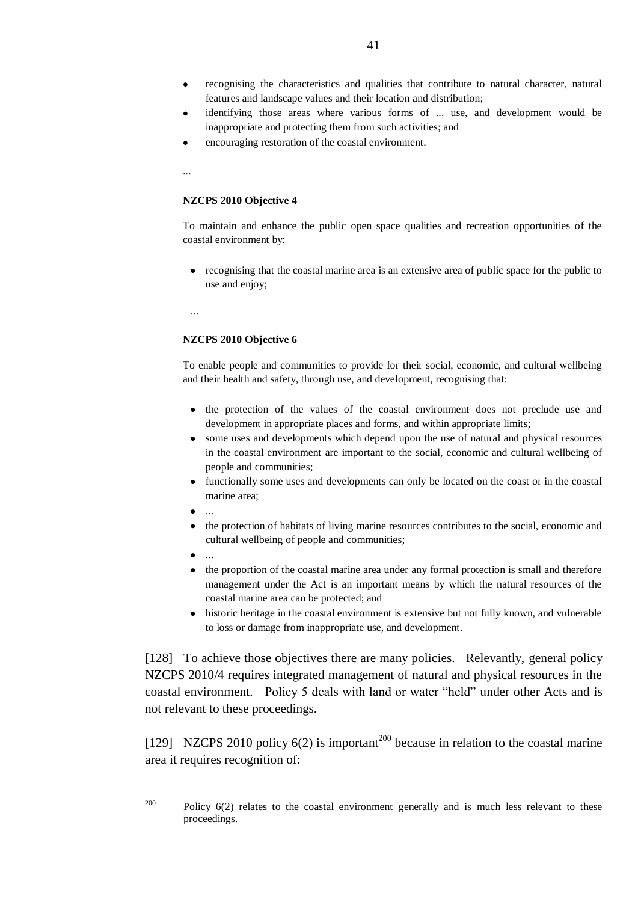- recognising the characteristics and qualities that contribute to natural character, natural  $\bullet$ features and landscape values and their location and distribution;
- identifying those areas where various forms of ... use, and development would be inappropriate and protecting them from such activities; and
- encouraging restoration of the coastal environment.

...

### **NZCPS 2010 Objective 4**

To maintain and enhance the public open space qualities and recreation opportunities of the coastal environment by:

• recognising that the coastal marine area is an extensive area of public space for the public to use and enjoy;

...

#### **NZCPS 2010 Objective 6**

To enable people and communities to provide for their social, economic, and cultural wellbeing and their health and safety, through use, and development, recognising that:

- the protection of the values of the coastal environment does not preclude use and development in appropriate places and forms, and within appropriate limits;
- some uses and developments which depend upon the use of natural and physical resources in the coastal environment are important to the social, economic and cultural wellbeing of people and communities;
- functionally some uses and developments can only be located on the coast or in the coastal marine area;
- ...
- the protection of habitats of living marine resources contributes to the social, economic and cultural wellbeing of people and communities;
- ...
- the proportion of the coastal marine area under any formal protection is small and therefore management under the Act is an important means by which the natural resources of the coastal marine area can be protected; and
- historic heritage in the coastal environment is extensive but not fully known, and vulnerable to loss or damage from inappropriate use, and development.

[128] To achieve those objectives there are many policies. Relevantly, general policy NZCPS 2010/4 requires integrated management of natural and physical resources in the coastal environment. Policy 5 deals with land or water "held" under other Acts and is not relevant to these proceedings.

[129] NZCPS 2010 policy  $6(2)$  is important<sup>200</sup> because in relation to the coastal marine area it requires recognition of:

<sup>200</sup> Policy  $6(2)$  relates to the coastal environment generally and is much less relevant to these proceedings.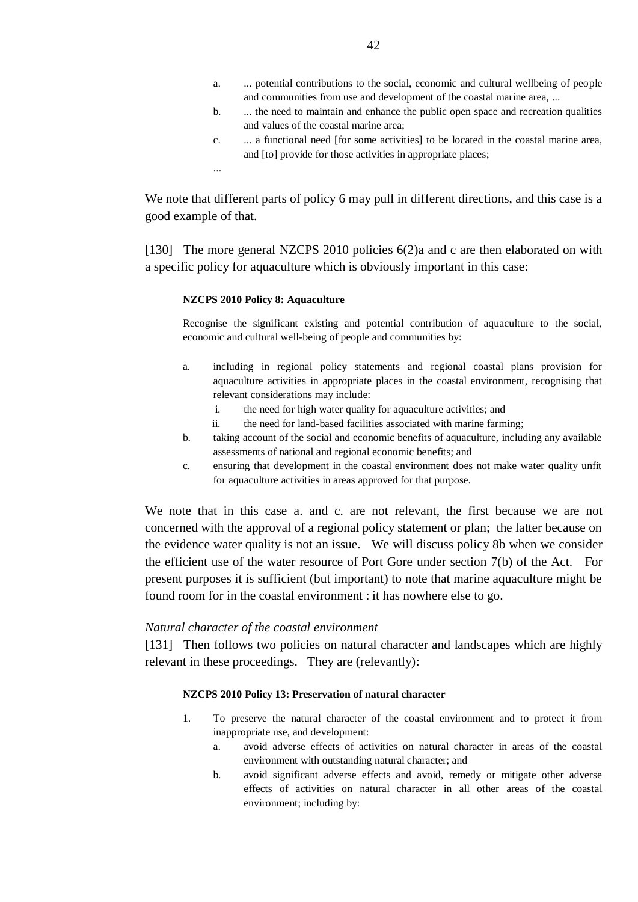- a. ... potential contributions to the social, economic and cultural wellbeing of people and communities from use and development of the coastal marine area, ...
- b. ... the need to maintain and enhance the public open space and recreation qualities and values of the coastal marine area;
- c. ... a functional need [for some activities] to be located in the coastal marine area, and [to] provide for those activities in appropriate places;

...

We note that different parts of policy 6 may pull in different directions, and this case is a good example of that.

[130] The more general NZCPS 2010 policies 6(2)a and c are then elaborated on with a specific policy for aquaculture which is obviously important in this case:

### **NZCPS 2010 Policy 8: Aquaculture**

Recognise the significant existing and potential contribution of aquaculture to the social, economic and cultural well-being of people and communities by:

- a. including in regional policy statements and regional coastal plans provision for aquaculture activities in appropriate places in the coastal environment, recognising that relevant considerations may include:
	- i. the need for high water quality for aquaculture activities; and
	- ii. the need for land-based facilities associated with marine farming;
- b. taking account of the social and economic benefits of aquaculture, including any available assessments of national and regional economic benefits; and
- c. ensuring that development in the coastal environment does not make water quality unfit for aquaculture activities in areas approved for that purpose.

We note that in this case a. and c. are not relevant, the first because we are not concerned with the approval of a regional policy statement or plan; the latter because on the evidence water quality is not an issue. We will discuss policy 8b when we consider the efficient use of the water resource of Port Gore under section 7(b) of the Act. For present purposes it is sufficient (but important) to note that marine aquaculture might be found room for in the coastal environment : it has nowhere else to go.

### *Natural character of the coastal environment*

[131] Then follows two policies on natural character and landscapes which are highly relevant in these proceedings. They are (relevantly):

#### **NZCPS 2010 Policy 13: Preservation of natural character**

- 1. To preserve the natural character of the coastal environment and to protect it from inappropriate use, and development:
	- a. avoid adverse effects of activities on natural character in areas of the coastal environment with outstanding natural character; and
	- b. avoid significant adverse effects and avoid, remedy or mitigate other adverse effects of activities on natural character in all other areas of the coastal environment; including by: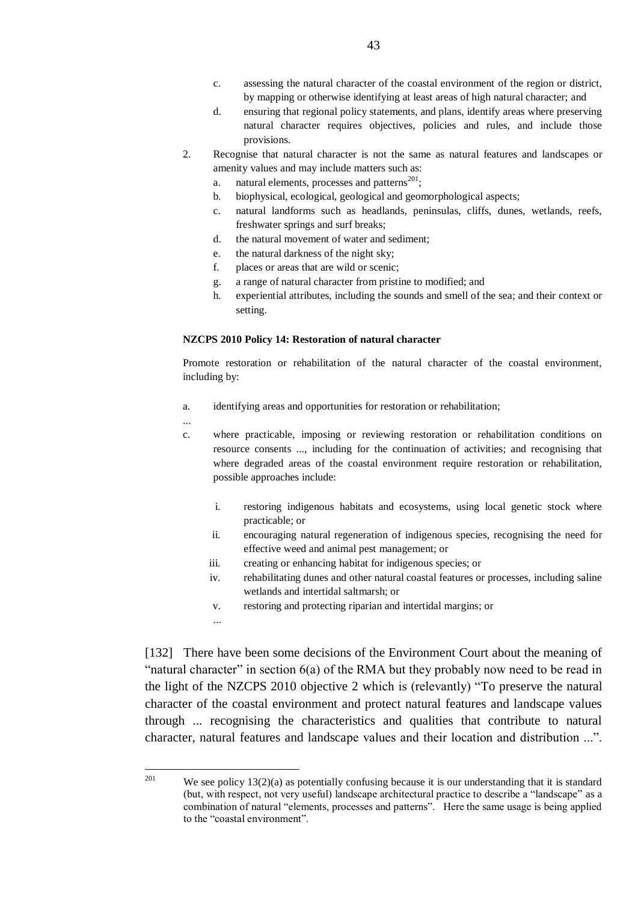- c. assessing the natural character of the coastal environment of the region or district, by mapping or otherwise identifying at least areas of high natural character; and
- d. ensuring that regional policy statements, and plans, identify areas where preserving natural character requires objectives, policies and rules, and include those provisions.
- 2. Recognise that natural character is not the same as natural features and landscapes or amenity values and may include matters such as:
	- a. natural elements, processes and patterns<sup>201</sup>;
	- b. biophysical, ecological, geological and geomorphological aspects;
	- c. natural landforms such as headlands, peninsulas, cliffs, dunes, wetlands, reefs, freshwater springs and surf breaks;
	- d. the natural movement of water and sediment;
	- e. the natural darkness of the night sky;
	- f. places or areas that are wild or scenic;
	- g. a range of natural character from pristine to modified; and
	- h. experiential attributes, including the sounds and smell of the sea; and their context or setting.

#### **NZCPS 2010 Policy 14: Restoration of natural character**

Promote restoration or rehabilitation of the natural character of the coastal environment, including by:

- a. identifying areas and opportunities for restoration or rehabilitation;
- ...
- c. where practicable, imposing or reviewing restoration or rehabilitation conditions on resource consents ..., including for the continuation of activities; and recognising that where degraded areas of the coastal environment require restoration or rehabilitation, possible approaches include:
	- i. restoring indigenous habitats and ecosystems, using local genetic stock where practicable; or
	- ii. encouraging natural regeneration of indigenous species, recognising the need for effective weed and animal pest management; or
	- iii. creating or enhancing habitat for indigenous species; or
	- iv. rehabilitating dunes and other natural coastal features or processes, including saline wetlands and intertidal saltmarsh; or
	- v. restoring and protecting riparian and intertidal margins; or
	- ...

[132] There have been some decisions of the Environment Court about the meaning of "natural character" in section 6(a) of the RMA but they probably now need to be read in the light of the NZCPS 2010 objective 2 which is (relevantly) "To preserve the natural character of the coastal environment and protect natural features and landscape values through ... recognising the characteristics and qualities that contribute to natural character, natural features and landscape values and their location and distribution ...".

We see policy  $13(2)(a)$  as potentially confusing because it is our understanding that it is standard (but, with respect, not very useful) landscape architectural practice to describe a "landscape" as a combination of natural "elements, processes and patterns". Here the same usage is being applied to the "coastal environment".

<sup>201</sup>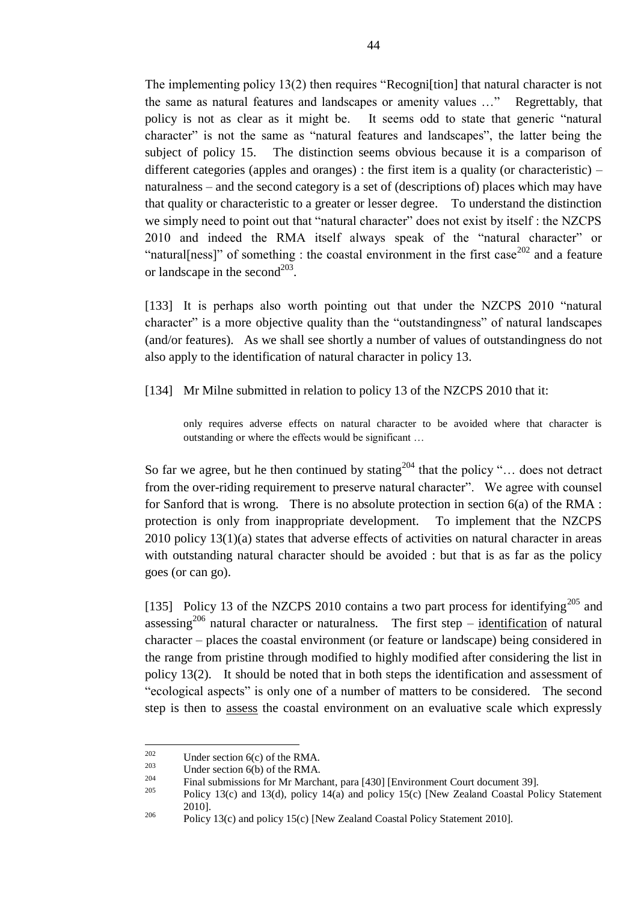The implementing policy 13(2) then requires "Recogni[tion] that natural character is not the same as natural features and landscapes or amenity values …" Regrettably, that policy is not as clear as it might be. It seems odd to state that generic "natural character" is not the same as "natural features and landscapes", the latter being the subject of policy 15. The distinction seems obvious because it is a comparison of different categories (apples and oranges) : the first item is a quality (or characteristic) – naturalness – and the second category is a set of (descriptions of) places which may have that quality or characteristic to a greater or lesser degree. To understand the distinction we simply need to point out that "natural character" does not exist by itself : the NZCPS 2010 and indeed the RMA itself always speak of the "natural character" or "natural [ness]" of something : the coastal environment in the first case  $202$  and a feature or landscape in the second<sup>203</sup>.

[133] It is perhaps also worth pointing out that under the NZCPS 2010 "natural character" is a more objective quality than the "outstandingness" of natural landscapes (and/or features). As we shall see shortly a number of values of outstandingness do not also apply to the identification of natural character in policy 13.

[134] Mr Milne submitted in relation to policy 13 of the NZCPS 2010 that it:

only requires adverse effects on natural character to be avoided where that character is outstanding or where the effects would be significant …

So far we agree, but he then continued by stating<sup>204</sup> that the policy "... does not detract from the over-riding requirement to preserve natural character". We agree with counsel for Sanford that is wrong. There is no absolute protection in section 6(a) of the RMA : protection is only from inappropriate development. To implement that the NZCPS 2010 policy 13(1)(a) states that adverse effects of activities on natural character in areas with outstanding natural character should be avoided : but that is as far as the policy goes (or can go).

[135] Policy 13 of the NZCPS 2010 contains a two part process for identifying<sup>205</sup> and assessing<sup>206</sup> natural character or naturalness. The first step – identification of natural character – places the coastal environment (or feature or landscape) being considered in the range from pristine through modified to highly modified after considering the list in policy 13(2). It should be noted that in both steps the identification and assessment of "ecological aspects" is only one of a number of matters to be considered. The second step is then to assess the coastal environment on an evaluative scale which expressly

 $202$ <sup>202</sup> Under section 6(c) of the RMA.

<sup>&</sup>lt;sup>203</sup> Under section 6(b) of the RMA.

<sup>&</sup>lt;sup>204</sup> Final submissions for Mr Marchant, para [430] [Environment Court document 39].

<sup>205</sup> Policy 13(c) and 13(d), policy 14(a) and policy 15(c) [New Zealand Coastal Policy Statement 2010].

<sup>&</sup>lt;sup>206</sup> Policy 13(c) and policy 15(c) [New Zealand Coastal Policy Statement 2010].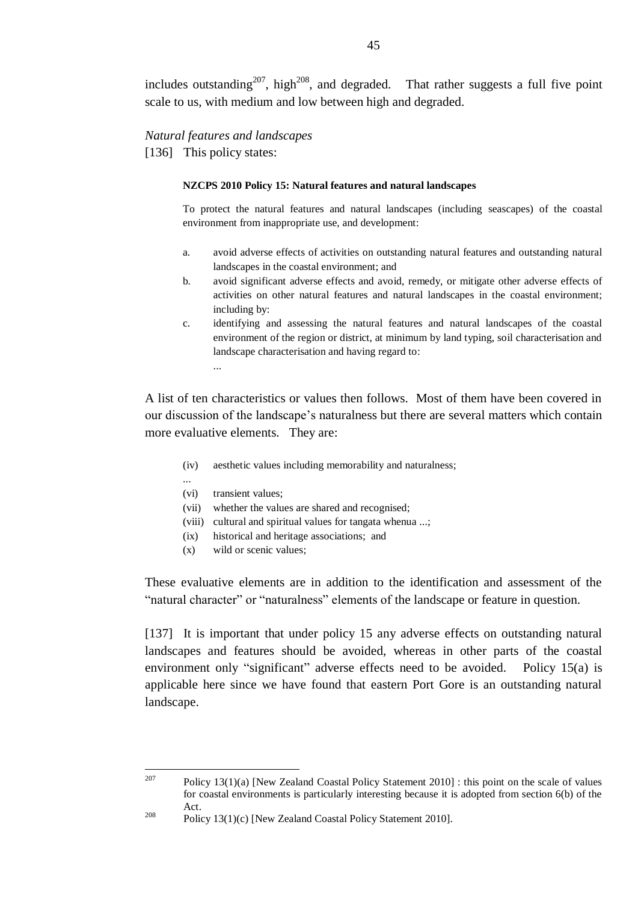includes outstanding<sup>207</sup>, high<sup>208</sup>, and degraded. That rather suggests a full five point scale to us, with medium and low between high and degraded.

# *Natural features and landscapes*

[136] This policy states:

### **NZCPS 2010 Policy 15: Natural features and natural landscapes**

To protect the natural features and natural landscapes (including seascapes) of the coastal environment from inappropriate use, and development:

- a. avoid adverse effects of activities on outstanding natural features and outstanding natural landscapes in the coastal environment; and
- b. avoid significant adverse effects and avoid, remedy, or mitigate other adverse effects of activities on other natural features and natural landscapes in the coastal environment; including by:
- c. identifying and assessing the natural features and natural landscapes of the coastal environment of the region or district, at minimum by land typing, soil characterisation and landscape characterisation and having regard to: ...

A list of ten characteristics or values then follows. Most of them have been covered in our discussion of the landscape"s naturalness but there are several matters which contain more evaluative elements. They are:

- (iv) aesthetic values including memorability and naturalness;
- ...
- (vi) transient values;
- (vii) whether the values are shared and recognised;
- (viii) cultural and spiritual values for tangata whenua ...;
- (ix) historical and heritage associations; and
- (x) wild or scenic values;

These evaluative elements are in addition to the identification and assessment of the "natural character" or "naturalness" elements of the landscape or feature in question.

[137] It is important that under policy 15 any adverse effects on outstanding natural landscapes and features should be avoided, whereas in other parts of the coastal environment only "significant" adverse effects need to be avoided. Policy 15(a) is applicable here since we have found that eastern Port Gore is an outstanding natural landscape.

<sup>207</sup> Policy 13(1)(a) [New Zealand Coastal Policy Statement 2010] : this point on the scale of values for coastal environments is particularly interesting because it is adopted from section 6(b) of the Act.

<sup>&</sup>lt;sup>208</sup> Policy 13(1)(c) [New Zealand Coastal Policy Statement 2010].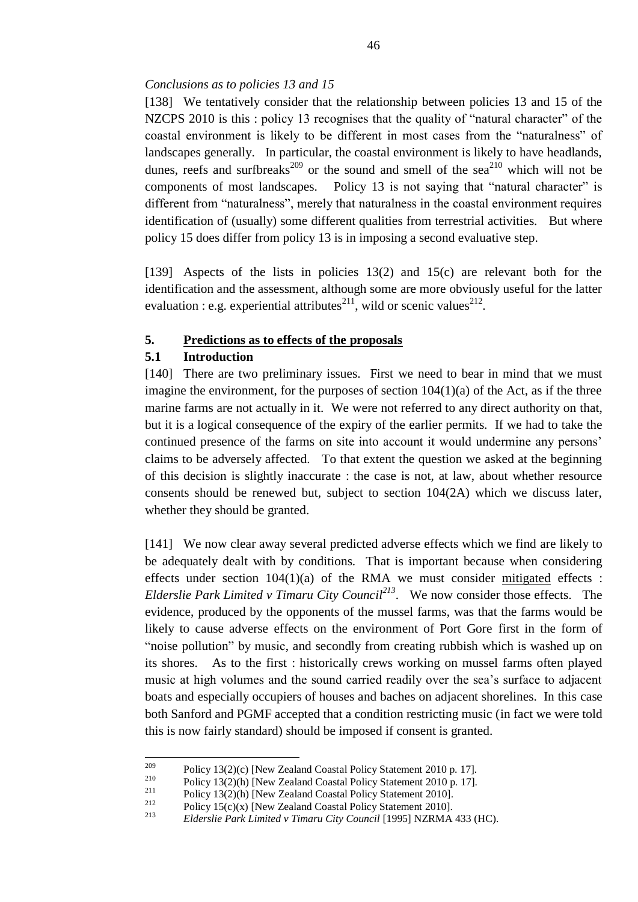# *Conclusions as to policies 13 and 15*

[138] We tentatively consider that the relationship between policies 13 and 15 of the NZCPS 2010 is this: policy 13 recognises that the quality of "natural character" of the coastal environment is likely to be different in most cases from the "naturalness" of landscapes generally. In particular, the coastal environment is likely to have headlands, dunes, reefs and surfbreaks<sup>209</sup> or the sound and smell of the sea<sup>210</sup> which will not be components of most landscapes. Policy 13 is not saying that "natural character" is different from "naturalness", merely that naturalness in the coastal environment requires identification of (usually) some different qualities from terrestrial activities. But where policy 15 does differ from policy 13 is in imposing a second evaluative step.

[139] Aspects of the lists in policies 13(2) and 15(c) are relevant both for the identification and the assessment, although some are more obviously useful for the latter evaluation : e.g. experiential attributes $^{211}$ , wild or scenic values $^{212}$ .

# **5. Predictions as to effects of the proposals**

# **5.1 Introduction**

[140] There are two preliminary issues. First we need to bear in mind that we must imagine the environment, for the purposes of section  $104(1)(a)$  of the Act, as if the three marine farms are not actually in it. We were not referred to any direct authority on that, but it is a logical consequence of the expiry of the earlier permits. If we had to take the continued presence of the farms on site into account it would undermine any persons" claims to be adversely affected. To that extent the question we asked at the beginning of this decision is slightly inaccurate : the case is not, at law, about whether resource consents should be renewed but, subject to section 104(2A) which we discuss later, whether they should be granted.

[141] We now clear away several predicted adverse effects which we find are likely to be adequately dealt with by conditions. That is important because when considering effects under section 104(1)(a) of the RMA we must consider mitigated effects : *Elderslie Park Limited v Timaru City Council<sup>213</sup>* . We now consider those effects. The evidence, produced by the opponents of the mussel farms, was that the farms would be likely to cause adverse effects on the environment of Port Gore first in the form of "noise pollution" by music, and secondly from creating rubbish which is washed up on its shores. As to the first : historically crews working on mussel farms often played music at high volumes and the sound carried readily over the sea"s surface to adjacent boats and especially occupiers of houses and baches on adjacent shorelines. In this case both Sanford and PGMF accepted that a condition restricting music (in fact we were told this is now fairly standard) should be imposed if consent is granted.

<sup>209</sup> <sup>209</sup> Policy 13(2)(c) [New Zealand Coastal Policy Statement 2010 p. 17].<br>
Policy 13(2)(b) [New Zealand Coastal Policy Statement 2010 p. 17]

<sup>&</sup>lt;sup>210</sup> Policy 13(2)(h) [New Zealand Coastal Policy Statement 2010 p. 17].<br>
Policy 12(2)(h) [New Zealand Coastal Policy Statement 2010]

<sup>&</sup>lt;sup>211</sup> Policy 13(2)(h) [New Zealand Coastal Policy Statement 2010].

<sup>&</sup>lt;sup>212</sup> Policy 15(c)(x) [New Zealand Coastal Policy Statement 2010].<br><sup>213</sup> Elderski Bark Limited v Timery City Council 119951 NZPMA

<sup>213</sup> *Elderslie Park Limited v Timaru City Council* [1995] NZRMA 433 (HC).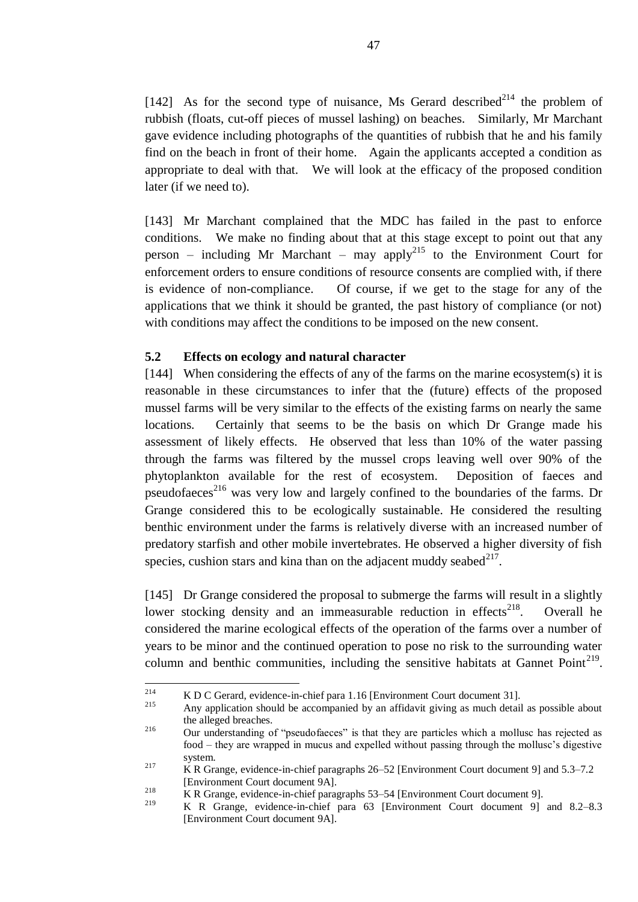[142] As for the second type of nuisance, Ms Gerard described<sup>214</sup> the problem of rubbish (floats, cut-off pieces of mussel lashing) on beaches. Similarly, Mr Marchant gave evidence including photographs of the quantities of rubbish that he and his family find on the beach in front of their home. Again the applicants accepted a condition as appropriate to deal with that. We will look at the efficacy of the proposed condition later (if we need to).

[143] Mr Marchant complained that the MDC has failed in the past to enforce conditions. We make no finding about that at this stage except to point out that any person – including Mr Marchant – may apply<sup>215</sup> to the Environment Court for enforcement orders to ensure conditions of resource consents are complied with, if there is evidence of non-compliance. Of course, if we get to the stage for any of the applications that we think it should be granted, the past history of compliance (or not) with conditions may affect the conditions to be imposed on the new consent.

### **5.2 Effects on ecology and natural character**

[144] When considering the effects of any of the farms on the marine ecosystem(s) it is reasonable in these circumstances to infer that the (future) effects of the proposed mussel farms will be very similar to the effects of the existing farms on nearly the same locations. Certainly that seems to be the basis on which Dr Grange made his assessment of likely effects. He observed that less than 10% of the water passing through the farms was filtered by the mussel crops leaving well over 90% of the phytoplankton available for the rest of ecosystem. Deposition of faeces and pseudofaeces<sup>216</sup> was very low and largely confined to the boundaries of the farms. Dr Grange considered this to be ecologically sustainable. He considered the resulting benthic environment under the farms is relatively diverse with an increased number of predatory starfish and other mobile invertebrates. He observed a higher diversity of fish species, cushion stars and kina than on the adjacent muddy seabed $^{217}$ .

[145] Dr Grange considered the proposal to submerge the farms will result in a slightly lower stocking density and an immeasurable reduction in effects<sup>218</sup>. . Overall he considered the marine ecological effects of the operation of the farms over a number of years to be minor and the continued operation to pose no risk to the surrounding water column and benthic communities, including the sensitive habitats at Gannet Point<sup>219</sup>.

<sup>214</sup>  $\frac{214}{215}$  K D C Gerard, evidence-in-chief para 1.16 [Environment Court document 31].

<sup>215</sup> Any application should be accompanied by an affidavit giving as much detail as possible about the alleged breaches.

<sup>&</sup>lt;sup>216</sup> Our understanding of "pseudofaeces" is that they are particles which a mollusc has rejected as food – they are wrapped in mucus and expelled without passing through the mollusc's digestive system.

<sup>&</sup>lt;sup>217</sup> K R Grange, evidence-in-chief paragraphs 26–52 [Environment Court document 9] and 5.3–7.2 [Environment Court document 9A].

<sup>218</sup> K R Grange, evidence-in-chief paragraphs 53–54 [Environment Court document 9].

<sup>219</sup> K R Grange, evidence-in-chief para 63 [Environment Court document 9] and 8.2–8.3 [Environment Court document 9A].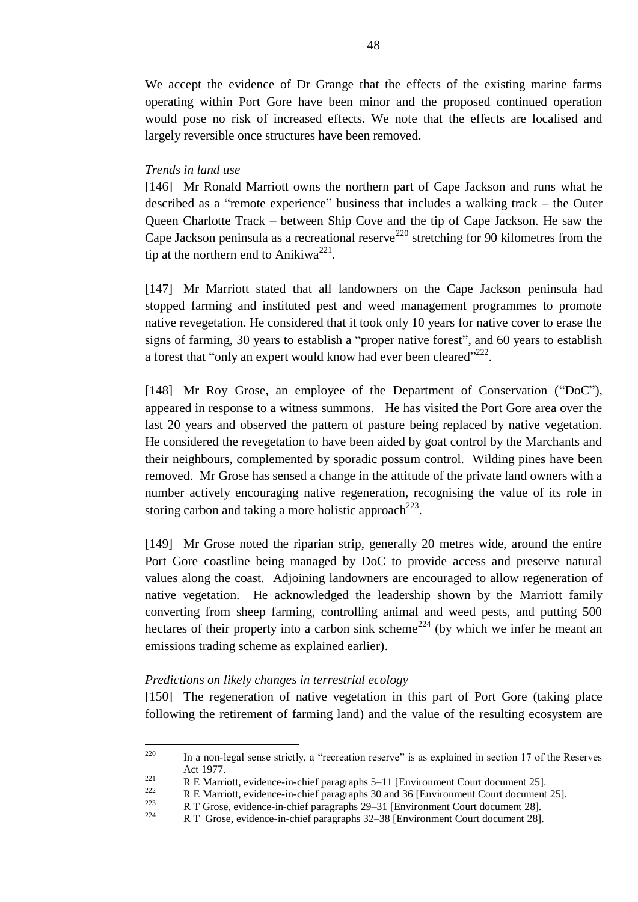We accept the evidence of Dr Grange that the effects of the existing marine farms operating within Port Gore have been minor and the proposed continued operation would pose no risk of increased effects. We note that the effects are localised and largely reversible once structures have been removed.

### *Trends in land use*

[146] Mr Ronald Marriott owns the northern part of Cape Jackson and runs what he described as a "remote experience" business that includes a walking track – the Outer Queen Charlotte Track – between Ship Cove and the tip of Cape Jackson. He saw the Cape Jackson peninsula as a recreational reserve<sup>220</sup> stretching for 90 kilometres from the tip at the northern end to Anikiwa<sup>221</sup>.

[147] Mr Marriott stated that all landowners on the Cape Jackson peninsula had stopped farming and instituted pest and weed management programmes to promote native revegetation. He considered that it took only 10 years for native cover to erase the signs of farming, 30 years to establish a "proper native forest", and 60 years to establish a forest that "only an expert would know had ever been cleared"<sup>222</sup>.

[148] Mr Roy Grose, an employee of the Department of Conservation ("DoC"), appeared in response to a witness summons. He has visited the Port Gore area over the last 20 years and observed the pattern of pasture being replaced by native vegetation. He considered the revegetation to have been aided by goat control by the Marchants and their neighbours, complemented by sporadic possum control. Wilding pines have been removed. Mr Grose has sensed a change in the attitude of the private land owners with a number actively encouraging native regeneration, recognising the value of its role in storing carbon and taking a more holistic approach<sup>223</sup>.

[149] Mr Grose noted the riparian strip, generally 20 metres wide, around the entire Port Gore coastline being managed by DoC to provide access and preserve natural values along the coast. Adjoining landowners are encouraged to allow regeneration of native vegetation. He acknowledged the leadership shown by the Marriott family converting from sheep farming, controlling animal and weed pests, and putting 500 hectares of their property into a carbon sink scheme<sup>224</sup> (by which we infer he meant an emissions trading scheme as explained earlier).

### *Predictions on likely changes in terrestrial ecology*

[150] The regeneration of native vegetation in this part of Port Gore (taking place following the retirement of farming land) and the value of the resulting ecosystem are

 $220$ In a non-legal sense strictly, a "recreation reserve" is as explained in section 17 of the Reserves Act 1977.

<sup>221</sup> R E Marriott, evidence-in-chief paragraphs 5–11 [Environment Court document 25].

 $R E$  Marriott, evidence-in-chief paragraphs 30 and 36 [Environment Court document 25].

<sup>&</sup>lt;sup>223</sup> R T Grose, evidence-in-chief paragraphs 29–31 [Environment Court document 28].

R T Grose, evidence-in-chief paragraphs 32–38 [Environment Court document 28].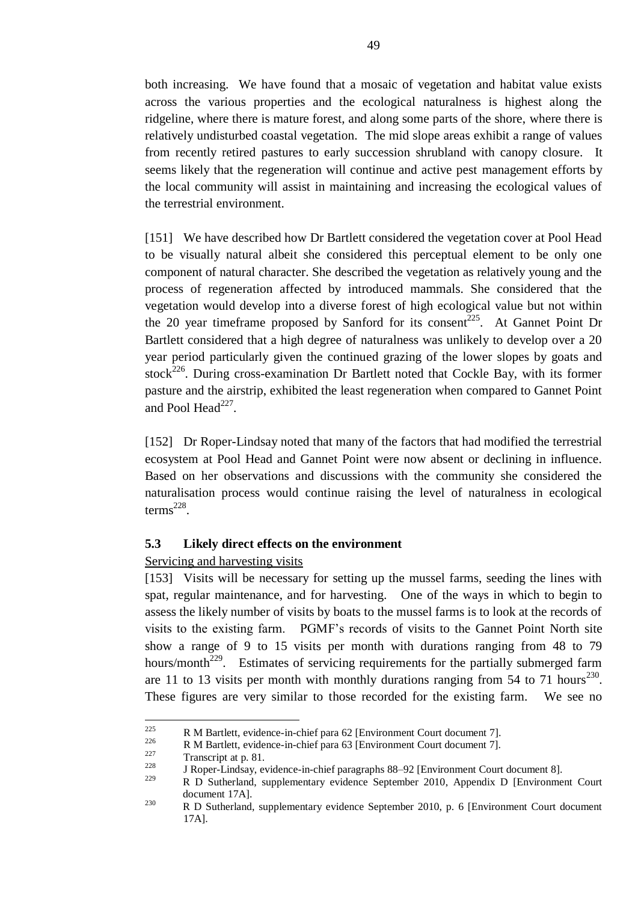both increasing. We have found that a mosaic of vegetation and habitat value exists across the various properties and the ecological naturalness is highest along the ridgeline, where there is mature forest, and along some parts of the shore, where there is relatively undisturbed coastal vegetation. The mid slope areas exhibit a range of values from recently retired pastures to early succession shrubland with canopy closure. It seems likely that the regeneration will continue and active pest management efforts by the local community will assist in maintaining and increasing the ecological values of the terrestrial environment.

[151] We have described how Dr Bartlett considered the vegetation cover at Pool Head to be visually natural albeit she considered this perceptual element to be only one component of natural character. She described the vegetation as relatively young and the process of regeneration affected by introduced mammals. She considered that the vegetation would develop into a diverse forest of high ecological value but not within the 20 year timeframe proposed by Sanford for its consent<sup>225</sup>. At Gannet Point Dr Bartlett considered that a high degree of naturalness was unlikely to develop over a 20 year period particularly given the continued grazing of the lower slopes by goats and stock<sup>226</sup>. During cross-examination Dr Bartlett noted that Cockle Bay, with its former pasture and the airstrip, exhibited the least regeneration when compared to Gannet Point and Pool Head $^{227}$ .

[152] Dr Roper-Lindsay noted that many of the factors that had modified the terrestrial ecosystem at Pool Head and Gannet Point were now absent or declining in influence. Based on her observations and discussions with the community she considered the naturalisation process would continue raising the level of naturalness in ecological  $terms<sup>228</sup>$ .

### **5.3 Likely direct effects on the environment**

### Servicing and harvesting visits

[153] Visits will be necessary for setting up the mussel farms, seeding the lines with spat, regular maintenance, and for harvesting. One of the ways in which to begin to assess the likely number of visits by boats to the mussel farms is to look at the records of visits to the existing farm. PGMF"s records of visits to the Gannet Point North site show a range of 9 to 15 visits per month with durations ranging from 48 to 79 hours/month<sup>229</sup>. Estimates of servicing requirements for the partially submerged farm are 11 to 13 visits per month with monthly durations ranging from 54 to 71 hours<sup>230</sup>. These figures are very similar to those recorded for the existing farm. We see no

 $\overline{a}$ 

 $R M$  Bartlett, evidence-in-chief para 62 [Environment Court document 7].

 $R M$  Bartlett, evidence-in-chief para 63 [Environment Court document 7].

 $\frac{227}{228}$  Transcript at p. 81.

<sup>&</sup>lt;sup>228</sup> J Roper-Lindsay, evidence-in-chief paragraphs  $88-92$  [Environment Court document 8].<br><sup>229</sup> P. D. Sytherland, synchronetery, sythene September 2010, Appealix D. Unvironment

<sup>229</sup> R D Sutherland, supplementary evidence September 2010, Appendix D [Environment Court document 17A].

<sup>&</sup>lt;sup>230</sup> R D Sutherland, supplementary evidence September 2010, p. 6 [Environment Court document 17A].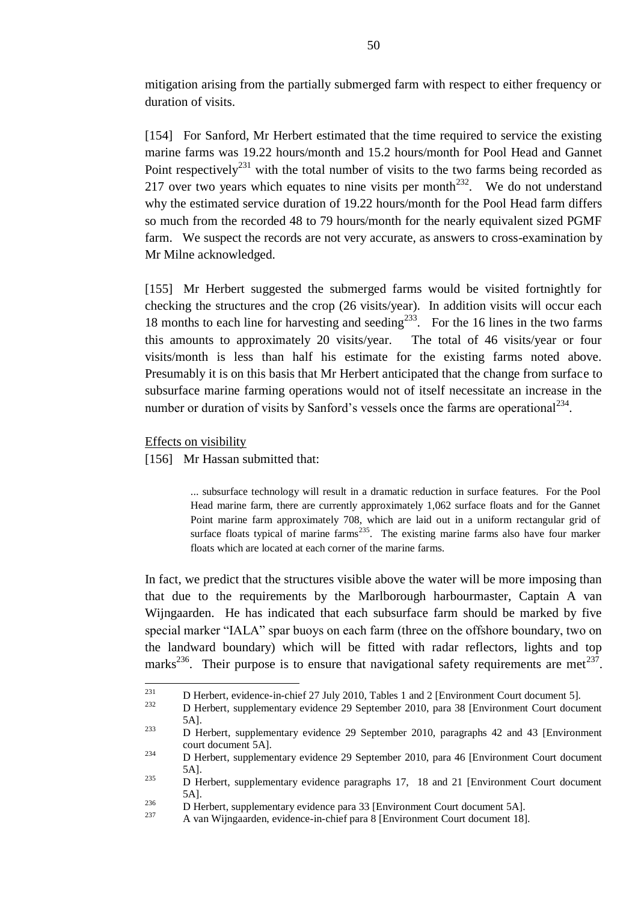mitigation arising from the partially submerged farm with respect to either frequency or duration of visits.

[154] For Sanford, Mr Herbert estimated that the time required to service the existing marine farms was 19.22 hours/month and 15.2 hours/month for Pool Head and Gannet Point respectively<sup>231</sup> with the total number of visits to the two farms being recorded as 217 over two years which equates to nine visits per month<sup>232</sup>. We do not understand why the estimated service duration of 19.22 hours/month for the Pool Head farm differs so much from the recorded 48 to 79 hours/month for the nearly equivalent sized PGMF farm. We suspect the records are not very accurate, as answers to cross-examination by Mr Milne acknowledged.

[155] Mr Herbert suggested the submerged farms would be visited fortnightly for checking the structures and the crop (26 visits/year). In addition visits will occur each 18 months to each line for harvesting and seeding<sup>233</sup>. For the 16 lines in the two farms this amounts to approximately 20 visits/year. The total of 46 visits/year or four visits/month is less than half his estimate for the existing farms noted above. Presumably it is on this basis that Mr Herbert anticipated that the change from surface to subsurface marine farming operations would not of itself necessitate an increase in the number or duration of visits by Sanford's vessels once the farms are operational  $234$ .

- Effects on visibility
- [156] Mr Hassan submitted that:

... subsurface technology will result in a dramatic reduction in surface features. For the Pool Head marine farm, there are currently approximately 1,062 surface floats and for the Gannet Point marine farm approximately 708, which are laid out in a uniform rectangular grid of surface floats typical of marine farms<sup>235</sup>. The existing marine farms also have four marker floats which are located at each corner of the marine farms.

In fact, we predict that the structures visible above the water will be more imposing than that due to the requirements by the Marlborough harbourmaster, Captain A van Wijngaarden. He has indicated that each subsurface farm should be marked by five special marker "IALA" spar buoys on each farm (three on the offshore boundary, two on the landward boundary) which will be fitted with radar reflectors, lights and top marks<sup>236</sup>. Their purpose is to ensure that navigational safety requirements are met<sup>237</sup>.

<sup>231</sup>  $231$  D Herbert, evidence-in-chief 27 July 2010, Tables 1 and 2 [Environment Court document 5].<br>
D Herbert, surplementary sydems 20 September 2010, nors 28 [Environment Court document

<sup>232</sup> D Herbert, supplementary evidence 29 September 2010, para 38 [Environment Court document 5A].

<sup>&</sup>lt;sup>233</sup> D Herbert, supplementary evidence 29 September 2010, paragraphs 42 and 43 [Environment] court document 5A].

<sup>&</sup>lt;sup>234</sup> D Herbert, supplementary evidence 29 September 2010, para 46 [Environment Court document 5A].

<sup>&</sup>lt;sup>235</sup> D Herbert, supplementary evidence paragraphs 17, 18 and 21 [Environment Court document 5A].

 $236$  D Herbert, supplementary evidence para 33 [Environment Court document 5A].

A van Wijngaarden, evidence-in-chief para 8 [Environment Court document 18].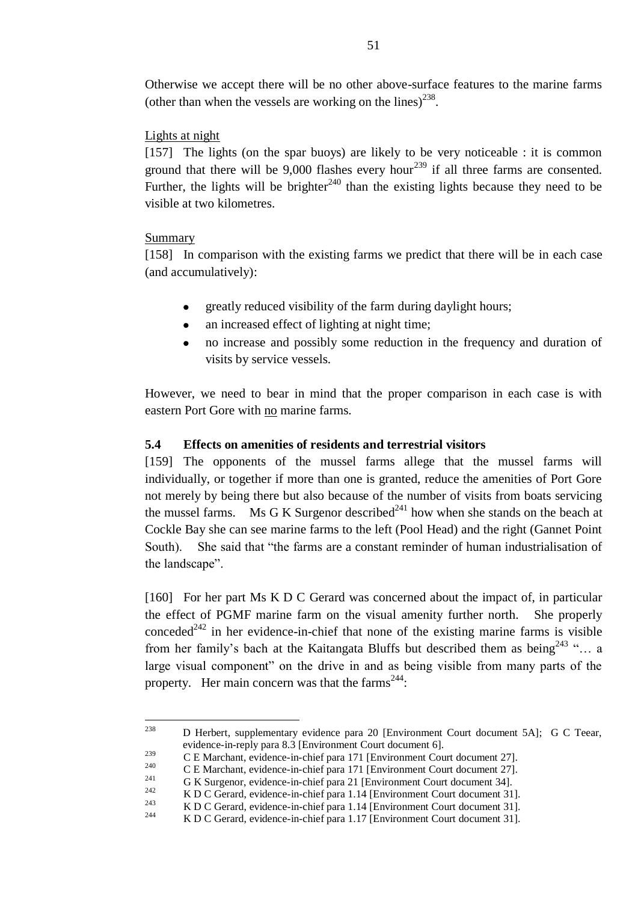Otherwise we accept there will be no other above-surface features to the marine farms (other than when the vessels are working on the lines) $^{238}$ .

### Lights at night

[157] The lights (on the spar buoys) are likely to be very noticeable : it is common ground that there will be 9,000 flashes every hour<sup>239</sup> if all three farms are consented. Further, the lights will be brighter<sup>240</sup> than the existing lights because they need to be visible at two kilometres.

# Summary

 $\overline{a}$ 

[158] In comparison with the existing farms we predict that there will be in each case (and accumulatively):

- greatly reduced visibility of the farm during daylight hours;
- an increased effect of lighting at night time;
- no increase and possibly some reduction in the frequency and duration of visits by service vessels.

However, we need to bear in mind that the proper comparison in each case is with eastern Port Gore with no marine farms.

# **5.4 Effects on amenities of residents and terrestrial visitors**

[159] The opponents of the mussel farms allege that the mussel farms will individually, or together if more than one is granted, reduce the amenities of Port Gore not merely by being there but also because of the number of visits from boats servicing the mussel farms. Ms G K Surgenor described<sup>241</sup> how when she stands on the beach at Cockle Bay she can see marine farms to the left (Pool Head) and the right (Gannet Point South). She said that "the farms are a constant reminder of human industrialisation of the landscape".

[160] For her part Ms K D C Gerard was concerned about the impact of, in particular the effect of PGMF marine farm on the visual amenity further north. She properly conceded<sup> $242$ </sup> in her evidence-in-chief that none of the existing marine farms is visible from her family's bach at the Kaitangata Bluffs but described them as being<sup>243</sup> "... a large visual component" on the drive in and as being visible from many parts of the property. Her main concern was that the farms<sup>244</sup>:

<sup>&</sup>lt;sup>238</sup> D Herbert, supplementary evidence para 20 [Environment Court document 5A]; G C Teear, evidence-in-reply para 8.3 [Environment Court document 6].

 $2^{239}$  C E Marchant, evidence-in-chief para 171 [Environment Court document 27].

<sup>&</sup>lt;sup>240</sup> C E Marchant, evidence-in-chief para 171 [Environment Court document 27].<br>
C K Syracope, evidence in objet para 21 [Environment Court document 24].

<sup>&</sup>lt;sup>241</sup> G K Surgenor, evidence-in-chief para 21 [Environment Court document 34].<br><sup>242</sup> G C speed, suidance in shief name 1.14 [Environment Caurt document 21]

 $\frac{242}{243}$  K D C Gerard, evidence-in-chief para 1.14 [Environment Court document 31].

 $\frac{243}{244}$  K D C Gerard, evidence-in-chief para 1.14 [Environment Court document 31].

K D C Gerard, evidence-in-chief para 1.17 [Environment Court document 31].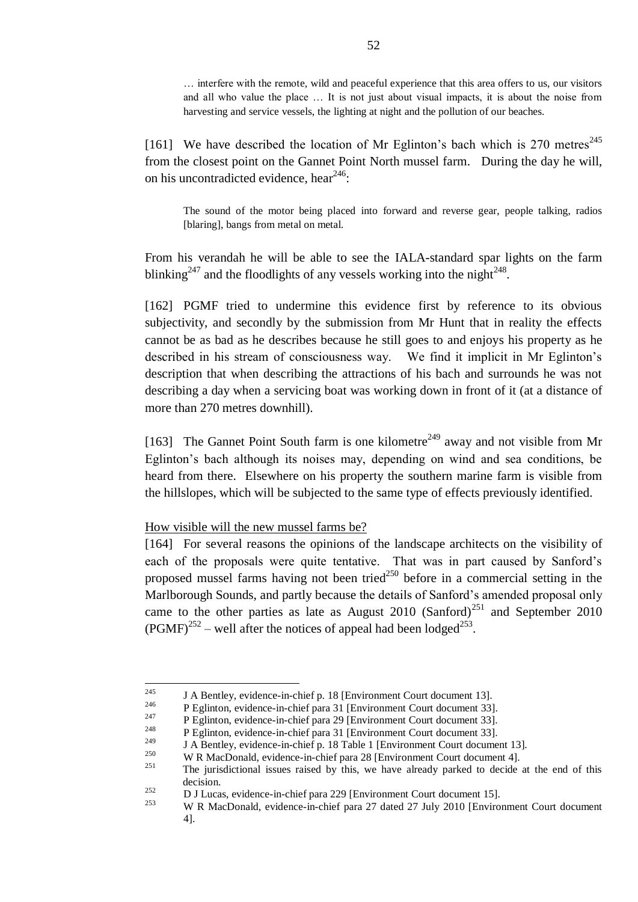… interfere with the remote, wild and peaceful experience that this area offers to us, our visitors and all who value the place … It is not just about visual impacts, it is about the noise from harvesting and service vessels, the lighting at night and the pollution of our beaches.

[161] We have described the location of Mr Eglinton's bach which is  $270$  metres<sup>245</sup> from the closest point on the Gannet Point North mussel farm. During the day he will, on his uncontradicted evidence, hear $^{246}$ :

The sound of the motor being placed into forward and reverse gear, people talking, radios [blaring], bangs from metal on metal.

From his verandah he will be able to see the IALA-standard spar lights on the farm blinking<sup>247</sup> and the floodlights of any vessels working into the night<sup>248</sup>.

[162] PGMF tried to undermine this evidence first by reference to its obvious subjectivity, and secondly by the submission from Mr Hunt that in reality the effects cannot be as bad as he describes because he still goes to and enjoys his property as he described in his stream of consciousness way. We find it implicit in Mr Eglinton"s description that when describing the attractions of his bach and surrounds he was not describing a day when a servicing boat was working down in front of it (at a distance of more than 270 metres downhill).

[163] The Gannet Point South farm is one kilometre<sup>249</sup> away and not visible from Mr Eglinton"s bach although its noises may, depending on wind and sea conditions, be heard from there. Elsewhere on his property the southern marine farm is visible from the hillslopes, which will be subjected to the same type of effects previously identified.

### How visible will the new mussel farms be?

[164] For several reasons the opinions of the landscape architects on the visibility of each of the proposals were quite tentative. That was in part caused by Sanford"s proposed mussel farms having not been tried<sup>250</sup> before in a commercial setting in the Marlborough Sounds, and partly because the details of Sanford"s amended proposal only came to the other parties as late as August 2010 (Sanford)<sup>251</sup> and September 2010  $(PGMF)^{252}$  – well after the notices of appeal had been lodged<sup>253</sup>.

<sup>245</sup> <sup>245</sup> J A Bentley, evidence-in-chief p. 18 [Environment Court document 13].

 $^{246}$  P Eglinton, evidence-in-chief para 31 [Environment Court document 33].

 $P$  Eglinton, evidence-in-chief para 29 [Environment Court document 33].<br>
P Eglinton, evidence in objet para 21 [Environment Court document 22]

<sup>&</sup>lt;sup>248</sup> P Eglinton, evidence-in-chief para 31 [Environment Court document 33].<br><sup>249</sup> LA Bontlau, evidence in ebiof n. 18 Teble 1 [Environment Court document

<sup>&</sup>lt;sup>249</sup> J A Bentley, evidence-in-chief p. 18 Table 1 [Environment Court document 13].

<sup>&</sup>lt;sup>250</sup> W R MacDonald, evidence-in-chief para 28 [Environment Court document 4].

The jurisdictional issues raised by this, we have already parked to decide at the end of this decision.

<sup>252</sup> D J Lucas, evidence-in-chief para 229 [Environment Court document 15].<br>253 W. P. MooDonald, ovidence in chief para 27 dated 27 July 2010 [Environ

<sup>253</sup> W R MacDonald, evidence-in-chief para 27 dated 27 July 2010 [Environment Court document 4].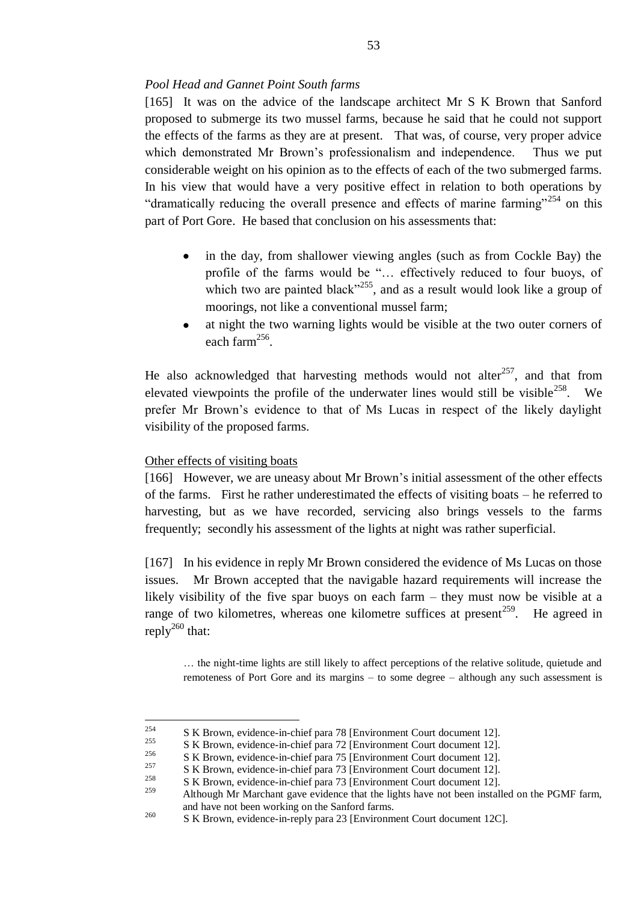### *Pool Head and Gannet Point South farms*

[165] It was on the advice of the landscape architect Mr S K Brown that Sanford proposed to submerge its two mussel farms, because he said that he could not support the effects of the farms as they are at present. That was, of course, very proper advice which demonstrated Mr Brown's professionalism and independence. Thus we put considerable weight on his opinion as to the effects of each of the two submerged farms. In his view that would have a very positive effect in relation to both operations by "dramatically reducing the overall presence and effects of marine farming"<sup>254</sup> on this part of Port Gore. He based that conclusion on his assessments that:

- in the day, from shallower viewing angles (such as from Cockle Bay) the profile of the farms would be "… effectively reduced to four buoys, of which two are painted black"<sup>255</sup>, and as a result would look like a group of moorings, not like a conventional mussel farm;
- at night the two warning lights would be visible at the two outer corners of each farm $^{256}$ .

He also acknowledged that harvesting methods would not alter<sup>257</sup>, and that from elevated viewpoints the profile of the underwater lines would still be visible  $258$ . . We prefer Mr Brown"s evidence to that of Ms Lucas in respect of the likely daylight visibility of the proposed farms.

### Other effects of visiting boats

 $\overline{a}$ 

[166] However, we are uneasy about Mr Brown"s initial assessment of the other effects of the farms. First he rather underestimated the effects of visiting boats – he referred to harvesting, but as we have recorded, servicing also brings vessels to the farms frequently; secondly his assessment of the lights at night was rather superficial.

[167] In his evidence in reply Mr Brown considered the evidence of Ms Lucas on those issues. Mr Brown accepted that the navigable hazard requirements will increase the likely visibility of the five spar buoys on each farm – they must now be visible at a range of two kilometres, whereas one kilometre suffices at present<sup>259</sup>. He agreed in reply $^{260}$  that:

… the night-time lights are still likely to affect perceptions of the relative solitude, quietude and remoteness of Port Gore and its margins – to some degree – although any such assessment is

<sup>&</sup>lt;sup>254</sup> S K Brown, evidence-in-chief para 78 [Environment Court document 12].

<sup>&</sup>lt;sup>255</sup> S K Brown, evidence-in-chief para 72 [Environment Court document 12].

<sup>&</sup>lt;sup>256</sup> S K Brown, evidence-in-chief para 75 [Environment Court document 12].

<sup>&</sup>lt;sup>257</sup> S K Brown, evidence-in-chief para 73 [Environment Court document 12].<br><sup>258</sup> S K Brown, evidence in chief para 72 [Environment Court document 12].

<sup>&</sup>lt;sup>258</sup> S K Brown, evidence-in-chief para 73 [Environment Court document 12].

Although Mr Marchant gave evidence that the lights have not been installed on the PGMF farm, and have not been working on the Sanford farms.

<sup>&</sup>lt;sup>260</sup> S K Brown, evidence-in-reply para 23 [Environment Court document 12C].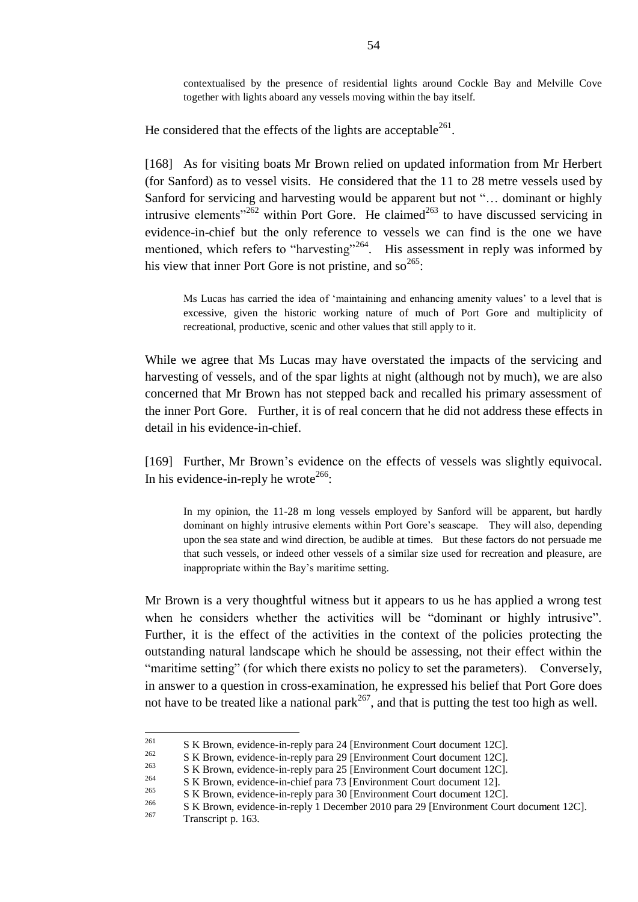contextualised by the presence of residential lights around Cockle Bay and Melville Cove together with lights aboard any vessels moving within the bay itself.

He considered that the effects of the lights are acceptable $^{261}$ .

[168] As for visiting boats Mr Brown relied on updated information from Mr Herbert (for Sanford) as to vessel visits. He considered that the 11 to 28 metre vessels used by Sanford for servicing and harvesting would be apparent but not "… dominant or highly intrusive elements<sup>"262</sup> within Port Gore. He claimed<sup>263</sup> to have discussed servicing in evidence-in-chief but the only reference to vessels we can find is the one we have mentioned, which refers to "harvesting"<sup>264</sup>. His assessment in reply was informed by his view that inner Port Gore is not pristine, and so  $265$ :

Ms Lucas has carried the idea of "maintaining and enhancing amenity values" to a level that is excessive, given the historic working nature of much of Port Gore and multiplicity of recreational, productive, scenic and other values that still apply to it.

While we agree that Ms Lucas may have overstated the impacts of the servicing and harvesting of vessels, and of the spar lights at night (although not by much), we are also concerned that Mr Brown has not stepped back and recalled his primary assessment of the inner Port Gore. Further, it is of real concern that he did not address these effects in detail in his evidence-in-chief.

[169] Further, Mr Brown's evidence on the effects of vessels was slightly equivocal. In his evidence-in-reply he wrote<sup>266</sup>:

In my opinion, the 11-28 m long vessels employed by Sanford will be apparent, but hardly dominant on highly intrusive elements within Port Gore"s seascape. They will also, depending upon the sea state and wind direction, be audible at times. But these factors do not persuade me that such vessels, or indeed other vessels of a similar size used for recreation and pleasure, are inappropriate within the Bay"s maritime setting.

Mr Brown is a very thoughtful witness but it appears to us he has applied a wrong test when he considers whether the activities will be "dominant or highly intrusive". Further, it is the effect of the activities in the context of the policies protecting the outstanding natural landscape which he should be assessing, not their effect within the "maritime setting" (for which there exists no policy to set the parameters). Conversely, in answer to a question in cross-examination, he expressed his belief that Port Gore does not have to be treated like a national park<sup>267</sup>, and that is putting the test too high as well.

<sup>261</sup> <sup>261</sup> S K Brown, evidence-in-reply para 24 [Environment Court document 12C].

<sup>&</sup>lt;sup>262</sup> S K Brown, evidence-in-reply para 29 [Environment Court document 12C].

<sup>&</sup>lt;sup>263</sup> S K Brown, evidence-in-reply para 25 [Environment Court document 12C].<br><sup>264</sup> S K Brown, evidence in chief para 72 [Environment Court document 12].

<sup>&</sup>lt;sup>264</sup> S K Brown, evidence-in-chief para 73 [Environment Court document 12].<br><sup>265</sup> S K Bessue, suidance in genlaugens <sup>20</sup> (Environment Court document 12C)

<sup>&</sup>lt;sup>265</sup> S K Brown, evidence-in-reply para 30 [Environment Court document 12C].

<sup>&</sup>lt;sup>266</sup> S K Brown, evidence-in-reply 1 December 2010 para 29 [Environment Court document 12C].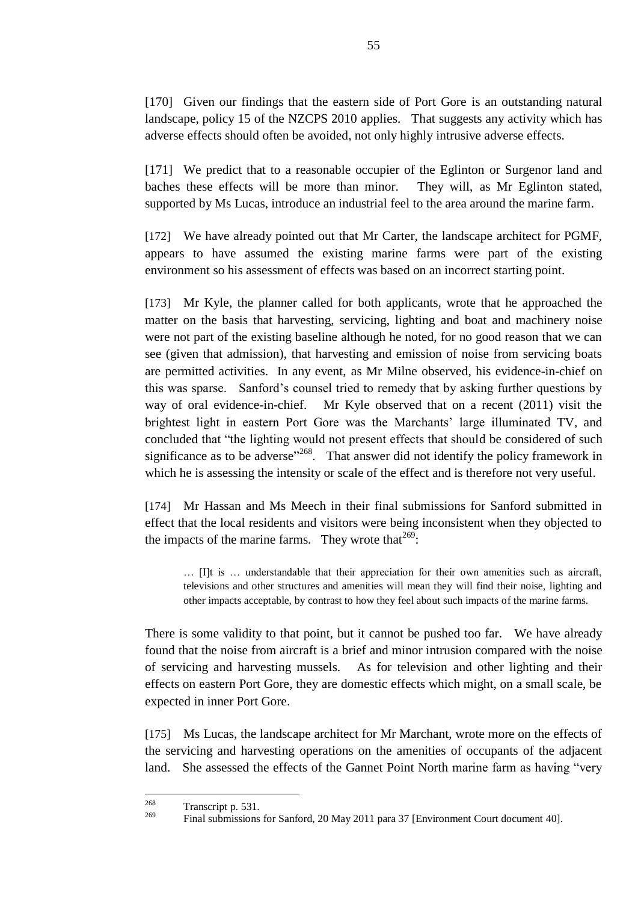[170] Given our findings that the eastern side of Port Gore is an outstanding natural landscape, policy 15 of the NZCPS 2010 applies. That suggests any activity which has adverse effects should often be avoided, not only highly intrusive adverse effects.

[171] We predict that to a reasonable occupier of the Eglinton or Surgenor land and baches these effects will be more than minor. They will, as Mr Eglinton stated, supported by Ms Lucas, introduce an industrial feel to the area around the marine farm.

[172] We have already pointed out that Mr Carter, the landscape architect for PGMF, appears to have assumed the existing marine farms were part of the existing environment so his assessment of effects was based on an incorrect starting point.

[173] Mr Kyle, the planner called for both applicants, wrote that he approached the matter on the basis that harvesting, servicing, lighting and boat and machinery noise were not part of the existing baseline although he noted, for no good reason that we can see (given that admission), that harvesting and emission of noise from servicing boats are permitted activities. In any event, as Mr Milne observed, his evidence-in-chief on this was sparse. Sanford"s counsel tried to remedy that by asking further questions by way of oral evidence-in-chief. Mr Kyle observed that on a recent (2011) visit the brightest light in eastern Port Gore was the Marchants' large illuminated TV, and concluded that "the lighting would not present effects that should be considered of such significance as to be adverse<sup> $1268$ </sup>. That answer did not identify the policy framework in which he is assessing the intensity or scale of the effect and is therefore not very useful.

[174] Mr Hassan and Ms Meech in their final submissions for Sanford submitted in effect that the local residents and visitors were being inconsistent when they objected to the impacts of the marine farms. They wrote that  $269$ :

… [I]t is … understandable that their appreciation for their own amenities such as aircraft, televisions and other structures and amenities will mean they will find their noise, lighting and other impacts acceptable, by contrast to how they feel about such impacts of the marine farms.

There is some validity to that point, but it cannot be pushed too far. We have already found that the noise from aircraft is a brief and minor intrusion compared with the noise of servicing and harvesting mussels. As for television and other lighting and their effects on eastern Port Gore, they are domestic effects which might, on a small scale, be expected in inner Port Gore.

[175] Ms Lucas, the landscape architect for Mr Marchant, wrote more on the effects of the servicing and harvesting operations on the amenities of occupants of the adjacent land. She assessed the effects of the Gannet Point North marine farm as having "very

<sup>268</sup>  $\frac{268}{269}$  Transcript p. 531.

Final submissions for Sanford, 20 May 2011 para 37 [Environment Court document 40].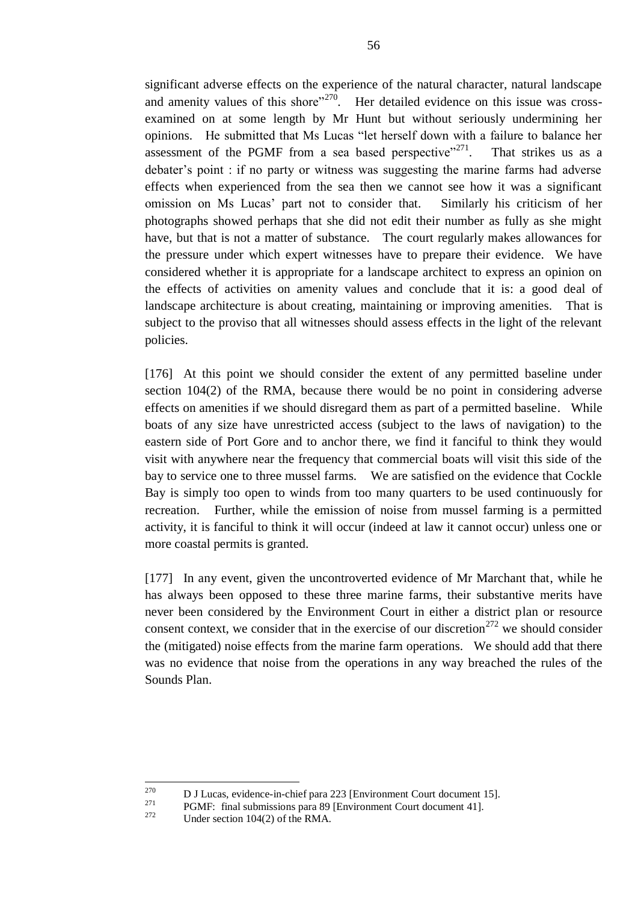significant adverse effects on the experience of the natural character, natural landscape and amenity values of this shore"<sup>270</sup>. Her detailed evidence on this issue was crossexamined on at some length by Mr Hunt but without seriously undermining her opinions. He submitted that Ms Lucas "let herself down with a failure to balance her assessment of the PGMF from a sea based perspective<sup> $271$ </sup>. That strikes us as a debater"s point : if no party or witness was suggesting the marine farms had adverse effects when experienced from the sea then we cannot see how it was a significant omission on Ms Lucas" part not to consider that. Similarly his criticism of her photographs showed perhaps that she did not edit their number as fully as she might have, but that is not a matter of substance. The court regularly makes allowances for the pressure under which expert witnesses have to prepare their evidence. We have considered whether it is appropriate for a landscape architect to express an opinion on the effects of activities on amenity values and conclude that it is: a good deal of landscape architecture is about creating, maintaining or improving amenities. That is subject to the proviso that all witnesses should assess effects in the light of the relevant policies.

[176] At this point we should consider the extent of any permitted baseline under section 104(2) of the RMA, because there would be no point in considering adverse effects on amenities if we should disregard them as part of a permitted baseline. While boats of any size have unrestricted access (subject to the laws of navigation) to the eastern side of Port Gore and to anchor there, we find it fanciful to think they would visit with anywhere near the frequency that commercial boats will visit this side of the bay to service one to three mussel farms. We are satisfied on the evidence that Cockle Bay is simply too open to winds from too many quarters to be used continuously for recreation. Further, while the emission of noise from mussel farming is a permitted activity, it is fanciful to think it will occur (indeed at law it cannot occur) unless one or more coastal permits is granted.

[177] In any event, given the uncontroverted evidence of Mr Marchant that, while he has always been opposed to these three marine farms, their substantive merits have never been considered by the Environment Court in either a district plan or resource consent context, we consider that in the exercise of our discretion<sup>272</sup> we should consider the (mitigated) noise effects from the marine farm operations. We should add that there was no evidence that noise from the operations in any way breached the rules of the Sounds Plan.

<sup>270</sup>  $270$  D J Lucas, evidence-in-chief para 223 [Environment Court document 15].

<sup>&</sup>lt;sup>271</sup> PGMF: final submissions para 89 [Environment Court document 41].

Under section  $104(2)$  of the RMA.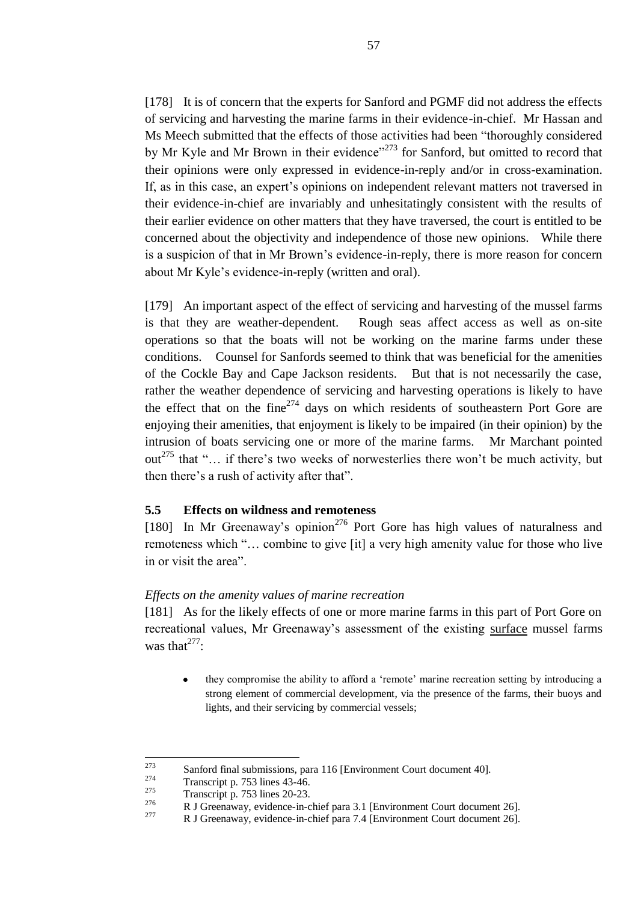[178] It is of concern that the experts for Sanford and PGMF did not address the effects of servicing and harvesting the marine farms in their evidence-in-chief. Mr Hassan and Ms Meech submitted that the effects of those activities had been "thoroughly considered by Mr Kyle and Mr Brown in their evidence"<sup>273</sup> for Sanford, but omitted to record that their opinions were only expressed in evidence-in-reply and/or in cross-examination. If, as in this case, an expert"s opinions on independent relevant matters not traversed in their evidence-in-chief are invariably and unhesitatingly consistent with the results of their earlier evidence on other matters that they have traversed, the court is entitled to be concerned about the objectivity and independence of those new opinions. While there is a suspicion of that in Mr Brown"s evidence-in-reply, there is more reason for concern about Mr Kyle"s evidence-in-reply (written and oral).

[179] An important aspect of the effect of servicing and harvesting of the mussel farms is that they are weather-dependent. Rough seas affect access as well as on-site operations so that the boats will not be working on the marine farms under these conditions. Counsel for Sanfords seemed to think that was beneficial for the amenities of the Cockle Bay and Cape Jackson residents. But that is not necessarily the case, rather the weather dependence of servicing and harvesting operations is likely to have the effect that on the fine<sup>274</sup> days on which residents of southeastern Port Gore are enjoying their amenities, that enjoyment is likely to be impaired (in their opinion) by the intrusion of boats servicing one or more of the marine farms. Mr Marchant pointed out<sup>275</sup> that "... if there's two weeks of norwesterlies there won't be much activity, but then there"s a rush of activity after that".

# **5.5 Effects on wildness and remoteness**

[180] In Mr Greenaway's opinion<sup>276</sup> Port Gore has high values of naturalness and remoteness which "… combine to give [it] a very high amenity value for those who live in or visit the area".

### *Effects on the amenity values of marine recreation*

[181] As for the likely effects of one or more marine farms in this part of Port Gore on recreational values, Mr Greenaway"s assessment of the existing surface mussel farms was that $^{277}$ :

they compromise the ability to afford a "remote" marine recreation setting by introducing a strong element of commercial development, via the presence of the farms, their buoys and lights, and their servicing by commercial vessels;

<sup>273</sup> <sup>273</sup> Sanford final submissions, para 116 [Environment Court document 40].<br>Transcript p.  $753 \text{ lines}$  43.46

 $^{274}$  Transcript p. 753 lines 43-46.<br>Transcript p. 753 lines 20.23

 $^{275}$  Transcript p. 753 lines 20-23.

 $R$  J Greenaway, evidence-in-chief para 3.1 [Environment Court document 26].

R J Greenaway, evidence-in-chief para 7.4 [Environment Court document 26].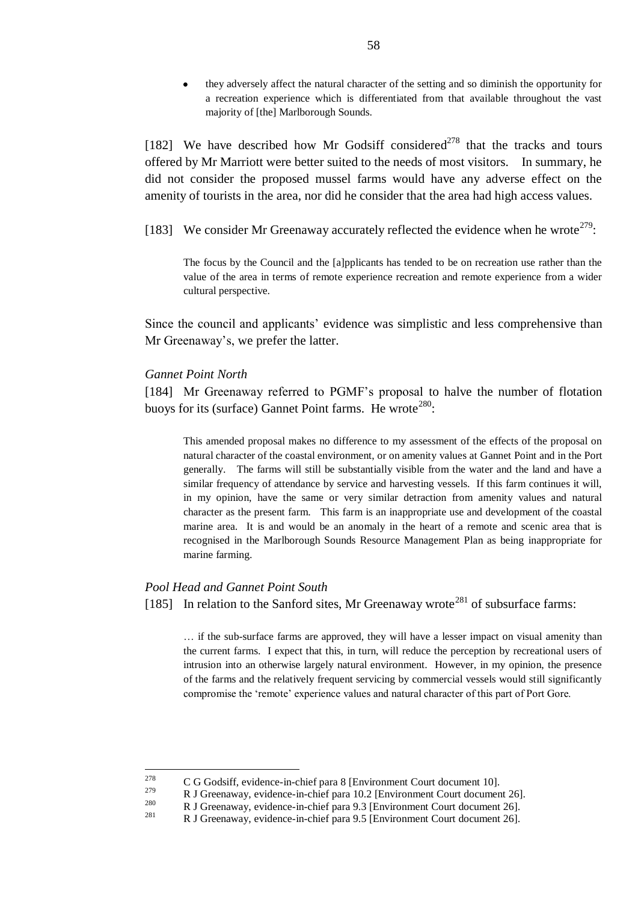they adversely affect the natural character of the setting and so diminish the opportunity for a recreation experience which is differentiated from that available throughout the vast majority of [the] Marlborough Sounds.

[182] We have described how Mr Godsiff considered<sup>278</sup> that the tracks and tours offered by Mr Marriott were better suited to the needs of most visitors. In summary, he did not consider the proposed mussel farms would have any adverse effect on the amenity of tourists in the area, nor did he consider that the area had high access values.

[183] We consider Mr Greenaway accurately reflected the evidence when he wrote<sup>279</sup>:

The focus by the Council and the [a]pplicants has tended to be on recreation use rather than the value of the area in terms of remote experience recreation and remote experience from a wider cultural perspective.

Since the council and applicants" evidence was simplistic and less comprehensive than Mr Greenaway"s, we prefer the latter.

### *Gannet Point North*

[184] Mr Greenaway referred to PGMF"s proposal to halve the number of flotation buoys for its (surface) Gannet Point farms. He wrote<sup>280</sup>:

This amended proposal makes no difference to my assessment of the effects of the proposal on natural character of the coastal environment, or on amenity values at Gannet Point and in the Port generally. The farms will still be substantially visible from the water and the land and have a similar frequency of attendance by service and harvesting vessels. If this farm continues it will, in my opinion, have the same or very similar detraction from amenity values and natural character as the present farm. This farm is an inappropriate use and development of the coastal marine area. It is and would be an anomaly in the heart of a remote and scenic area that is recognised in the Marlborough Sounds Resource Management Plan as being inappropriate for marine farming.

### *Pool Head and Gannet Point South*

[185] In relation to the Sanford sites, Mr Greenaway wrote<sup>281</sup> of subsurface farms:

… if the sub-surface farms are approved, they will have a lesser impact on visual amenity than the current farms. I expect that this, in turn, will reduce the perception by recreational users of intrusion into an otherwise largely natural environment. However, in my opinion, the presence of the farms and the relatively frequent servicing by commercial vessels would still significantly compromise the "remote" experience values and natural character of this part of Port Gore.

<sup>278</sup> <sup>278</sup> C G Godsiff, evidence-in-chief para 8 [Environment Court document 10].<br><sup>279</sup> P. Concernant court down in shief near 10.2 [Environment Court do numer

 $R$  J Greenaway, evidence-in-chief para 10.2 [Environment Court document 26].

<sup>&</sup>lt;sup>280</sup> R J Greenaway, evidence-in-chief para 9.3 [Environment Court document 26].

<sup>281</sup> R J Greenaway, evidence-in-chief para 9.5 [Environment Court document 26].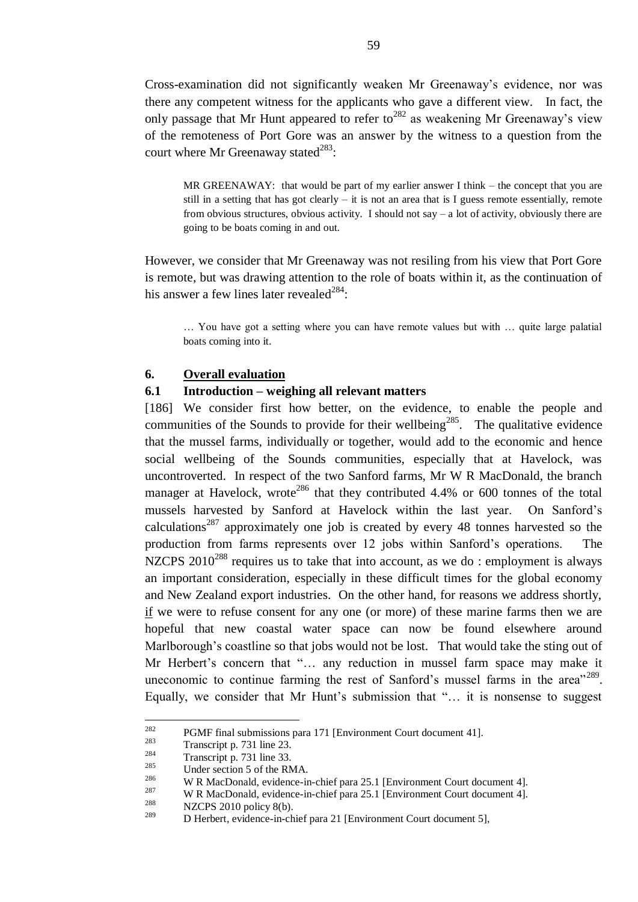Cross-examination did not significantly weaken Mr Greenaway"s evidence, nor was there any competent witness for the applicants who gave a different view. In fact, the only passage that Mr Hunt appeared to refer to<sup>282</sup> as weakening Mr Greenaway's view of the remoteness of Port Gore was an answer by the witness to a question from the court where Mr Greenaway stated $^{283}$ :

MR GREENAWAY: that would be part of my earlier answer I think – the concept that you are still in a setting that has got clearly – it is not an area that is I guess remote essentially, remote from obvious structures, obvious activity. I should not say – a lot of activity, obviously there are going to be boats coming in and out.

However, we consider that Mr Greenaway was not resiling from his view that Port Gore is remote, but was drawing attention to the role of boats within it, as the continuation of his answer a few lines later revealed<sup>284</sup>:

… You have got a setting where you can have remote values but with … quite large palatial boats coming into it.

### **6. Overall evaluation**

### **6.1 Introduction – weighing all relevant matters**

[186] We consider first how better, on the evidence, to enable the people and communities of the Sounds to provide for their wellbeing<sup>285</sup>. The qualitative evidence that the mussel farms, individually or together, would add to the economic and hence social wellbeing of the Sounds communities, especially that at Havelock, was uncontroverted. In respect of the two Sanford farms, Mr W R MacDonald, the branch manager at Havelock, wrote<sup>286</sup> that they contributed  $4.4\%$  or 600 tonnes of the total mussels harvested by Sanford at Havelock within the last year. On Sanford"s calculations<sup>287</sup> approximately one job is created by every 48 tonnes harvested so the production from farms represents over 12 jobs within Sanford"s operations. The NZCPS  $2010^{288}$  requires us to take that into account, as we do: employment is always an important consideration, especially in these difficult times for the global economy and New Zealand export industries. On the other hand, for reasons we address shortly, if we were to refuse consent for any one (or more) of these marine farms then we are hopeful that new coastal water space can now be found elsewhere around Marlborough's coastline so that jobs would not be lost. That would take the sting out of Mr Herbert's concern that "... any reduction in mussel farm space may make it uneconomic to continue farming the rest of Sanford's mussel farms in the area<sup> $1289$ </sup>. Equally, we consider that Mr Hunt's submission that "... it is nonsense to suggest

 $\overline{a}$ 

<sup>&</sup>lt;sup>282</sup> PGMF final submissions para 171 [Environment Court document 41].

 $\frac{283}{284}$  Transcript p. 731 line 23.

 $\frac{284}{285}$  Transcript p. 731 line 33.

<sup>&</sup>lt;sup>285</sup> Under section 5 of the RMA.<br><sup>286</sup> W. B. MacDonald, avidance in

<sup>&</sup>lt;sup>286</sup> W R MacDonald, evidence-in-chief para 25.1 [Environment Court document 4].<br><sup>287</sup> W D MacDonald, with new in shief near 25.1 [Environment Court do cument 4].

<sup>&</sup>lt;sup>287</sup> W R MacDonald, evidence-in-chief para 25.1 [Environment Court document 4].

 $\frac{288}{289}$  NZCPS 2010 policy 8(b).

D Herbert, evidence-in-chief para 21 [Environment Court document 5],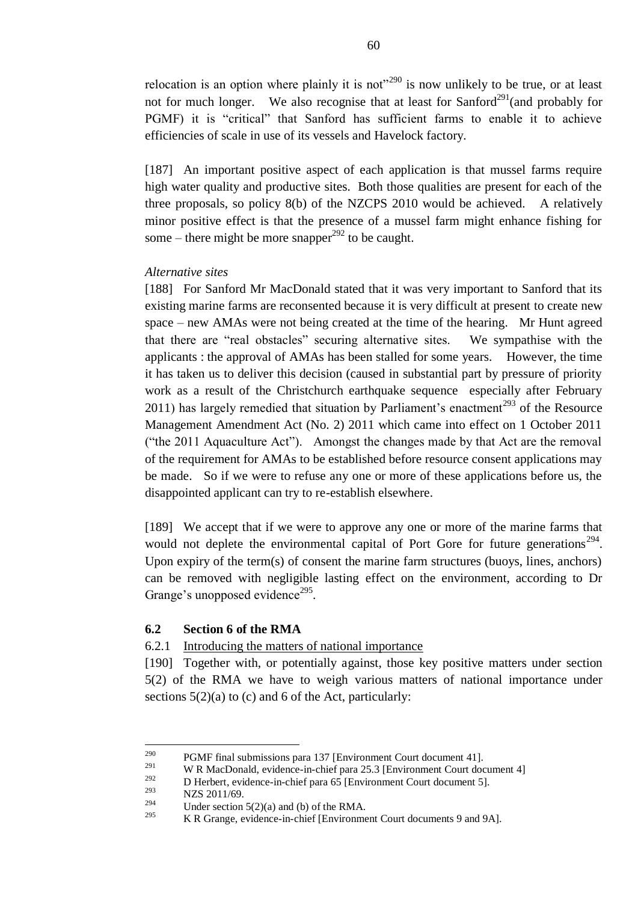relocation is an option where plainly it is not<sup> $290$ </sup> is now unlikely to be true, or at least not for much longer. We also recognise that at least for Sanford<sup>291</sup> (and probably for PGMF) it is "critical" that Sanford has sufficient farms to enable it to achieve efficiencies of scale in use of its vessels and Havelock factory.

[187] An important positive aspect of each application is that mussel farms require high water quality and productive sites. Both those qualities are present for each of the three proposals, so policy 8(b) of the NZCPS 2010 would be achieved. A relatively minor positive effect is that the presence of a mussel farm might enhance fishing for some – there might be more snapper<sup>292</sup> to be caught.

### *Alternative sites*

[188] For Sanford Mr MacDonald stated that it was very important to Sanford that its existing marine farms are reconsented because it is very difficult at present to create new space – new AMAs were not being created at the time of the hearing. Mr Hunt agreed that there are "real obstacles" securing alternative sites. We sympathise with the applicants : the approval of AMAs has been stalled for some years. However, the time it has taken us to deliver this decision (caused in substantial part by pressure of priority work as a result of the Christchurch earthquake sequence especially after February 2011) has largely remedied that situation by Parliament's enactment<sup>293</sup> of the Resource Management Amendment Act (No. 2) 2011 which came into effect on 1 October 2011 ("the 2011 Aquaculture Act"). Amongst the changes made by that Act are the removal of the requirement for AMAs to be established before resource consent applications may be made. So if we were to refuse any one or more of these applications before us, the disappointed applicant can try to re-establish elsewhere.

[189] We accept that if we were to approve any one or more of the marine farms that would not deplete the environmental capital of Port Gore for future generations<sup>294</sup>. Upon expiry of the term(s) of consent the marine farm structures (buoys, lines, anchors) can be removed with negligible lasting effect on the environment, according to Dr Grange's unopposed evidence<sup>295</sup>.

### **6.2 Section 6 of the RMA**

### 6.2.1 Introducing the matters of national importance

[190] Together with, or potentially against, those key positive matters under section 5(2) of the RMA we have to weigh various matters of national importance under sections  $5(2)(a)$  to (c) and 6 of the Act, particularly:

<sup>290</sup> <sup>290</sup> PGMF final submissions para 137 [Environment Court document 41].

<sup>&</sup>lt;sup>291</sup> W R MacDonald, evidence-in-chief para 25.3 [Environment Court document 4]

<sup>&</sup>lt;sup>292</sup> D Herbert, evidence-in-chief para 65 [Environment Court document 5].<br><sup>293</sup> N75 2011/60

 $\sum_{293}^{293}$  NZS 2011/69.

<sup>&</sup>lt;sup>294</sup> Under section 5(2)(a) and (b) of the RMA.<br><sup>295</sup> K.D.C. we have the relationship of Fig.

K R Grange, evidence-in-chief [Environment Court documents 9 and 9A].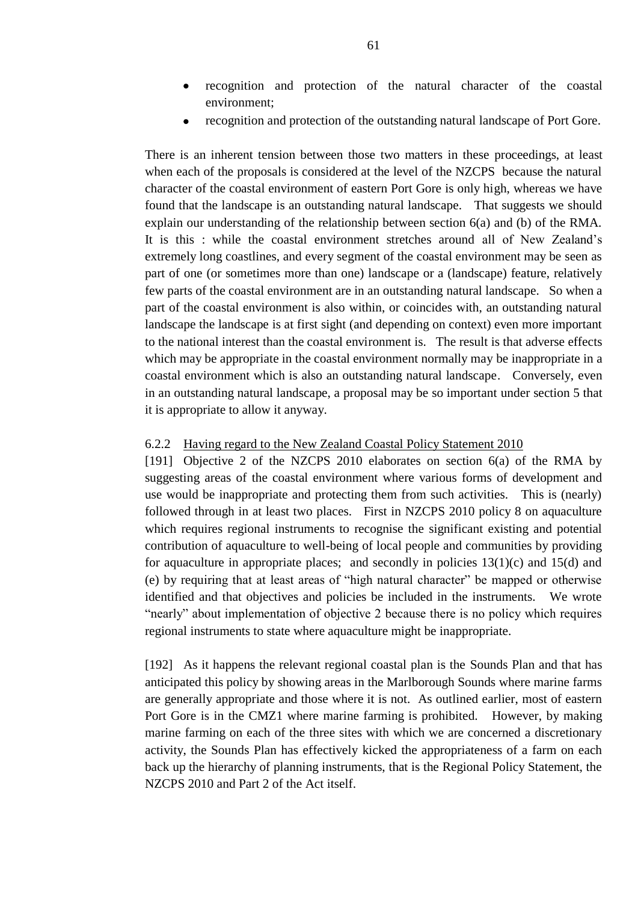- recognition and protection of the natural character of the coastal  $\bullet$ environment;
- recognition and protection of the outstanding natural landscape of Port Gore.

There is an inherent tension between those two matters in these proceedings, at least when each of the proposals is considered at the level of the NZCPS because the natural character of the coastal environment of eastern Port Gore is only high, whereas we have found that the landscape is an outstanding natural landscape. That suggests we should explain our understanding of the relationship between section 6(a) and (b) of the RMA. It is this : while the coastal environment stretches around all of New Zealand"s extremely long coastlines, and every segment of the coastal environment may be seen as part of one (or sometimes more than one) landscape or a (landscape) feature, relatively few parts of the coastal environment are in an outstanding natural landscape. So when a part of the coastal environment is also within, or coincides with, an outstanding natural landscape the landscape is at first sight (and depending on context) even more important to the national interest than the coastal environment is. The result is that adverse effects which may be appropriate in the coastal environment normally may be inappropriate in a coastal environment which is also an outstanding natural landscape. Conversely, even in an outstanding natural landscape, a proposal may be so important under section 5 that it is appropriate to allow it anyway.

### 6.2.2 Having regard to the New Zealand Coastal Policy Statement 2010

[191] Objective 2 of the NZCPS 2010 elaborates on section 6(a) of the RMA by suggesting areas of the coastal environment where various forms of development and use would be inappropriate and protecting them from such activities. This is (nearly) followed through in at least two places. First in NZCPS 2010 policy 8 on aquaculture which requires regional instruments to recognise the significant existing and potential contribution of aquaculture to well-being of local people and communities by providing for aquaculture in appropriate places; and secondly in policies 13(1)(c) and 15(d) and (e) by requiring that at least areas of "high natural character" be mapped or otherwise identified and that objectives and policies be included in the instruments. We wrote "nearly" about implementation of objective 2 because there is no policy which requires regional instruments to state where aquaculture might be inappropriate.

[192] As it happens the relevant regional coastal plan is the Sounds Plan and that has anticipated this policy by showing areas in the Marlborough Sounds where marine farms are generally appropriate and those where it is not. As outlined earlier, most of eastern Port Gore is in the CMZ1 where marine farming is prohibited. However, by making marine farming on each of the three sites with which we are concerned a discretionary activity, the Sounds Plan has effectively kicked the appropriateness of a farm on each back up the hierarchy of planning instruments, that is the Regional Policy Statement, the NZCPS 2010 and Part 2 of the Act itself.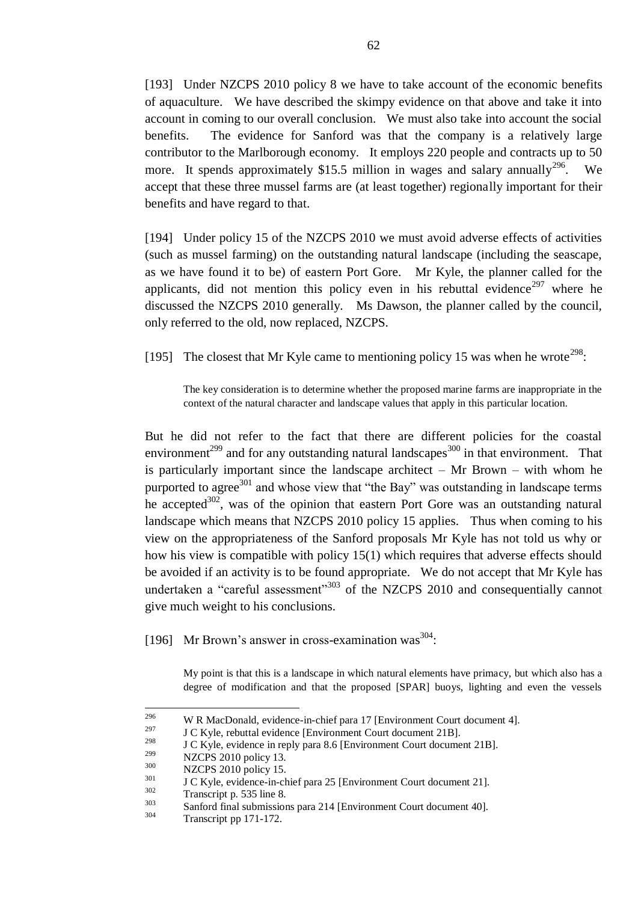[193] Under NZCPS 2010 policy 8 we have to take account of the economic benefits of aquaculture. We have described the skimpy evidence on that above and take it into account in coming to our overall conclusion. We must also take into account the social benefits. The evidence for Sanford was that the company is a relatively large contributor to the Marlborough economy. It employs 220 people and contracts up to 50 more. It spends approximately \$15.5 million in wages and salary annually<sup>296</sup>. . We accept that these three mussel farms are (at least together) regionally important for their benefits and have regard to that.

[194] Under policy 15 of the NZCPS 2010 we must avoid adverse effects of activities (such as mussel farming) on the outstanding natural landscape (including the seascape, as we have found it to be) of eastern Port Gore. Mr Kyle, the planner called for the applicants, did not mention this policy even in his rebuttal evidence<sup>297</sup> where he discussed the NZCPS 2010 generally. Ms Dawson, the planner called by the council, only referred to the old, now replaced, NZCPS.

[195] The closest that Mr Kyle came to mentioning policy 15 was when he wrote<sup>298</sup>:

The key consideration is to determine whether the proposed marine farms are inappropriate in the context of the natural character and landscape values that apply in this particular location.

But he did not refer to the fact that there are different policies for the coastal environment<sup>299</sup> and for any outstanding natural landscapes<sup>300</sup> in that environment. That is particularly important since the landscape architect – Mr Brown – with whom he purported to agree<sup>301</sup> and whose view that "the Bay" was outstanding in landscape terms he accepted $302$ , was of the opinion that eastern Port Gore was an outstanding natural landscape which means that NZCPS 2010 policy 15 applies. Thus when coming to his view on the appropriateness of the Sanford proposals Mr Kyle has not told us why or how his view is compatible with policy 15(1) which requires that adverse effects should be avoided if an activity is to be found appropriate. We do not accept that Mr Kyle has undertaken a "careful assessment"<sup>303</sup> of the NZCPS 2010 and consequentially cannot give much weight to his conclusions.

[196] Mr Brown's answer in cross-examination was<sup>304</sup>:

My point is that this is a landscape in which natural elements have primacy, but which also has a degree of modification and that the proposed [SPAR] buoys, lighting and even the vessels

 $\overline{a}$ 

<sup>&</sup>lt;sup>296</sup> W R MacDonald, evidence-in-chief para 17 [Environment Court document 4].

 $297$  J C Kyle, rebuttal evidence [Environment Court document 21B].

<sup>&</sup>lt;sup>298</sup> J C Kyle, evidence in reply para 8.6 [Environment Court document 21B].

 $\frac{299}{300}$  NZCPS 2010 policy 13.

 $\frac{300}{301}$  NZCPS 2010 policy 15.

 $\frac{301}{302}$  J C Kyle, evidence-in-chief para 25 [Environment Court document 21].

 $\frac{302}{303}$  Transcript p. 535 line 8.

 $\frac{303}{204}$  Sanford final submissions para 214 [Environment Court document 40].

Transcript pp 171-172.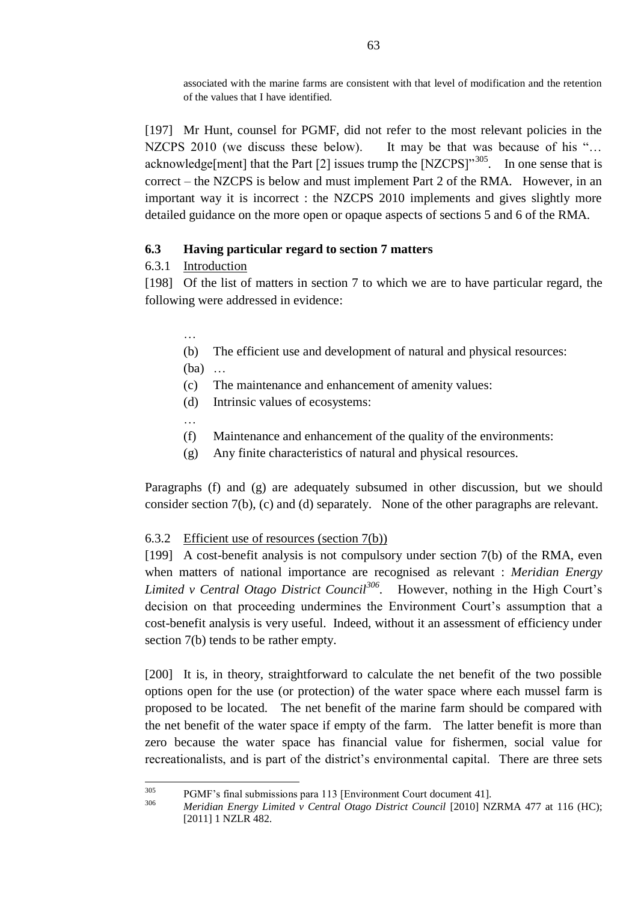associated with the marine farms are consistent with that level of modification and the retention of the values that I have identified.

[197] Mr Hunt, counsel for PGMF, did not refer to the most relevant policies in the NZCPS 2010 (we discuss these below). It may be that was because of his "... acknowledge[ment] that the Part  $[2]$  issues trump the  $[NZCPS]^{305}$ . In one sense that is correct – the NZCPS is below and must implement Part 2 of the RMA. However, in an important way it is incorrect : the NZCPS 2010 implements and gives slightly more detailed guidance on the more open or opaque aspects of sections 5 and 6 of the RMA.

### **6.3 Having particular regard to section 7 matters**

### 6.3.1 Introduction

[198] Of the list of matters in section 7 to which we are to have particular regard, the following were addressed in evidence:

- (b) The efficient use and development of natural and physical resources:
- (ba) …

…

- (c) The maintenance and enhancement of amenity values:
- (d) Intrinsic values of ecosystems:
- …
- (f) Maintenance and enhancement of the quality of the environments:
- (g) Any finite characteristics of natural and physical resources.

Paragraphs (f) and (g) are adequately subsumed in other discussion, but we should consider section 7(b), (c) and (d) separately. None of the other paragraphs are relevant.

### 6.3.2 Efficient use of resources (section 7(b))

[199] A cost-benefit analysis is not compulsory under section 7(b) of the RMA, even when matters of national importance are recognised as relevant : *Meridian Energy Limited v Central Otago District Council<sup>306</sup>*. However, nothing in the High Court's decision on that proceeding undermines the Environment Court's assumption that a cost-benefit analysis is very useful. Indeed, without it an assessment of efficiency under section 7(b) tends to be rather empty.

[200] It is, in theory, straightforward to calculate the net benefit of the two possible options open for the use (or protection) of the water space where each mussel farm is proposed to be located. The net benefit of the marine farm should be compared with the net benefit of the water space if empty of the farm. The latter benefit is more than zero because the water space has financial value for fishermen, social value for recreationalists, and is part of the district's environmental capital. There are three sets

<sup>305</sup> <sup>305</sup> PGMF's final submissions para 113 [Environment Court document 41].

<sup>306</sup> *Meridian Energy Limited v Central Otago District Council* [2010] NZRMA 477 at 116 (HC); [2011] 1 NZLR 482.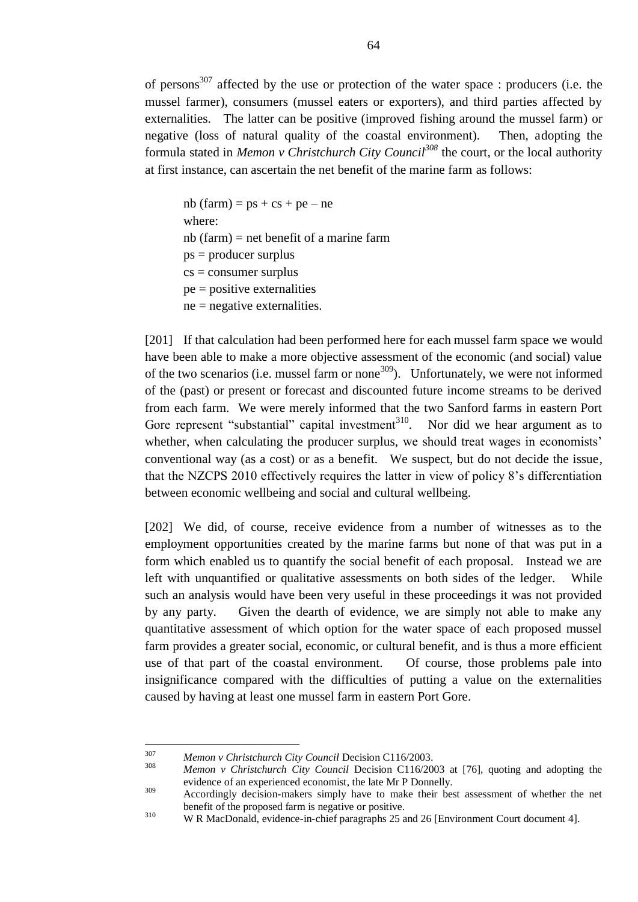of persons<sup>307</sup> affected by the use or protection of the water space : producers (i.e. the mussel farmer), consumers (mussel eaters or exporters), and third parties affected by externalities. The latter can be positive (improved fishing around the mussel farm) or negative (loss of natural quality of the coastal environment). Then, adopting the formula stated in *Memon v Christchurch City Council<sup>308</sup>* the court, or the local authority at first instance, can ascertain the net benefit of the marine farm as follows:

 $nb$  (farm) =  $ps + cs + pe - ne$ where: nb (farm) = net benefit of a marine farm ps = producer surplus  $cs = \text{consumer surplus}$  $pe = positive$  externalities  $ne = negative$  externalities.

[201] If that calculation had been performed here for each mussel farm space we would have been able to make a more objective assessment of the economic (and social) value of the two scenarios (i.e. mussel farm or none<sup>309</sup>). Unfortunately, we were not informed of the (past) or present or forecast and discounted future income streams to be derived from each farm. We were merely informed that the two Sanford farms in eastern Port Gore represent "substantial" capital investment<sup>310</sup>. Nor did we hear argument as to whether, when calculating the producer surplus, we should treat wages in economists' conventional way (as a cost) or as a benefit. We suspect, but do not decide the issue, that the NZCPS 2010 effectively requires the latter in view of policy 8"s differentiation between economic wellbeing and social and cultural wellbeing.

[202] We did, of course, receive evidence from a number of witnesses as to the employment opportunities created by the marine farms but none of that was put in a form which enabled us to quantify the social benefit of each proposal. Instead we are left with unquantified or qualitative assessments on both sides of the ledger. While such an analysis would have been very useful in these proceedings it was not provided by any party. Given the dearth of evidence, we are simply not able to make any quantitative assessment of which option for the water space of each proposed mussel farm provides a greater social, economic, or cultural benefit, and is thus a more efficient use of that part of the coastal environment. Of course, those problems pale into insignificance compared with the difficulties of putting a value on the externalities caused by having at least one mussel farm in eastern Port Gore.

<sup>307</sup> <sup>307</sup> *Memon v Christchurch City Council* Decision C116/2003.

*Memon v Christchurch City Council Decision C116/2003* at [76], quoting and adopting the evidence of an experienced economist, the late Mr P Donnelly.

<sup>&</sup>lt;sup>309</sup> Accordingly decision-makers simply have to make their best assessment of whether the net benefit of the proposed farm is negative or positive.

<sup>310</sup> W R MacDonald, evidence-in-chief paragraphs 25 and 26 [Environment Court document 4].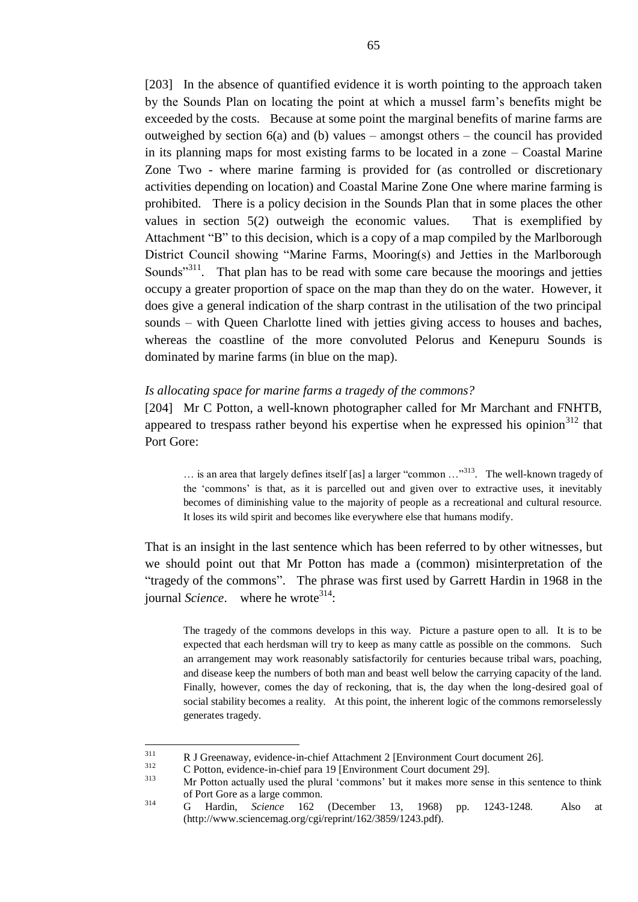[203] In the absence of quantified evidence it is worth pointing to the approach taken by the Sounds Plan on locating the point at which a mussel farm"s benefits might be exceeded by the costs. Because at some point the marginal benefits of marine farms are outweighed by section  $6(a)$  and (b) values – amongst others – the council has provided in its planning maps for most existing farms to be located in a zone – Coastal Marine Zone Two - where marine farming is provided for (as controlled or discretionary activities depending on location) and Coastal Marine Zone One where marine farming is prohibited. There is a policy decision in the Sounds Plan that in some places the other values in section 5(2) outweigh the economic values. That is exemplified by Attachment "B" to this decision, which is a copy of a map compiled by the Marlborough District Council showing "Marine Farms, Mooring(s) and Jetties in the Marlborough Sounds<sup>"311</sup>. That plan has to be read with some care because the moorings and jetties occupy a greater proportion of space on the map than they do on the water. However, it does give a general indication of the sharp contrast in the utilisation of the two principal sounds – with Queen Charlotte lined with jetties giving access to houses and baches, whereas the coastline of the more convoluted Pelorus and Kenepuru Sounds is dominated by marine farms (in blue on the map).

### *Is allocating space for marine farms a tragedy of the commons?*

[204] Mr C Potton, a well-known photographer called for Mr Marchant and FNHTB, appeared to trespass rather beyond his expertise when he expressed his opinion $312$  that Port Gore:

… is an area that largely defines itself [as] a larger "common …"<sup>313</sup>. The well-known tragedy of the "commons" is that, as it is parcelled out and given over to extractive uses, it inevitably becomes of diminishing value to the majority of people as a recreational and cultural resource. It loses its wild spirit and becomes like everywhere else that humans modify.

That is an insight in the last sentence which has been referred to by other witnesses, but we should point out that Mr Potton has made a (common) misinterpretation of the "tragedy of the commons". The phrase was first used by Garrett Hardin in 1968 in the journal *Science*. where he wrote<sup>314</sup>:

The tragedy of the commons develops in this way. Picture a pasture open to all. It is to be expected that each herdsman will try to keep as many cattle as possible on the commons. Such an arrangement may work reasonably satisfactorily for centuries because tribal wars, poaching, and disease keep the numbers of both man and beast well below the carrying capacity of the land. Finally, however, comes the day of reckoning, that is, the day when the long-desired goal of social stability becomes a reality. At this point, the inherent logic of the commons remorselessly generates tragedy.

 $311$  $\frac{311}{2}$  R J Greenaway, evidence-in-chief Attachment 2 [Environment Court document 26].

 $\frac{312}{133}$  C Potton, evidence-in-chief para 19 [Environment Court document 29].

<sup>313</sup> Mr Potton actually used the plural "commons" but it makes more sense in this sentence to think of Port Gore as a large common.

<sup>314</sup> G Hardin, *Science* 162 (December 13, 1968) pp. 1243-1248. Also at (http://www.sciencemag.org/cgi/reprint/162/3859/1243.pdf).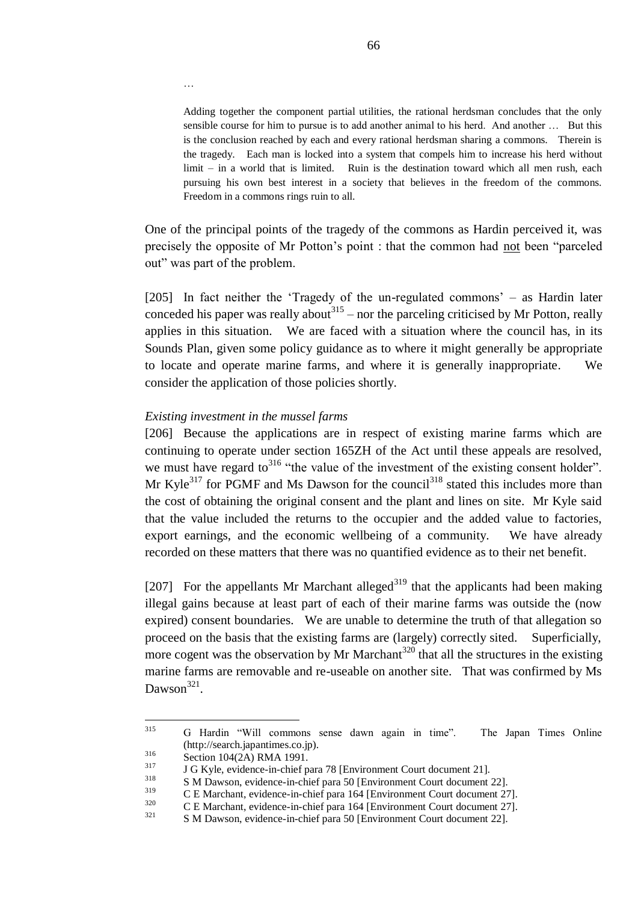…

Adding together the component partial utilities, the rational herdsman concludes that the only sensible course for him to pursue is to add another animal to his herd. And another … But this is the conclusion reached by each and every rational herdsman sharing a commons. Therein is the tragedy. Each man is locked into a system that compels him to increase his herd without limit – in a world that is limited. Ruin is the destination toward which all men rush, each pursuing his own best interest in a society that believes in the freedom of the commons. Freedom in a commons rings ruin to all.

One of the principal points of the tragedy of the commons as Hardin perceived it, was precisely the opposite of Mr Potton"s point : that the common had not been "parceled out" was part of the problem.

[205] In fact neither the 'Tragedy of the un-regulated commons' – as Hardin later conceded his paper was really about  $315$  – nor the parceling criticised by Mr Potton, really applies in this situation. We are faced with a situation where the council has, in its Sounds Plan, given some policy guidance as to where it might generally be appropriate to locate and operate marine farms, and where it is generally inappropriate. We consider the application of those policies shortly.

### *Existing investment in the mussel farms*

[206] Because the applications are in respect of existing marine farms which are continuing to operate under section 165ZH of the Act until these appeals are resolved, we must have regard to<sup>316</sup> "the value of the investment of the existing consent holder". Mr Kyle $317$  for PGMF and Ms Dawson for the council<sup>318</sup> stated this includes more than the cost of obtaining the original consent and the plant and lines on site. Mr Kyle said that the value included the returns to the occupier and the added value to factories, export earnings, and the economic wellbeing of a community. We have already recorded on these matters that there was no quantified evidence as to their net benefit.

[207] For the appellants Mr Marchant alleged<sup>319</sup> that the applicants had been making illegal gains because at least part of each of their marine farms was outside the (now expired) consent boundaries. We are unable to determine the truth of that allegation so proceed on the basis that the existing farms are (largely) correctly sited. Superficially, more cogent was the observation by Mr Marchant<sup>320</sup> that all the structures in the existing marine farms are removable and re-useable on another site. That was confirmed by Ms Dawson $^{321}$ .

 $\overline{a}$ 

<sup>315</sup> G Hardin "Will commons sense dawn again in time". The Japan Times Online (http://search.japantimes.co.jp).

 $\frac{316}{317}$  Section 104(2A) RMA 1991.

 $317 \text{ J G Kyle, evidence-in-chief para } 78 \text{ [Environment Court document } 21].$ <br> $318 \text{ S M Dourson, oxidance in chief page } 50 \text{ [Eruinament Court document]}$ 

 $\frac{318}{319}$  S M Dawson, evidence-in-chief para 50 [Environment Court document 22].

 $\frac{319}{320}$  C E Marchant, evidence-in-chief para 164 [Environment Court document 27].

 $\frac{320}{221}$  C E Marchant, evidence-in-chief para 164 [Environment Court document 27].

S M Dawson, evidence-in-chief para 50 [Environment Court document 22].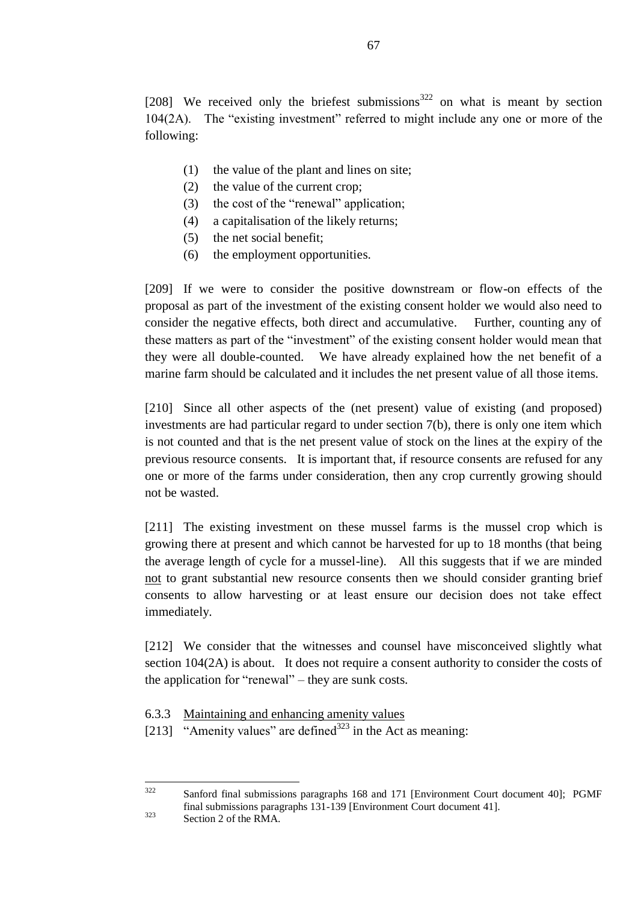[208] We received only the briefest submissions<sup>322</sup> on what is meant by section 104(2A). The "existing investment" referred to might include any one or more of the following:

- (1) the value of the plant and lines on site;
- (2) the value of the current crop;
- (3) the cost of the "renewal" application;
- (4) a capitalisation of the likely returns;
- (5) the net social benefit;
- (6) the employment opportunities.

[209] If we were to consider the positive downstream or flow-on effects of the proposal as part of the investment of the existing consent holder we would also need to consider the negative effects, both direct and accumulative. Further, counting any of these matters as part of the "investment" of the existing consent holder would mean that they were all double-counted. We have already explained how the net benefit of a marine farm should be calculated and it includes the net present value of all those items.

[210] Since all other aspects of the (net present) value of existing (and proposed) investments are had particular regard to under section 7(b), there is only one item which is not counted and that is the net present value of stock on the lines at the expiry of the previous resource consents. It is important that, if resource consents are refused for any one or more of the farms under consideration, then any crop currently growing should not be wasted.

[211] The existing investment on these mussel farms is the mussel crop which is growing there at present and which cannot be harvested for up to 18 months (that being the average length of cycle for a mussel-line). All this suggests that if we are minded not to grant substantial new resource consents then we should consider granting brief consents to allow harvesting or at least ensure our decision does not take effect immediately.

[212] We consider that the witnesses and counsel have misconceived slightly what section 104(2A) is about. It does not require a consent authority to consider the costs of the application for "renewal" – they are sunk costs.

- 6.3.3 Maintaining and enhancing amenity values
- [213] "Amenity values" are defined<sup>323</sup> in the Act as meaning:

<sup>322</sup> Sanford final submissions paragraphs 168 and 171 [Environment Court document 40]; PGMF final submissions paragraphs 131-139 [Environment Court document 41].

<sup>&</sup>lt;sup>323</sup> Section 2 of the RMA.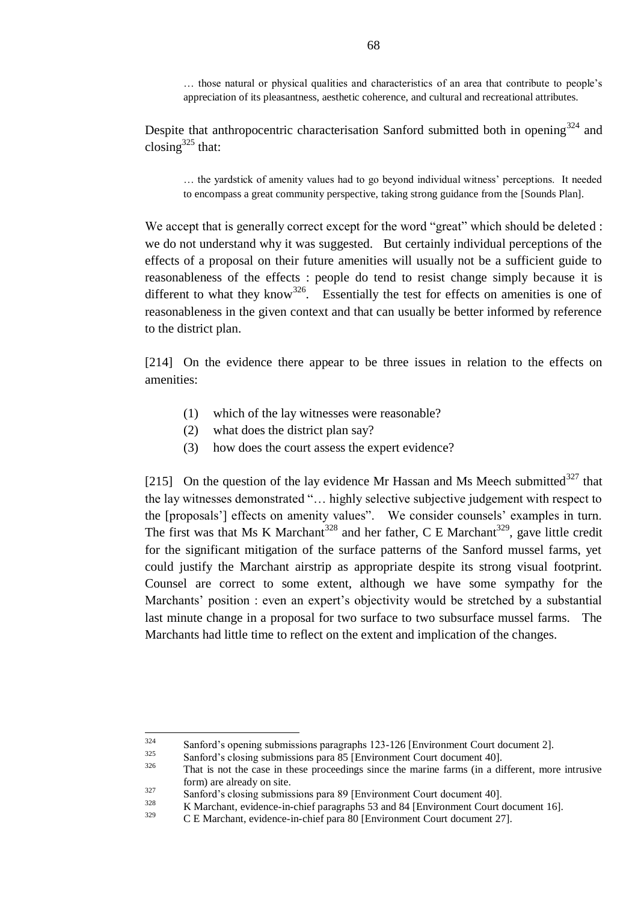… those natural or physical qualities and characteristics of an area that contribute to people"s appreciation of its pleasantness, aesthetic coherence, and cultural and recreational attributes.

Despite that anthropocentric characterisation Sanford submitted both in opening  $324$  and closing $325$  that:

… the yardstick of amenity values had to go beyond individual witness" perceptions. It needed to encompass a great community perspective, taking strong guidance from the [Sounds Plan].

We accept that is generally correct except for the word "great" which should be deleted : we do not understand why it was suggested. But certainly individual perceptions of the effects of a proposal on their future amenities will usually not be a sufficient guide to reasonableness of the effects : people do tend to resist change simply because it is different to what they know<sup>326</sup>. Essentially the test for effects on amenities is one of reasonableness in the given context and that can usually be better informed by reference to the district plan.

[214] On the evidence there appear to be three issues in relation to the effects on amenities:

- (1) which of the lay witnesses were reasonable?
- (2) what does the district plan say?
- (3) how does the court assess the expert evidence?

[215] On the question of the lay evidence Mr Hassan and Ms Meech submitted $^{327}$  that the lay witnesses demonstrated "… highly selective subjective judgement with respect to the [proposals"] effects on amenity values". We consider counsels" examples in turn. The first was that Ms K Marchant<sup>328</sup> and her father, C E Marchant<sup>329</sup>, gave little credit for the significant mitigation of the surface patterns of the Sanford mussel farms, yet could justify the Marchant airstrip as appropriate despite its strong visual footprint. Counsel are correct to some extent, although we have some sympathy for the Marchants' position : even an expert's objectivity would be stretched by a substantial last minute change in a proposal for two surface to two subsurface mussel farms. The Marchants had little time to reflect on the extent and implication of the changes.

 $324$  $\frac{324}{225}$  Sanford's opening submissions paragraphs 123-126 [Environment Court document 2].

 $\frac{325}{326}$  Sanford's closing submissions para 85 [Environment Court document 40].

That is not the case in these proceedings since the marine farms (in a different, more intrusive form) are already on site.

 $\frac{327}{328}$  Sanford's closing submissions para 89 [Environment Court document 40].

 $\frac{328}{329}$  K Marchant, evidence-in-chief paragraphs 53 and 84 [Environment Court document 16].

<sup>329</sup> C E Marchant, evidence-in-chief para 80 [Environment Court document 27].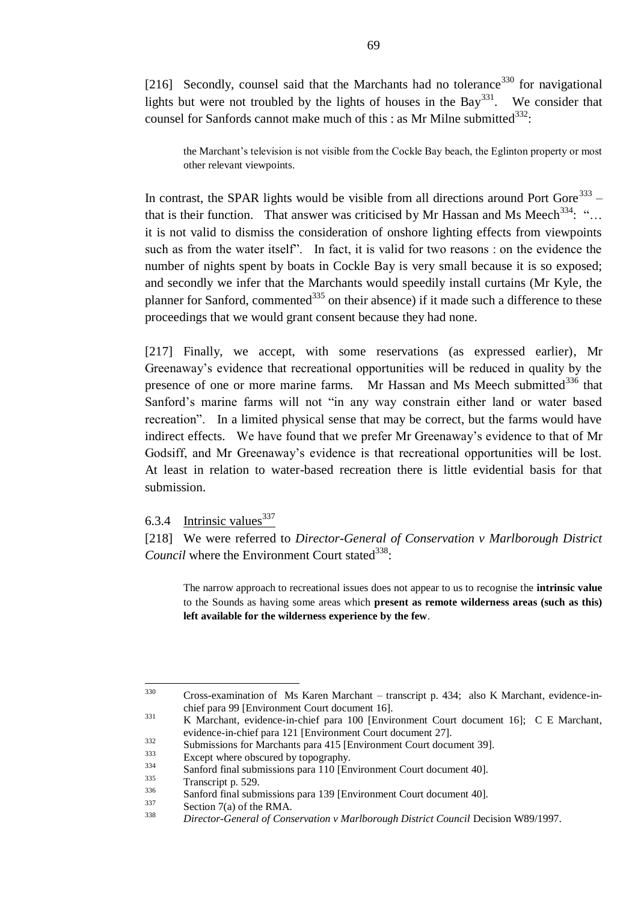[216] Secondly, counsel said that the Marchants had no tolerance<sup>330</sup> for navigational lights but were not troubled by the lights of houses in the Bay<sup>331</sup>. We consider that counsel for Sanfords cannot make much of this : as Mr Milne submitted  $332$ :

the Marchant"s television is not visible from the Cockle Bay beach, the Eglinton property or most other relevant viewpoints.

In contrast, the SPAR lights would be visible from all directions around Port Gore $^{333}$  – that is their function. That answer was criticised by Mr Hassan and Ms Meech<sup>334</sup>: "... it is not valid to dismiss the consideration of onshore lighting effects from viewpoints such as from the water itself". In fact, it is valid for two reasons : on the evidence the number of nights spent by boats in Cockle Bay is very small because it is so exposed; and secondly we infer that the Marchants would speedily install curtains (Mr Kyle, the planner for Sanford, commented<sup>335</sup> on their absence) if it made such a difference to these proceedings that we would grant consent because they had none.

[217] Finally, we accept, with some reservations (as expressed earlier), Mr Greenaway"s evidence that recreational opportunities will be reduced in quality by the presence of one or more marine farms. Mr Hassan and Ms Meech submitted<sup>336</sup> that Sanford"s marine farms will not "in any way constrain either land or water based recreation". In a limited physical sense that may be correct, but the farms would have indirect effects. We have found that we prefer Mr Greenaway's evidence to that of Mr Godsiff, and Mr Greenaway"s evidence is that recreational opportunities will be lost. At least in relation to water-based recreation there is little evidential basis for that submission.

6.3.4 Intrinsic values  $337$ 

[218] We were referred to *Director-General of Conservation v Marlborough District*  Council where the Environment Court stated<sup>338</sup>:

The narrow approach to recreational issues does not appear to us to recognise the **intrinsic value** to the Sounds as having some areas which **present as remote wilderness areas (such as this) left available for the wilderness experience by the few**.

<sup>330</sup> <sup>330</sup> Cross-examination of Ms Karen Marchant – transcript p. 434; also K Marchant, evidence-inchief para 99 [Environment Court document 16].

<sup>331</sup> K Marchant, evidence-in-chief para 100 [Environment Court document 16]; C E Marchant, evidence-in-chief para 121 [Environment Court document 27].

<sup>&</sup>lt;sup>332</sup> Submissions for Marchants para 415 [Environment Court document 39].

 $333$  Except where obscured by topography.<br> $334$  Sexford final submissions ages 110  $\overline{E}$ 

 $\frac{334}{335}$  Sanford final submissions para 110 [Environment Court document 40].

 $\frac{335}{336}$  Transcript p. 529.

 $\frac{336}{337}$  Sanford final submissions para 139 [Environment Court document 40].

 $\frac{337}{338}$  Section 7(a) of the RMA.

<sup>338</sup> *Director-General of Conservation v Marlborough District Council* Decision W89/1997.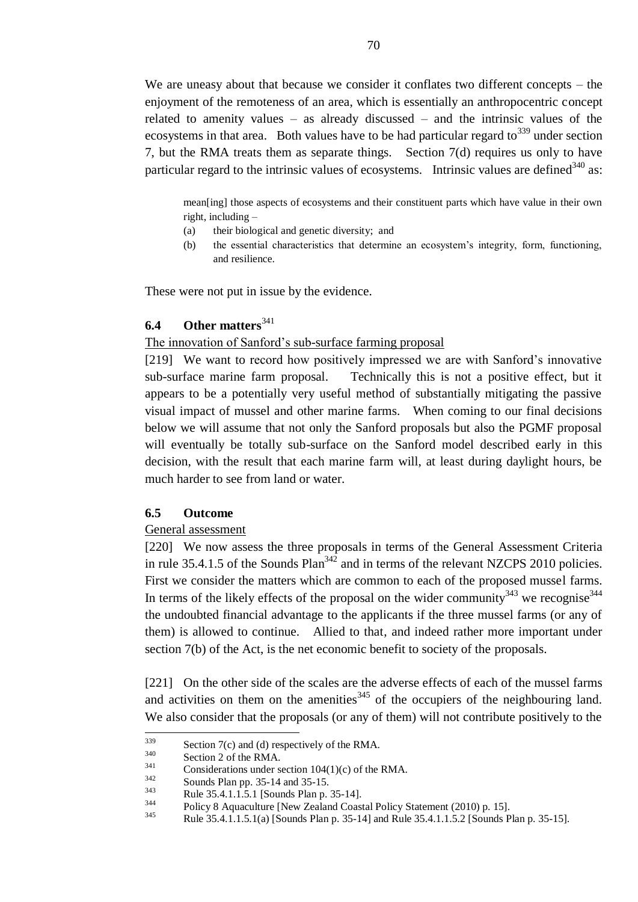We are uneasy about that because we consider it conflates two different concepts – the enjoyment of the remoteness of an area, which is essentially an anthropocentric concept related to amenity values – as already discussed – and the intrinsic values of the ecosystems in that area. Both values have to be had particular regard to<sup>339</sup> under section 7, but the RMA treats them as separate things. Section 7(d) requires us only to have particular regard to the intrinsic values of ecosystems. Intrinsic values are defined  $340$  as:

mean[ing] those aspects of ecosystems and their constituent parts which have value in their own right, including –

- (a) their biological and genetic diversity; and
- (b) the essential characteristics that determine an ecosystem"s integrity, form, functioning, and resilience.

These were not put in issue by the evidence.

# **6.4 Other matters**<sup>341</sup>

### The innovation of Sanford"s sub-surface farming proposal

[219] We want to record how positively impressed we are with Sanford's innovative sub-surface marine farm proposal. Technically this is not a positive effect, but it appears to be a potentially very useful method of substantially mitigating the passive visual impact of mussel and other marine farms. When coming to our final decisions below we will assume that not only the Sanford proposals but also the PGMF proposal will eventually be totally sub-surface on the Sanford model described early in this decision, with the result that each marine farm will, at least during daylight hours, be much harder to see from land or water.

# **6.5 Outcome**

#### General assessment

[220] We now assess the three proposals in terms of the General Assessment Criteria in rule 35.4.1.5 of the Sounds Plan<sup>342</sup> and in terms of the relevant NZCPS 2010 policies. First we consider the matters which are common to each of the proposed mussel farms. In terms of the likely effects of the proposal on the wider community<sup>343</sup> we recognise<sup>344</sup> the undoubted financial advantage to the applicants if the three mussel farms (or any of them) is allowed to continue. Allied to that, and indeed rather more important under section 7(b) of the Act, is the net economic benefit to society of the proposals.

[221] On the other side of the scales are the adverse effects of each of the mussel farms and activities on them on the amenities<sup> $345$ </sup> of the occupiers of the neighbouring land. We also consider that the proposals (or any of them) will not contribute positively to the

<sup>339</sup>  $^{339}$  Section 7(c) and (d) respectively of the RMA.

 $\frac{340}{341}$  Section 2 of the RMA.

 $^{341}$  Considerations under section 104(1)(c) of the RMA.<br> $^{342}$  Sounda Plan and  $^{25}$  14 and  $^{25}$  15

 $\frac{342}{343}$  Sounds Plan pp. 35-14 and 35-15.

 $343$  Rule 35.4.1.1.5.1 [Sounds Plan p. 35-14].

 $\frac{344}{2544}$  Policy 8 Aquaculture [New Zealand Coastal Policy Statement (2010) p. 15].

<sup>345</sup> Rule 35.4.1.1.5.1(a) [Sounds Plan p. 35-14] and Rule 35.4.1.1.5.2 [Sounds Plan p. 35-15].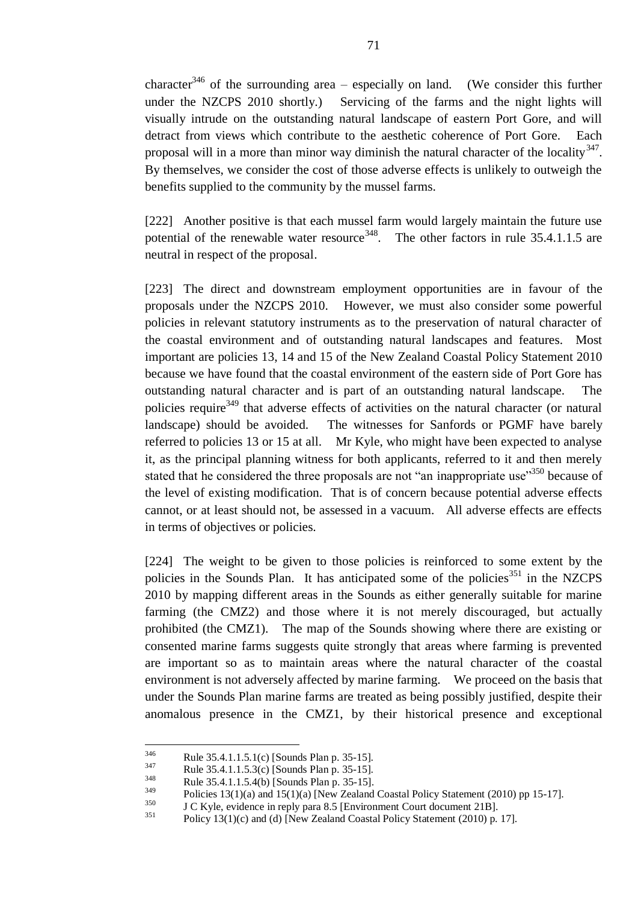character<sup>346</sup> of the surrounding area – especially on land. (We consider this further under the NZCPS 2010 shortly.) Servicing of the farms and the night lights will visually intrude on the outstanding natural landscape of eastern Port Gore, and will detract from views which contribute to the aesthetic coherence of Port Gore. Each proposal will in a more than minor way diminish the natural character of the locality<sup>347</sup>. By themselves, we consider the cost of those adverse effects is unlikely to outweigh the benefits supplied to the community by the mussel farms.

[222] Another positive is that each mussel farm would largely maintain the future use potential of the renewable water resource  $348$ . The other factors in rule 35.4.1.1.5 are neutral in respect of the proposal.

[223] The direct and downstream employment opportunities are in favour of the proposals under the NZCPS 2010. However, we must also consider some powerful policies in relevant statutory instruments as to the preservation of natural character of the coastal environment and of outstanding natural landscapes and features. Most important are policies 13, 14 and 15 of the New Zealand Coastal Policy Statement 2010 because we have found that the coastal environment of the eastern side of Port Gore has outstanding natural character and is part of an outstanding natural landscape. The policies require<sup>349</sup> that adverse effects of activities on the natural character (or natural landscape) should be avoided. The witnesses for Sanfords or PGMF have barely referred to policies 13 or 15 at all. Mr Kyle, who might have been expected to analyse it, as the principal planning witness for both applicants, referred to it and then merely stated that he considered the three proposals are not "an inappropriate use"<sup>350</sup> because of the level of existing modification. That is of concern because potential adverse effects cannot, or at least should not, be assessed in a vacuum. All adverse effects are effects in terms of objectives or policies.

[224] The weight to be given to those policies is reinforced to some extent by the policies in the Sounds Plan. It has anticipated some of the policies<sup>351</sup> in the NZCPS 2010 by mapping different areas in the Sounds as either generally suitable for marine farming (the CMZ2) and those where it is not merely discouraged, but actually prohibited (the CMZ1). The map of the Sounds showing where there are existing or consented marine farms suggests quite strongly that areas where farming is prevented are important so as to maintain areas where the natural character of the coastal environment is not adversely affected by marine farming. We proceed on the basis that under the Sounds Plan marine farms are treated as being possibly justified, despite their anomalous presence in the CMZ1, by their historical presence and exceptional

<sup>346</sup>  $\frac{346}{347}$  Rule 35.4.1.1.5.1(c) [Sounds Plan p. 35-15].

 $\frac{347}{348}$  Rule 35.4.1.1.5.3(c) [Sounds Plan p. 35-15].

<sup>&</sup>lt;sup>348</sup> Rule 35.4.1.1.5.4(b) [Sounds Plan p. 35-15].<br> **Bulgins 12(1)(c)** and 15(1)(c) Name Zealand

 $^{349}$  Policies 13(1)(a) and 15(1)(a) [New Zealand Coastal Policy Statement (2010) pp 15-17].

 $\frac{350}{100}$  J C Kyle, evidence in reply para 8.5 [Environment Court document 21B].

Policy 13(1)(c) and (d) [New Zealand Coastal Policy Statement (2010) p. 17].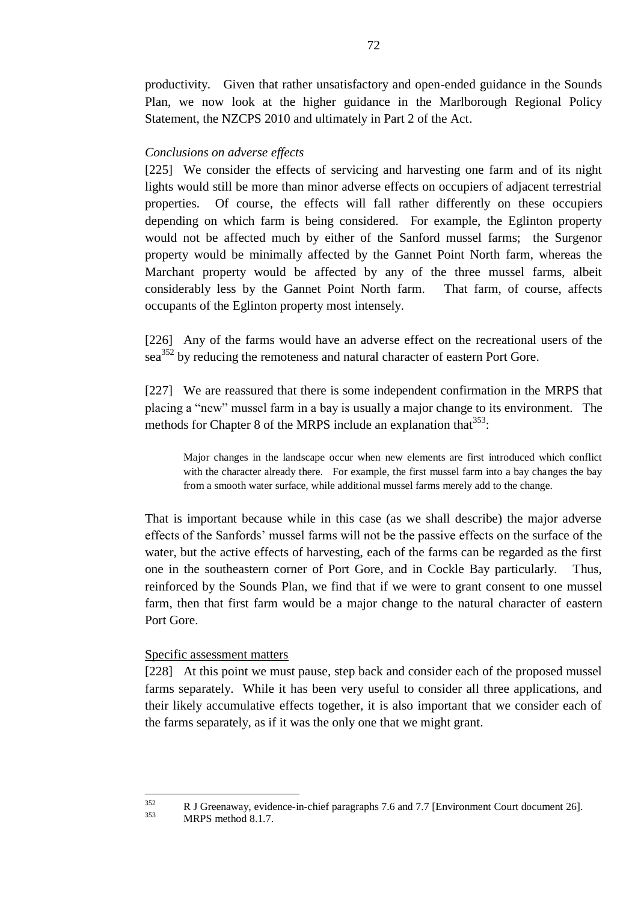productivity. Given that rather unsatisfactory and open-ended guidance in the Sounds Plan, we now look at the higher guidance in the Marlborough Regional Policy Statement, the NZCPS 2010 and ultimately in Part 2 of the Act.

### *Conclusions on adverse effects*

[225] We consider the effects of servicing and harvesting one farm and of its night lights would still be more than minor adverse effects on occupiers of adjacent terrestrial properties. Of course, the effects will fall rather differently on these occupiers depending on which farm is being considered. For example, the Eglinton property would not be affected much by either of the Sanford mussel farms; the Surgenor property would be minimally affected by the Gannet Point North farm, whereas the Marchant property would be affected by any of the three mussel farms, albeit considerably less by the Gannet Point North farm. That farm, of course, affects occupants of the Eglinton property most intensely.

[226] Any of the farms would have an adverse effect on the recreational users of the sea<sup>352</sup> by reducing the remoteness and natural character of eastern Port Gore.

[227] We are reassured that there is some independent confirmation in the MRPS that placing a "new" mussel farm in a bay is usually a major change to its environment. The methods for Chapter 8 of the MRPS include an explanation that<sup>353</sup>:

Major changes in the landscape occur when new elements are first introduced which conflict with the character already there. For example, the first mussel farm into a bay changes the bay from a smooth water surface, while additional mussel farms merely add to the change.

That is important because while in this case (as we shall describe) the major adverse effects of the Sanfords" mussel farms will not be the passive effects on the surface of the water, but the active effects of harvesting, each of the farms can be regarded as the first one in the southeastern corner of Port Gore, and in Cockle Bay particularly. Thus, reinforced by the Sounds Plan, we find that if we were to grant consent to one mussel farm, then that first farm would be a major change to the natural character of eastern Port Gore.

### Specific assessment matters

[228] At this point we must pause, step back and consider each of the proposed mussel farms separately. While it has been very useful to consider all three applications, and their likely accumulative effects together, it is also important that we consider each of the farms separately, as if it was the only one that we might grant.

<sup>352</sup>  $R$  J Greenaway, evidence-in-chief paragraphs 7.6 and 7.7 [Environment Court document 26].

MRPS method 8.1.7.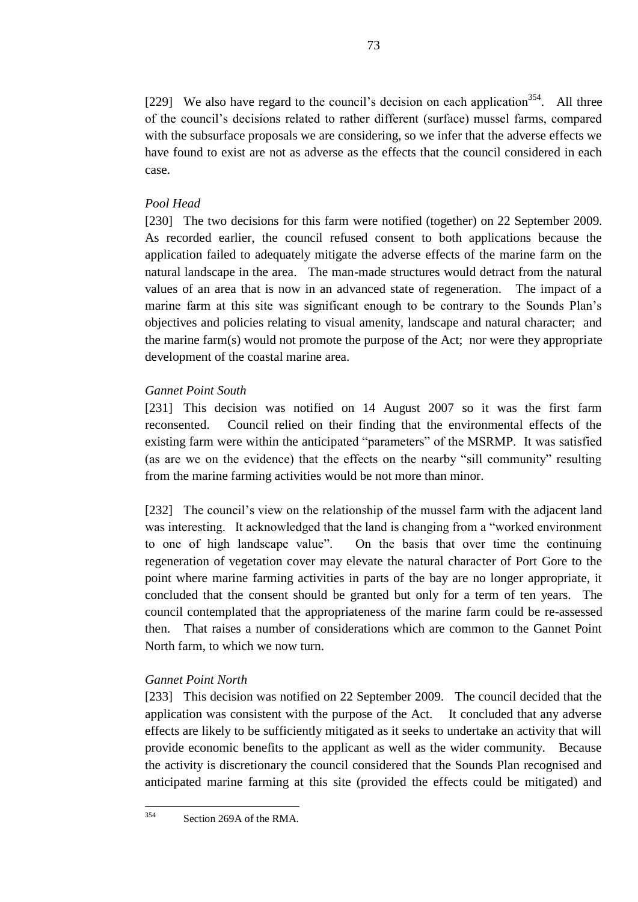[229] We also have regard to the council's decision on each application<sup>354</sup>. All three of the council"s decisions related to rather different (surface) mussel farms, compared with the subsurface proposals we are considering, so we infer that the adverse effects we have found to exist are not as adverse as the effects that the council considered in each case.

## *Pool Head*

[230] The two decisions for this farm were notified (together) on 22 September 2009. As recorded earlier, the council refused consent to both applications because the application failed to adequately mitigate the adverse effects of the marine farm on the natural landscape in the area. The man-made structures would detract from the natural values of an area that is now in an advanced state of regeneration. The impact of a marine farm at this site was significant enough to be contrary to the Sounds Plan"s objectives and policies relating to visual amenity, landscape and natural character; and the marine farm(s) would not promote the purpose of the Act; nor were they appropriate development of the coastal marine area.

## *Gannet Point South*

[231] This decision was notified on 14 August 2007 so it was the first farm reconsented. Council relied on their finding that the environmental effects of the existing farm were within the anticipated "parameters" of the MSRMP. It was satisfied (as are we on the evidence) that the effects on the nearby "sill community" resulting from the marine farming activities would be not more than minor.

[232] The council's view on the relationship of the mussel farm with the adjacent land was interesting. It acknowledged that the land is changing from a "worked environment to one of high landscape value". On the basis that over time the continuing regeneration of vegetation cover may elevate the natural character of Port Gore to the point where marine farming activities in parts of the bay are no longer appropriate, it concluded that the consent should be granted but only for a term of ten years. The council contemplated that the appropriateness of the marine farm could be re-assessed then. That raises a number of considerations which are common to the Gannet Point North farm, to which we now turn.

## *Gannet Point North*

[233] This decision was notified on 22 September 2009. The council decided that the application was consistent with the purpose of the Act. It concluded that any adverse effects are likely to be sufficiently mitigated as it seeks to undertake an activity that will provide economic benefits to the applicant as well as the wider community. Because the activity is discretionary the council considered that the Sounds Plan recognised and anticipated marine farming at this site (provided the effects could be mitigated) and

 $354$ Section 269A of the RMA.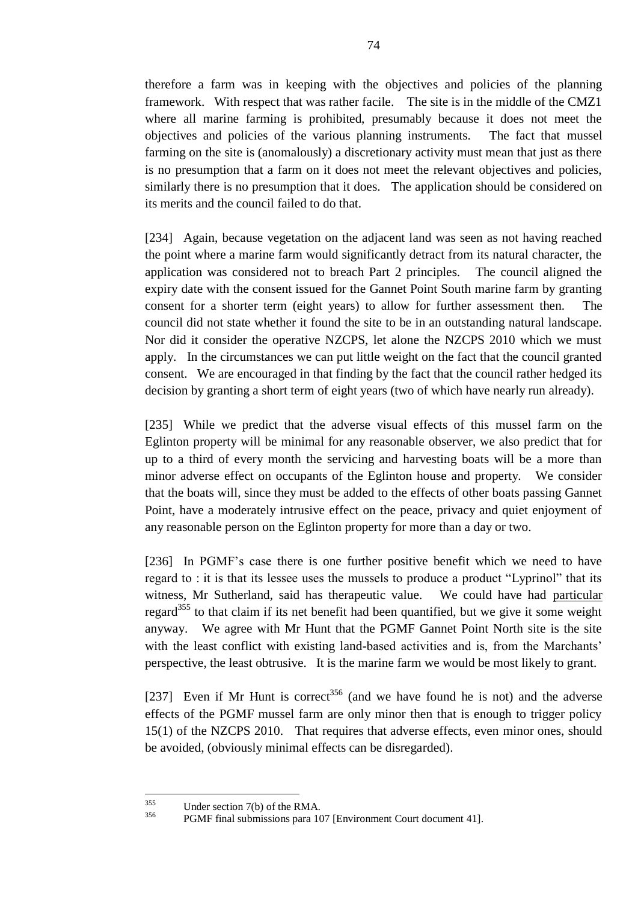therefore a farm was in keeping with the objectives and policies of the planning framework. With respect that was rather facile. The site is in the middle of the CMZ1 where all marine farming is prohibited, presumably because it does not meet the objectives and policies of the various planning instruments. The fact that mussel farming on the site is (anomalously) a discretionary activity must mean that just as there is no presumption that a farm on it does not meet the relevant objectives and policies, similarly there is no presumption that it does. The application should be considered on its merits and the council failed to do that.

[234] Again, because vegetation on the adjacent land was seen as not having reached the point where a marine farm would significantly detract from its natural character, the application was considered not to breach Part 2 principles. The council aligned the expiry date with the consent issued for the Gannet Point South marine farm by granting consent for a shorter term (eight years) to allow for further assessment then. The council did not state whether it found the site to be in an outstanding natural landscape. Nor did it consider the operative NZCPS, let alone the NZCPS 2010 which we must apply. In the circumstances we can put little weight on the fact that the council granted consent. We are encouraged in that finding by the fact that the council rather hedged its decision by granting a short term of eight years (two of which have nearly run already).

[235] While we predict that the adverse visual effects of this mussel farm on the Eglinton property will be minimal for any reasonable observer, we also predict that for up to a third of every month the servicing and harvesting boats will be a more than minor adverse effect on occupants of the Eglinton house and property. We consider that the boats will, since they must be added to the effects of other boats passing Gannet Point, have a moderately intrusive effect on the peace, privacy and quiet enjoyment of any reasonable person on the Eglinton property for more than a day or two.

[236] In PGMF"s case there is one further positive benefit which we need to have regard to : it is that its lessee uses the mussels to produce a product "Lyprinol" that its witness, Mr Sutherland, said has therapeutic value. We could have had particular regard<sup>355</sup> to that claim if its net benefit had been quantified, but we give it some weight anyway. We agree with Mr Hunt that the PGMF Gannet Point North site is the site with the least conflict with existing land-based activities and is, from the Marchants' perspective, the least obtrusive. It is the marine farm we would be most likely to grant.

[237] Even if Mr Hunt is correct<sup>356</sup> (and we have found he is not) and the adverse effects of the PGMF mussel farm are only minor then that is enough to trigger policy 15(1) of the NZCPS 2010. That requires that adverse effects, even minor ones, should be avoided, (obviously minimal effects can be disregarded).

<sup>355</sup>  $\frac{355}{356}$  Under section 7(b) of the RMA.

PGMF final submissions para 107 [Environment Court document 41].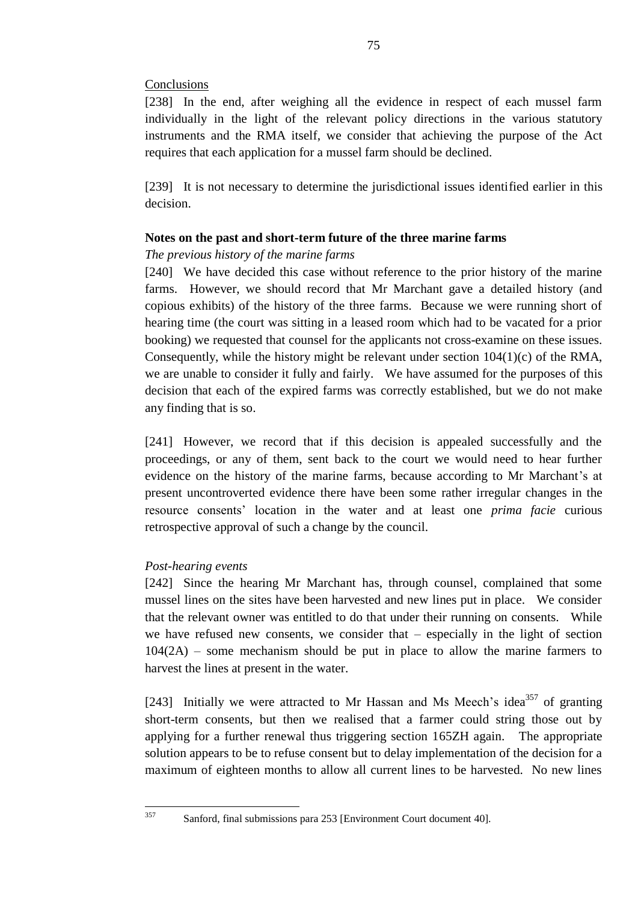#### Conclusions

[238] In the end, after weighing all the evidence in respect of each mussel farm individually in the light of the relevant policy directions in the various statutory instruments and the RMA itself, we consider that achieving the purpose of the Act requires that each application for a mussel farm should be declined.

[239] It is not necessary to determine the jurisdictional issues identified earlier in this decision.

# **Notes on the past and short-term future of the three marine farms**

### *The previous history of the marine farms*

[240] We have decided this case without reference to the prior history of the marine farms. However, we should record that Mr Marchant gave a detailed history (and copious exhibits) of the history of the three farms. Because we were running short of hearing time (the court was sitting in a leased room which had to be vacated for a prior booking) we requested that counsel for the applicants not cross-examine on these issues. Consequently, while the history might be relevant under section 104(1)(c) of the RMA, we are unable to consider it fully and fairly. We have assumed for the purposes of this decision that each of the expired farms was correctly established, but we do not make any finding that is so.

[241] However, we record that if this decision is appealed successfully and the proceedings, or any of them, sent back to the court we would need to hear further evidence on the history of the marine farms, because according to Mr Marchant"s at present uncontroverted evidence there have been some rather irregular changes in the resource consents" location in the water and at least one *prima facie* curious retrospective approval of such a change by the council.

### *Post-hearing events*

[242] Since the hearing Mr Marchant has, through counsel, complained that some mussel lines on the sites have been harvested and new lines put in place. We consider that the relevant owner was entitled to do that under their running on consents. While we have refused new consents, we consider that – especially in the light of section  $104(2A)$  – some mechanism should be put in place to allow the marine farmers to harvest the lines at present in the water.

[243] Initially we were attracted to Mr Hassan and Ms Meech's idea<sup>357</sup> of granting short-term consents, but then we realised that a farmer could string those out by applying for a further renewal thus triggering section 165ZH again. The appropriate solution appears to be to refuse consent but to delay implementation of the decision for a maximum of eighteen months to allow all current lines to be harvested. No new lines

357

Sanford, final submissions para 253 [Environment Court document 40].